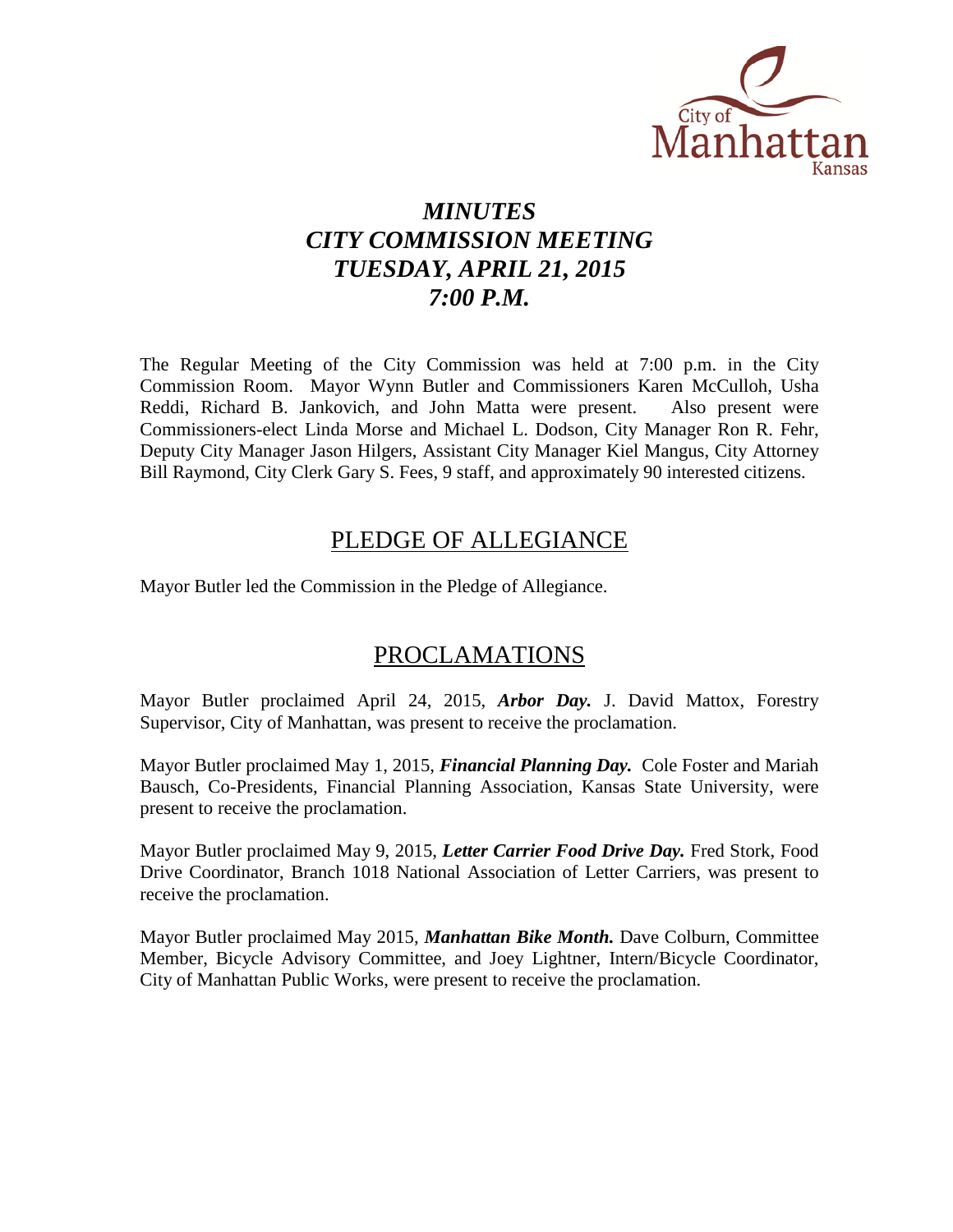

# *MINUTES CITY COMMISSION MEETING TUESDAY, APRIL 21, 2015 7:00 P.M.*

The Regular Meeting of the City Commission was held at 7:00 p.m. in the City Commission Room. Mayor Wynn Butler and Commissioners Karen McCulloh, Usha Reddi, Richard B. Jankovich, and John Matta were present. Also present were Commissioners-elect Linda Morse and Michael L. Dodson, City Manager Ron R. Fehr, Deputy City Manager Jason Hilgers, Assistant City Manager Kiel Mangus, City Attorney Bill Raymond, City Clerk Gary S. Fees, 9 staff, and approximately 90 interested citizens.

# PLEDGE OF ALLEGIANCE

Mayor Butler led the Commission in the Pledge of Allegiance.

# PROCLAMATIONS

Mayor Butler proclaimed April 24, 2015, *Arbor Day.* J. David Mattox, Forestry Supervisor, City of Manhattan, was present to receive the proclamation.

Mayor Butler proclaimed May 1, 2015, *Financial Planning Day.* Cole Foster and Mariah Bausch, Co-Presidents, Financial Planning Association, Kansas State University, were present to receive the proclamation.

Mayor Butler proclaimed May 9, 2015, *Letter Carrier Food Drive Day.* Fred Stork, Food Drive Coordinator, Branch 1018 National Association of Letter Carriers, was present to receive the proclamation.

Mayor Butler proclaimed May 2015, *Manhattan Bike Month.* Dave Colburn, Committee Member, Bicycle Advisory Committee, and Joey Lightner, Intern/Bicycle Coordinator, City of Manhattan Public Works, were present to receive the proclamation.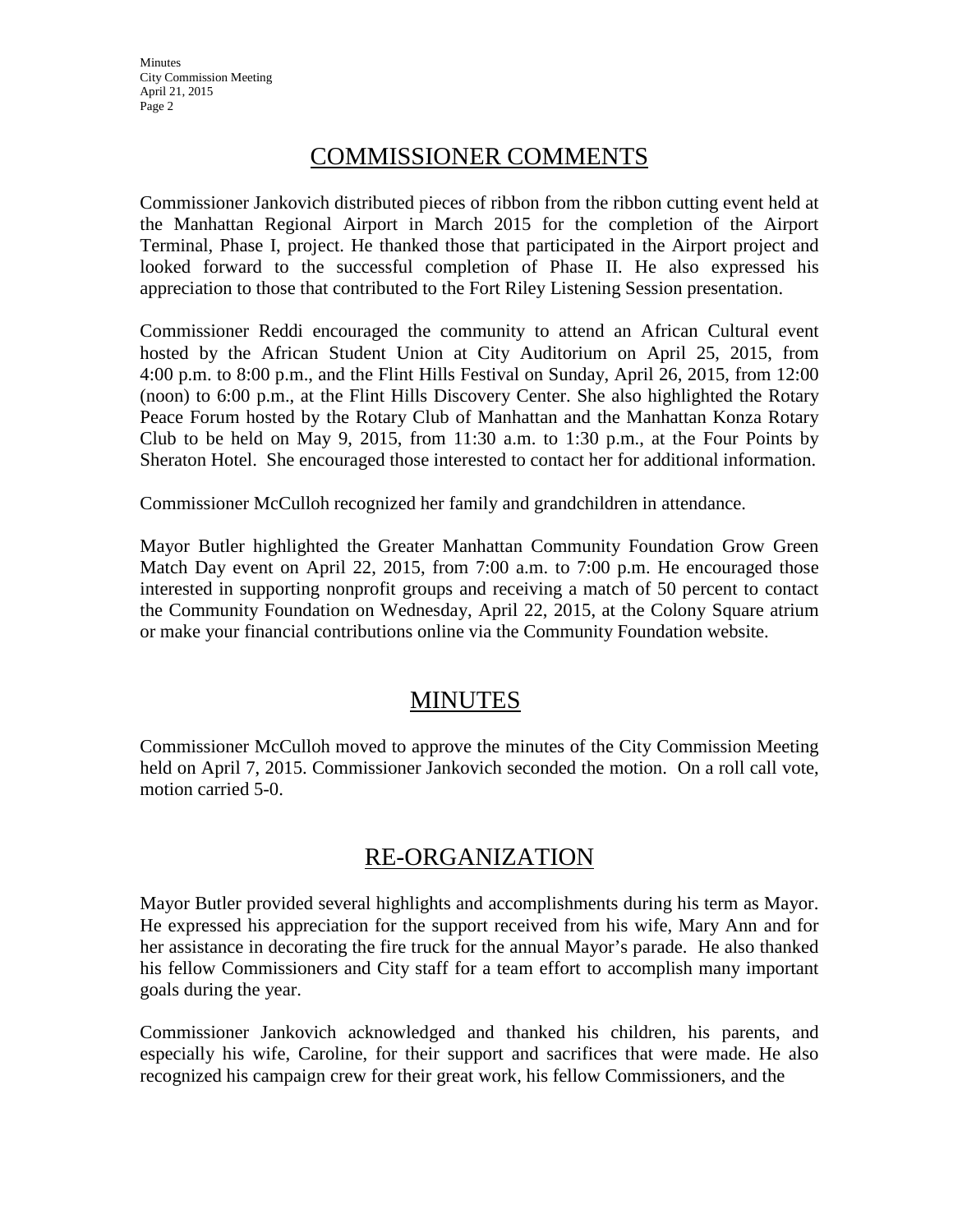# COMMISSIONER COMMENTS

Commissioner Jankovich distributed pieces of ribbon from the ribbon cutting event held at the Manhattan Regional Airport in March 2015 for the completion of the Airport Terminal, Phase I, project. He thanked those that participated in the Airport project and looked forward to the successful completion of Phase II. He also expressed his appreciation to those that contributed to the Fort Riley Listening Session presentation.

Commissioner Reddi encouraged the community to attend an African Cultural event hosted by the African Student Union at City Auditorium on April 25, 2015, from 4:00 p.m. to 8:00 p.m., and the Flint Hills Festival on Sunday, April 26, 2015, from 12:00 (noon) to 6:00 p.m., at the Flint Hills Discovery Center. She also highlighted the Rotary Peace Forum hosted by the Rotary Club of Manhattan and the Manhattan Konza Rotary Club to be held on May 9, 2015, from  $11:30$  a.m. to  $1:30$  p.m., at the Four Points by Sheraton Hotel. She encouraged those interested to contact her for additional information.

Commissioner McCulloh recognized her family and grandchildren in attendance.

Mayor Butler highlighted the Greater Manhattan Community Foundation Grow Green Match Day event on April 22, 2015, from 7:00 a.m. to 7:00 p.m. He encouraged those interested in supporting nonprofit groups and receiving a match of 50 percent to contact the Community Foundation on Wednesday, April 22, 2015, at the Colony Square atrium or make your financial contributions online via the Community Foundation website.

# **MINUTES**

Commissioner McCulloh moved to approve the minutes of the City Commission Meeting held on April 7, 2015. Commissioner Jankovich seconded the motion. On a roll call vote, motion carried 5-0.

# RE-ORGANIZATION

Mayor Butler provided several highlights and accomplishments during his term as Mayor. He expressed his appreciation for the support received from his wife, Mary Ann and for her assistance in decorating the fire truck for the annual Mayor's parade. He also thanked his fellow Commissioners and City staff for a team effort to accomplish many important goals during the year.

Commissioner Jankovich acknowledged and thanked his children, his parents, and especially his wife, Caroline, for their support and sacrifices that were made. He also recognized his campaign crew for their great work, his fellow Commissioners, and the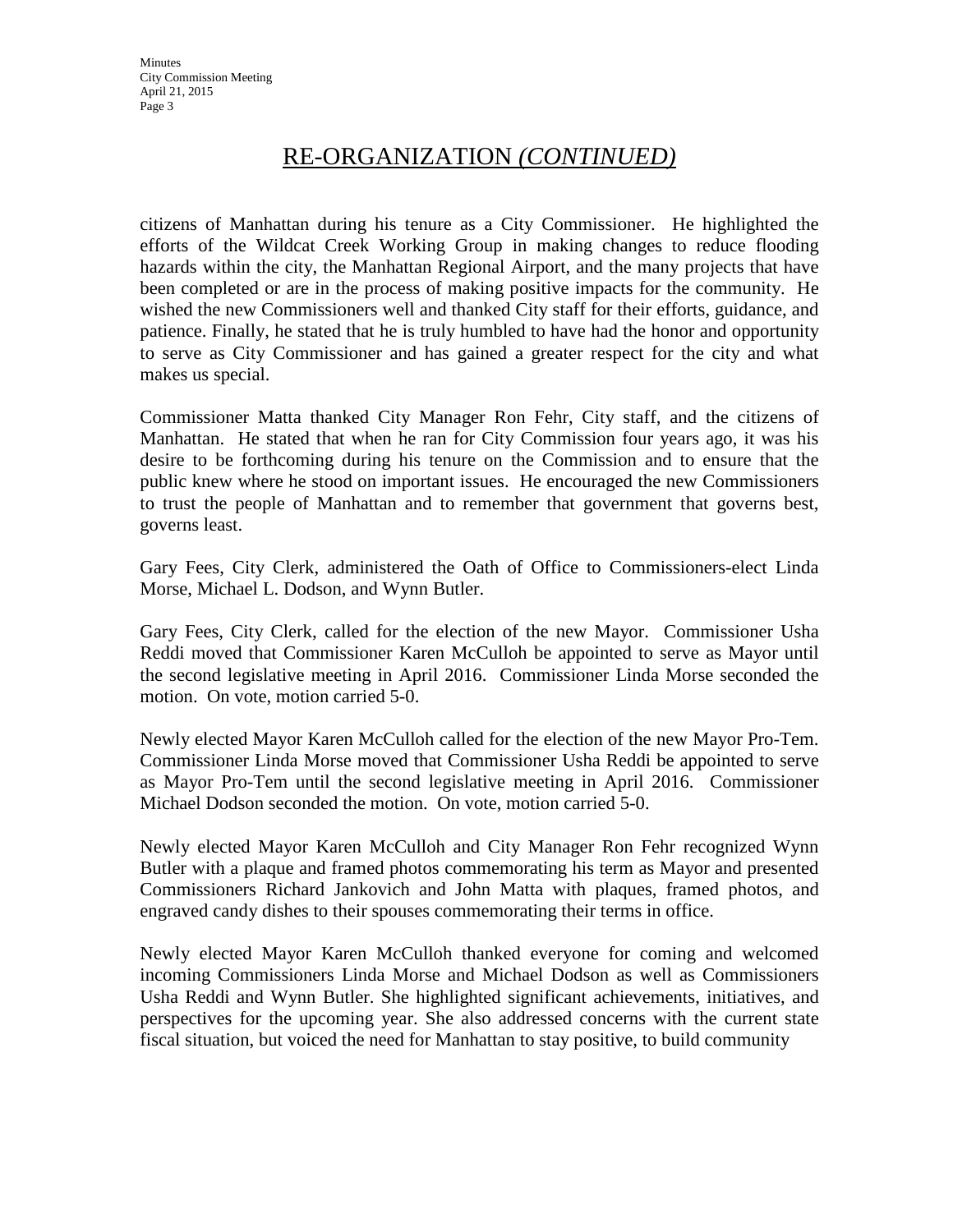# RE-ORGANIZATION *(CONTINUED)*

citizens of Manhattan during his tenure as a City Commissioner. He highlighted the efforts of the Wildcat Creek Working Group in making changes to reduce flooding hazards within the city, the Manhattan Regional Airport, and the many projects that have been completed or are in the process of making positive impacts for the community. He wished the new Commissioners well and thanked City staff for their efforts, guidance, and patience. Finally, he stated that he is truly humbled to have had the honor and opportunity to serve as City Commissioner and has gained a greater respect for the city and what makes us special.

Commissioner Matta thanked City Manager Ron Fehr, City staff, and the citizens of Manhattan. He stated that when he ran for City Commission four years ago, it was his desire to be forthcoming during his tenure on the Commission and to ensure that the public knew where he stood on important issues. He encouraged the new Commissioners to trust the people of Manhattan and to remember that government that governs best, governs least.

Gary Fees, City Clerk, administered the Oath of Office to Commissioners-elect Linda Morse, Michael L. Dodson, and Wynn Butler.

Gary Fees, City Clerk, called for the election of the new Mayor. Commissioner Usha Reddi moved that Commissioner Karen McCulloh be appointed to serve as Mayor until the second legislative meeting in April 2016. Commissioner Linda Morse seconded the motion. On vote, motion carried 5-0.

Newly elected Mayor Karen McCulloh called for the election of the new Mayor Pro-Tem. Commissioner Linda Morse moved that Commissioner Usha Reddi be appointed to serve as Mayor Pro-Tem until the second legislative meeting in April 2016. Commissioner Michael Dodson seconded the motion. On vote, motion carried 5-0.

Newly elected Mayor Karen McCulloh and City Manager Ron Fehr recognized Wynn Butler with a plaque and framed photos commemorating his term as Mayor and presented Commissioners Richard Jankovich and John Matta with plaques, framed photos, and engraved candy dishes to their spouses commemorating their terms in office.

Newly elected Mayor Karen McCulloh thanked everyone for coming and welcomed incoming Commissioners Linda Morse and Michael Dodson as well as Commissioners Usha Reddi and Wynn Butler. She highlighted significant achievements, initiatives, and perspectives for the upcoming year. She also addressed concerns with the current state fiscal situation, but voiced the need for Manhattan to stay positive, to build community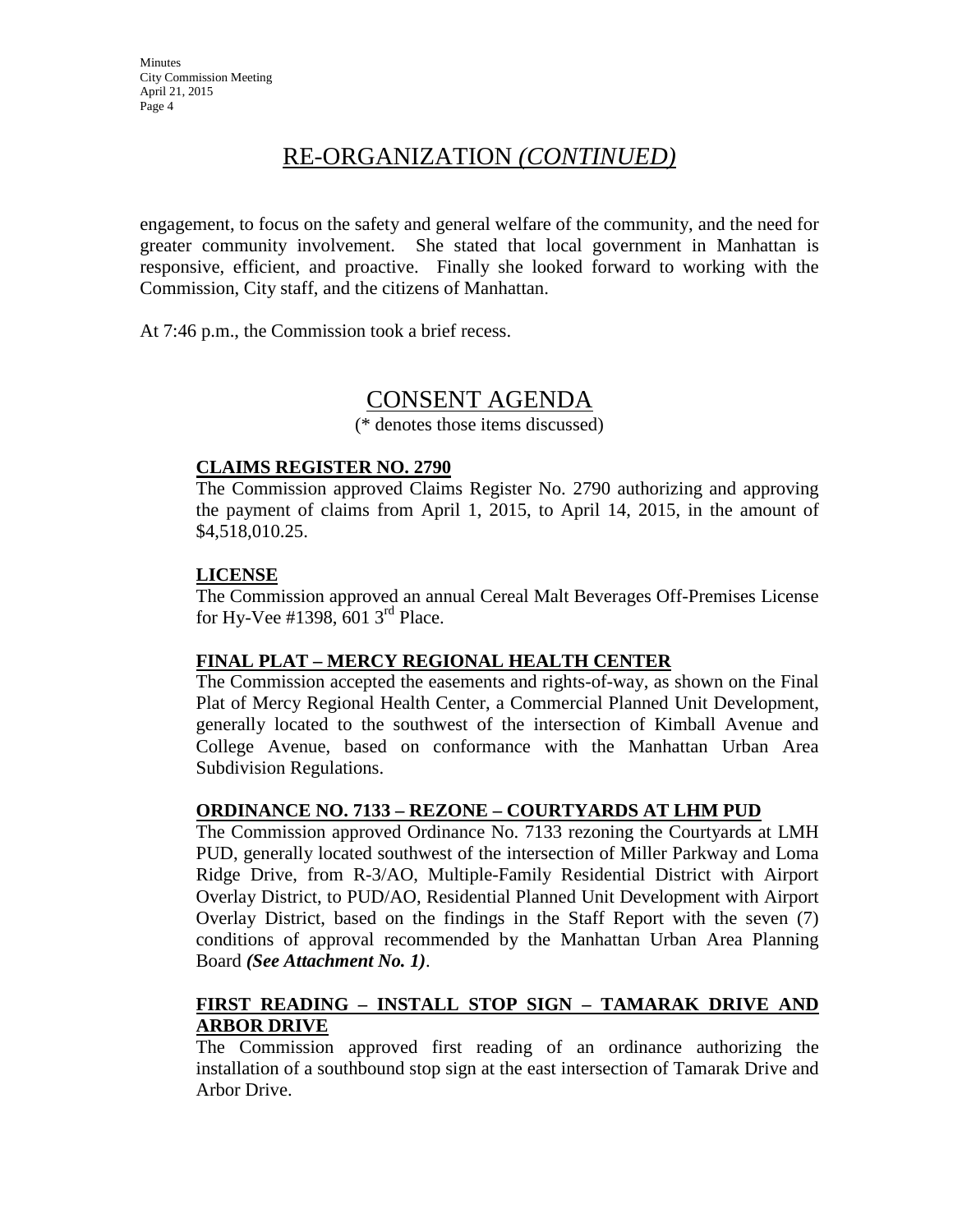# RE-ORGANIZATION *(CONTINUED)*

engagement, to focus on the safety and general welfare of the community, and the need for greater community involvement. She stated that local government in Manhattan is responsive, efficient, and proactive. Finally she looked forward to working with the Commission, City staff, and the citizens of Manhattan.

At 7:46 p.m., the Commission took a brief recess.

# CONSENT AGENDA

(\* denotes those items discussed)

### **CLAIMS REGISTER NO. 2790**

The Commission approved Claims Register No. 2790 authorizing and approving the payment of claims from April 1, 2015, to April 14, 2015, in the amount of \$4,518,010.25.

## **LICENSE**

The Commission approved an annual Cereal Malt Beverages Off-Premises License for Hy-Vee #1398,  $601$  3<sup>rd</sup> Place.

### **FINAL PLAT – MERCY REGIONAL HEALTH CENTER**

The Commission accepted the easements and rights-of-way, as shown on the Final Plat of Mercy Regional Health Center, a Commercial Planned Unit Development, generally located to the southwest of the intersection of Kimball Avenue and College Avenue, based on conformance with the Manhattan Urban Area Subdivision Regulations.

## **ORDINANCE NO. 7133 – REZONE – COURTYARDS AT LHM PUD**

The Commission approved Ordinance No. 7133 rezoning the Courtyards at LMH PUD, generally located southwest of the intersection of Miller Parkway and Loma Ridge Drive, from R-3/AO, Multiple-Family Residential District with Airport Overlay District, to PUD/AO, Residential Planned Unit Development with Airport Overlay District, based on the findings in the Staff Report with the seven (7) conditions of approval recommended by the Manhattan Urban Area Planning Board *(See Attachment No. 1)*.

## **FIRST READING – INSTALL STOP SIGN – TAMARAK DRIVE AND ARBOR DRIVE**

The Commission approved first reading of an ordinance authorizing the installation of a southbound stop sign at the east intersection of Tamarak Drive and Arbor Drive.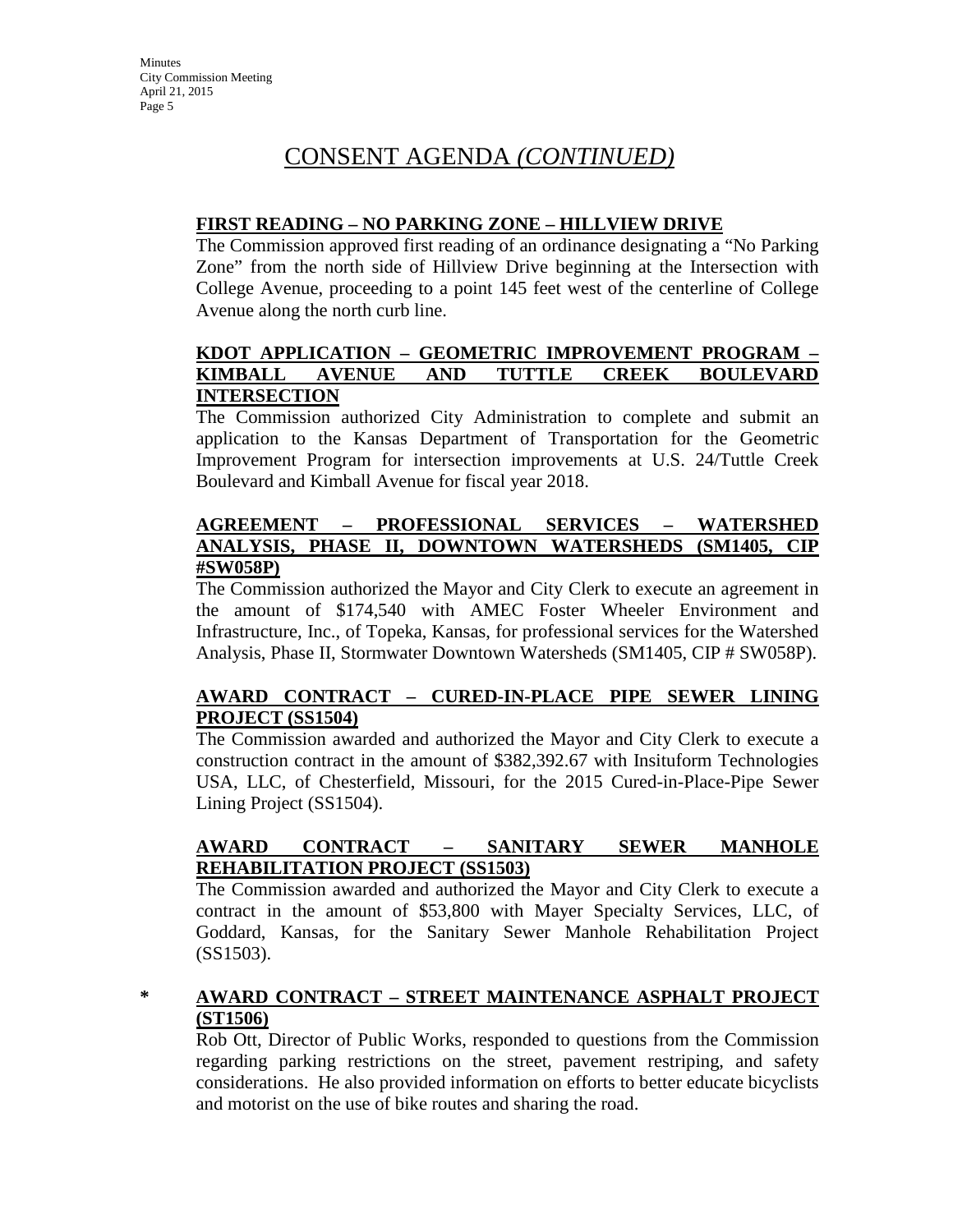# CONSENT AGENDA *(CONTINUED)*

## **FIRST READING – NO PARKING ZONE – HILLVIEW DRIVE**

The Commission approved first reading of an ordinance designating a "No Parking Zone" from the north side of Hillview Drive beginning at the Intersection with College Avenue, proceeding to a point 145 feet west of the centerline of College Avenue along the north curb line.

## **KDOT APPLICATION – GEOMETRIC IMPROVEMENT PROGRAM – KIMBALL AVENUE AND TUTTLE CREEK BOULEVARD INTERSECTION**

The Commission authorized City Administration to complete and submit an application to the Kansas Department of Transportation for the Geometric Improvement Program for intersection improvements at U.S. 24/Tuttle Creek Boulevard and Kimball Avenue for fiscal year 2018.

## **AGREEMENT – PROFESSIONAL SERVICES – WATERSHED ANALYSIS, PHASE II, DOWNTOWN WATERSHEDS (SM1405, CIP #SW058P)**

The Commission authorized the Mayor and City Clerk to execute an agreement in the amount of \$174,540 with AMEC Foster Wheeler Environment and Infrastructure, Inc., of Topeka, Kansas, for professional services for the Watershed Analysis, Phase II, Stormwater Downtown Watersheds (SM1405, CIP # SW058P).

# **AWARD CONTRACT – CURED-IN-PLACE PIPE SEWER LINING PROJECT (SS1504)**

The Commission awarded and authorized the Mayor and City Clerk to execute a construction contract in the amount of \$382,392.67 with Insituform Technologies USA, LLC, of Chesterfield, Missouri, for the 2015 Cured-in-Place-Pipe Sewer Lining Project (SS1504).

## **AWARD CONTRACT – SANITARY SEWER MANHOLE REHABILITATION PROJECT (SS1503)**

The Commission awarded and authorized the Mayor and City Clerk to execute a contract in the amount of \$53,800 with Mayer Specialty Services, LLC, of Goddard, Kansas, for the Sanitary Sewer Manhole Rehabilitation Project (SS1503).

## **\* AWARD CONTRACT – STREET MAINTENANCE ASPHALT PROJECT (ST1506)**

Rob Ott, Director of Public Works, responded to questions from the Commission regarding parking restrictions on the street, pavement restriping, and safety considerations. He also provided information on efforts to better educate bicyclists and motorist on the use of bike routes and sharing the road.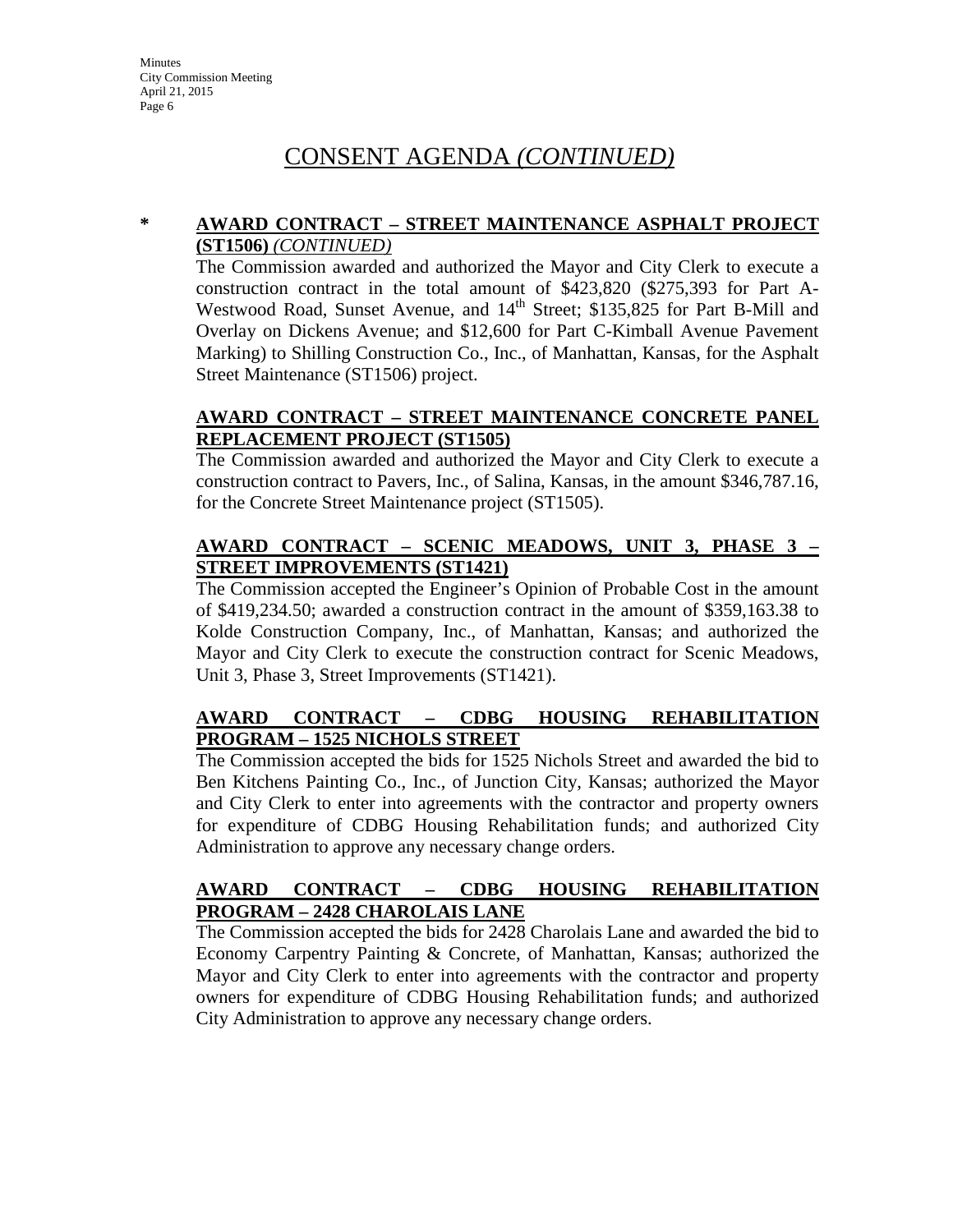# CONSENT AGENDA *(CONTINUED)*

### **\* AWARD CONTRACT – STREET MAINTENANCE ASPHALT PROJECT (ST1506)** *(CONTINUED)*

The Commission awarded and authorized the Mayor and City Clerk to execute a construction contract in the total amount of \$423,820 (\$275,393 for Part A-Westwood Road, Sunset Avenue, and 14<sup>th</sup> Street; \$135,825 for Part B-Mill and Overlay on Dickens Avenue; and \$12,600 for Part C-Kimball Avenue Pavement Marking) to Shilling Construction Co., Inc., of Manhattan, Kansas, for the Asphalt Street Maintenance (ST1506) project.

# **AWARD CONTRACT – STREET MAINTENANCE CONCRETE PANEL REPLACEMENT PROJECT (ST1505)**

The Commission awarded and authorized the Mayor and City Clerk to execute a construction contract to Pavers, Inc., of Salina, Kansas, in the amount \$346,787.16, for the Concrete Street Maintenance project (ST1505).

## **AWARD CONTRACT – SCENIC MEADOWS, UNIT 3, PHASE 3 – STREET IMPROVEMENTS (ST1421)**

The Commission accepted the Engineer's Opinion of Probable Cost in the amount of \$419,234.50; awarded a construction contract in the amount of \$359,163.38 to Kolde Construction Company, Inc., of Manhattan, Kansas; and authorized the Mayor and City Clerk to execute the construction contract for Scenic Meadows, Unit 3, Phase 3, Street Improvements (ST1421).

# **AWARD CONTRACT – CDBG HOUSING REHABILITATION PROGRAM – 1525 NICHOLS STREET**

The Commission accepted the bids for 1525 Nichols Street and awarded the bid to Ben Kitchens Painting Co., Inc., of Junction City, Kansas; authorized the Mayor and City Clerk to enter into agreements with the contractor and property owners for expenditure of CDBG Housing Rehabilitation funds; and authorized City Administration to approve any necessary change orders.

# **AWARD CONTRACT – CDBG HOUSING REHABILITATION PROGRAM – 2428 CHAROLAIS LANE**

The Commission accepted the bids for 2428 Charolais Lane and awarded the bid to Economy Carpentry Painting & Concrete, of Manhattan, Kansas; authorized the Mayor and City Clerk to enter into agreements with the contractor and property owners for expenditure of CDBG Housing Rehabilitation funds; and authorized City Administration to approve any necessary change orders.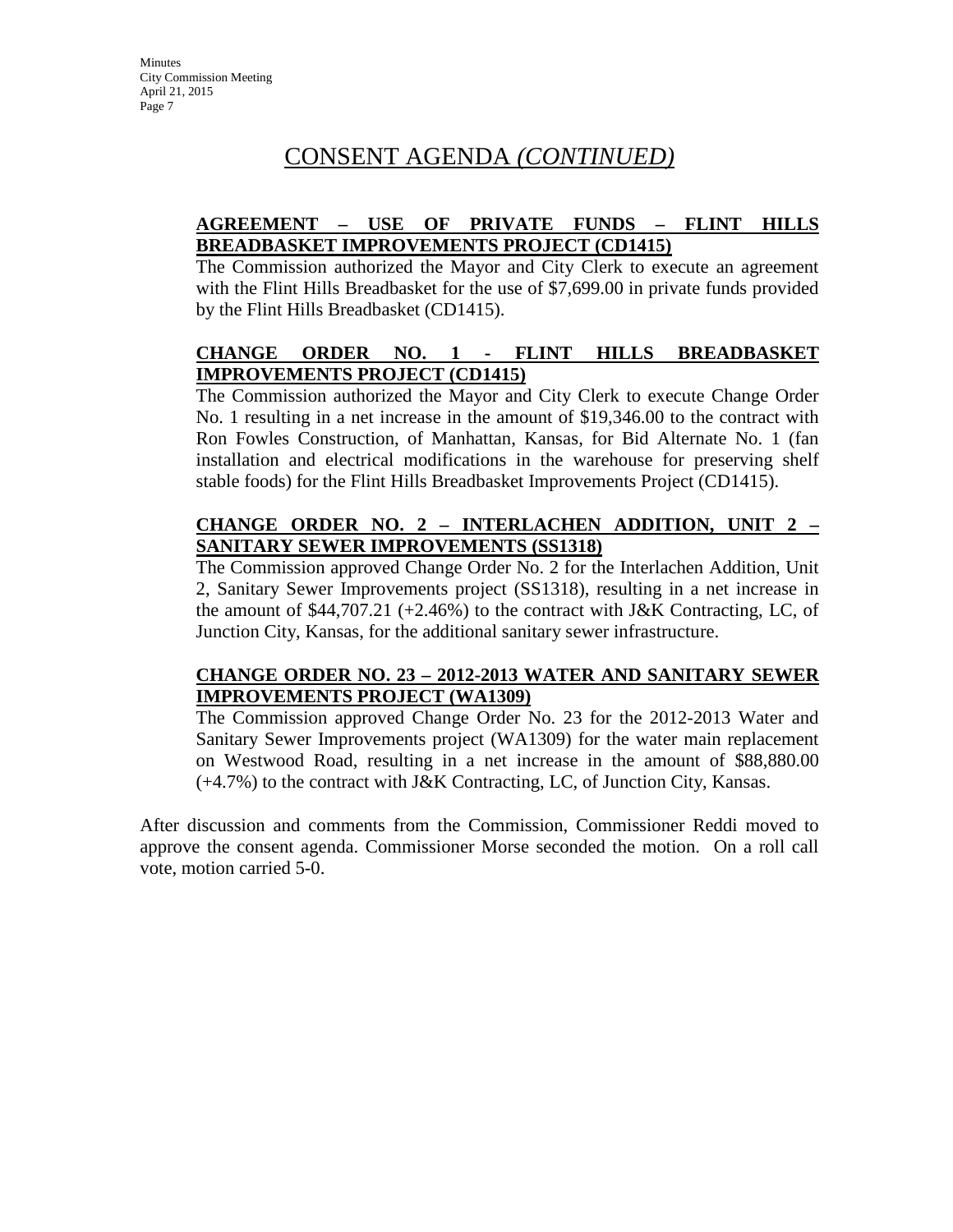# CONSENT AGENDA *(CONTINUED)*

# **AGREEMENT – USE OF PRIVATE FUNDS – FLINT HILLS BREADBASKET IMPROVEMENTS PROJECT (CD1415)**

The Commission authorized the Mayor and City Clerk to execute an agreement with the Flint Hills Breadbasket for the use of \$7,699.00 in private funds provided by the Flint Hills Breadbasket (CD1415).

# **CHANGE ORDER NO. 1 - FLINT HILLS BREADBASKET IMPROVEMENTS PROJECT (CD1415)**

The Commission authorized the Mayor and City Clerk to execute Change Order No. 1 resulting in a net increase in the amount of \$19,346.00 to the contract with Ron Fowles Construction, of Manhattan, Kansas, for Bid Alternate No. 1 (fan installation and electrical modifications in the warehouse for preserving shelf stable foods) for the Flint Hills Breadbasket Improvements Project (CD1415).

# **CHANGE ORDER NO. 2 – INTERLACHEN ADDITION, UNIT 2 – SANITARY SEWER IMPROVEMENTS (SS1318)**

The Commission approved Change Order No. 2 for the Interlachen Addition, Unit 2, Sanitary Sewer Improvements project (SS1318), resulting in a net increase in the amount of  $$44,707.21$  (+2.46%) to the contract with J&K Contracting, LC, of Junction City, Kansas, for the additional sanitary sewer infrastructure.

## **CHANGE ORDER NO. 23 – 2012-2013 WATER AND SANITARY SEWER IMPROVEMENTS PROJECT (WA1309)**

The Commission approved Change Order No. 23 for the 2012-2013 Water and Sanitary Sewer Improvements project (WA1309) for the water main replacement on Westwood Road, resulting in a net increase in the amount of \$88,880.00  $(+4.7%)$  to the contract with J&K Contracting, LC, of Junction City, Kansas.

After discussion and comments from the Commission, Commissioner Reddi moved to approve the consent agenda. Commissioner Morse seconded the motion. On a roll call vote, motion carried 5-0.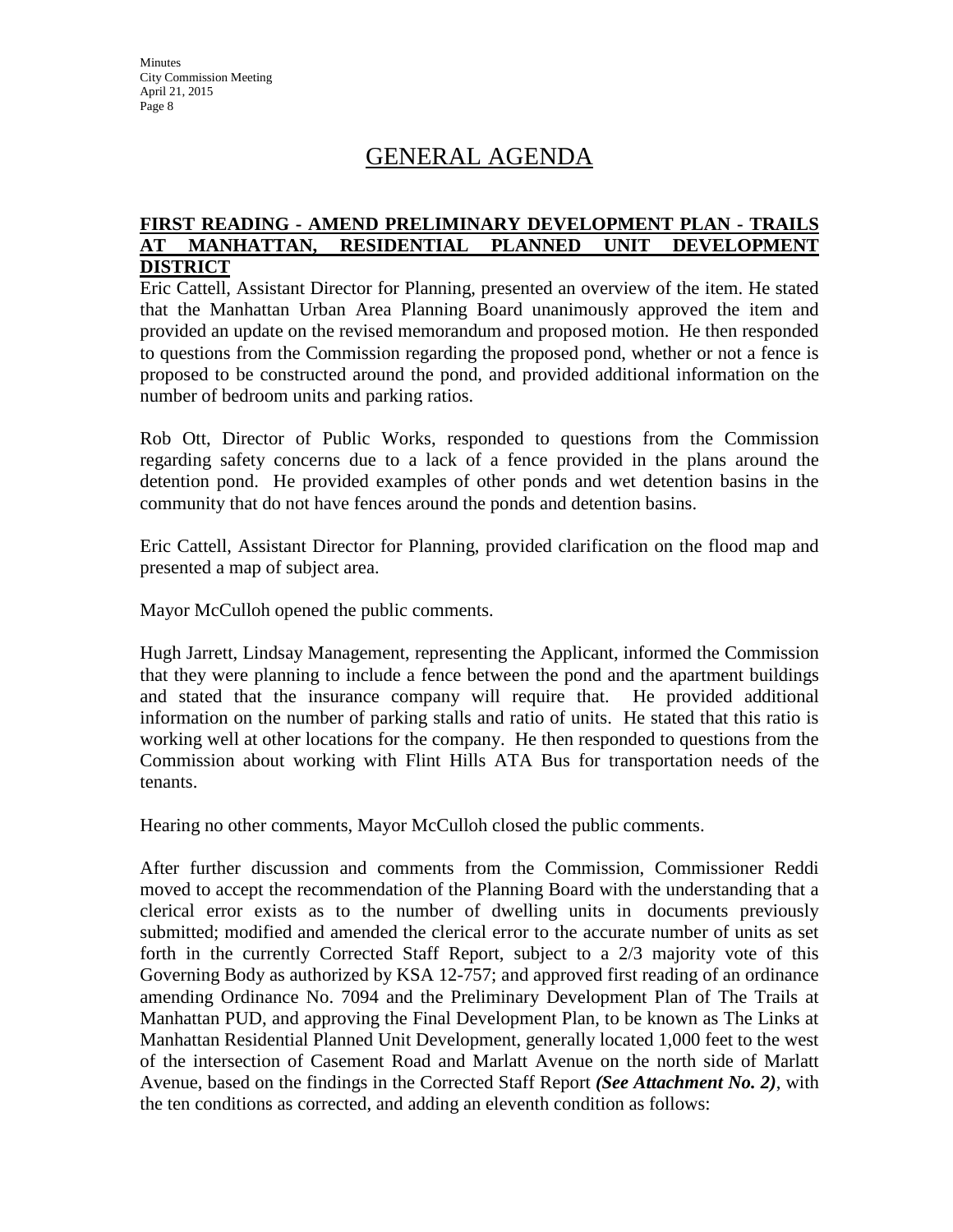# GENERAL AGENDA

### **FIRST READING - AMEND PRELIMINARY DEVELOPMENT PLAN - TRAILS AT MANHATTAN, RESIDENTIAL PLANNED UNIT DEVELOPMENT DISTRICT**

Eric Cattell, Assistant Director for Planning, presented an overview of the item. He stated that the Manhattan Urban Area Planning Board unanimously approved the item and provided an update on the revised memorandum and proposed motion. He then responded to questions from the Commission regarding the proposed pond, whether or not a fence is proposed to be constructed around the pond, and provided additional information on the number of bedroom units and parking ratios.

Rob Ott, Director of Public Works, responded to questions from the Commission regarding safety concerns due to a lack of a fence provided in the plans around the detention pond. He provided examples of other ponds and wet detention basins in the community that do not have fences around the ponds and detention basins.

Eric Cattell, Assistant Director for Planning, provided clarification on the flood map and presented a map of subject area.

Mayor McCulloh opened the public comments.

Hugh Jarrett, Lindsay Management, representing the Applicant, informed the Commission that they were planning to include a fence between the pond and the apartment buildings and stated that the insurance company will require that. He provided additional information on the number of parking stalls and ratio of units. He stated that this ratio is working well at other locations for the company. He then responded to questions from the Commission about working with Flint Hills ATA Bus for transportation needs of the tenants.

Hearing no other comments, Mayor McCulloh closed the public comments.

After further discussion and comments from the Commission, Commissioner Reddi moved to accept the recommendation of the Planning Board with the understanding that a clerical error exists as to the number of dwelling units in documents previously submitted; modified and amended the clerical error to the accurate number of units as set forth in the currently Corrected Staff Report, subject to a 2/3 majority vote of this Governing Body as authorized by KSA 12-757; and approved first reading of an ordinance amending Ordinance No. 7094 and the Preliminary Development Plan of The Trails at Manhattan PUD, and approving the Final Development Plan, to be known as The Links at Manhattan Residential Planned Unit Development, generally located 1,000 feet to the west of the intersection of Casement Road and Marlatt Avenue on the north side of Marlatt Avenue, based on the findings in the Corrected Staff Report *(See Attachment No. 2)*, with the ten conditions as corrected, and adding an eleventh condition as follows: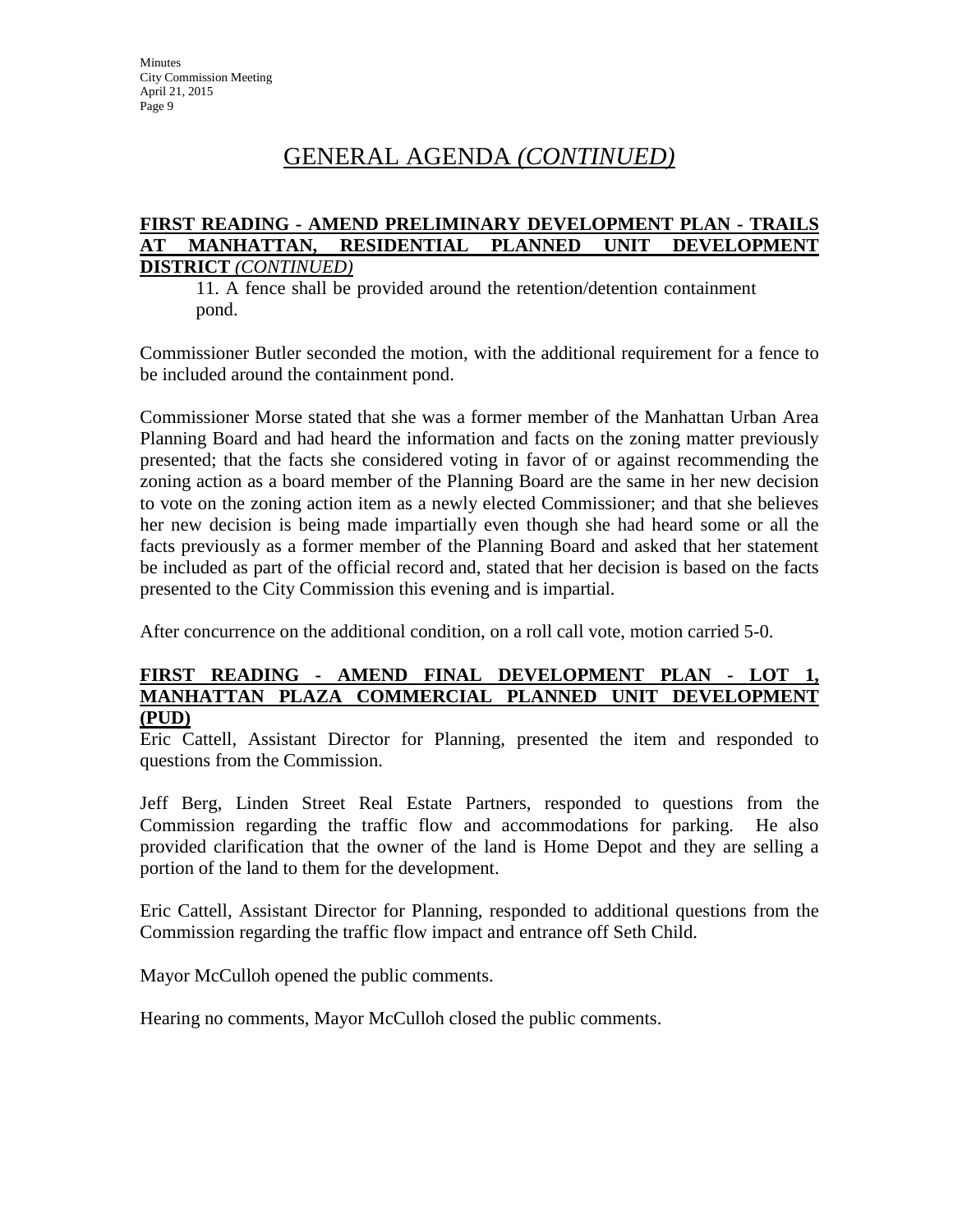# GENERAL AGENDA *(CONTINUED)*

#### **FIRST READING - AMEND PRELIMINARY DEVELOPMENT PLAN - TRAILS AT MANHATTAN, RESIDENTIAL PLANNED UNIT DEVELOPMENT DISTRICT** *(CONTINUED)*

11. A fence shall be provided around the retention/detention containment pond.

Commissioner Butler seconded the motion, with the additional requirement for a fence to be included around the containment pond.

Commissioner Morse stated that she was a former member of the Manhattan Urban Area Planning Board and had heard the information and facts on the zoning matter previously presented; that the facts she considered voting in favor of or against recommending the zoning action as a board member of the Planning Board are the same in her new decision to vote on the zoning action item as a newly elected Commissioner; and that she believes her new decision is being made impartially even though she had heard some or all the facts previously as a former member of the Planning Board and asked that her statement be included as part of the official record and, stated that her decision is based on the facts presented to the City Commission this evening and is impartial.

After concurrence on the additional condition, on a roll call vote, motion carried 5-0.

### **FIRST READING - AMEND FINAL DEVELOPMENT PLAN - LOT 1, MANHATTAN PLAZA COMMERCIAL PLANNED UNIT DEVELOPMENT (PUD)**

Eric Cattell, Assistant Director for Planning, presented the item and responded to questions from the Commission.

Jeff Berg, Linden Street Real Estate Partners, responded to questions from the Commission regarding the traffic flow and accommodations for parking. He also provided clarification that the owner of the land is Home Depot and they are selling a portion of the land to them for the development.

Eric Cattell, Assistant Director for Planning, responded to additional questions from the Commission regarding the traffic flow impact and entrance off Seth Child.

Mayor McCulloh opened the public comments.

Hearing no comments, Mayor McCulloh closed the public comments.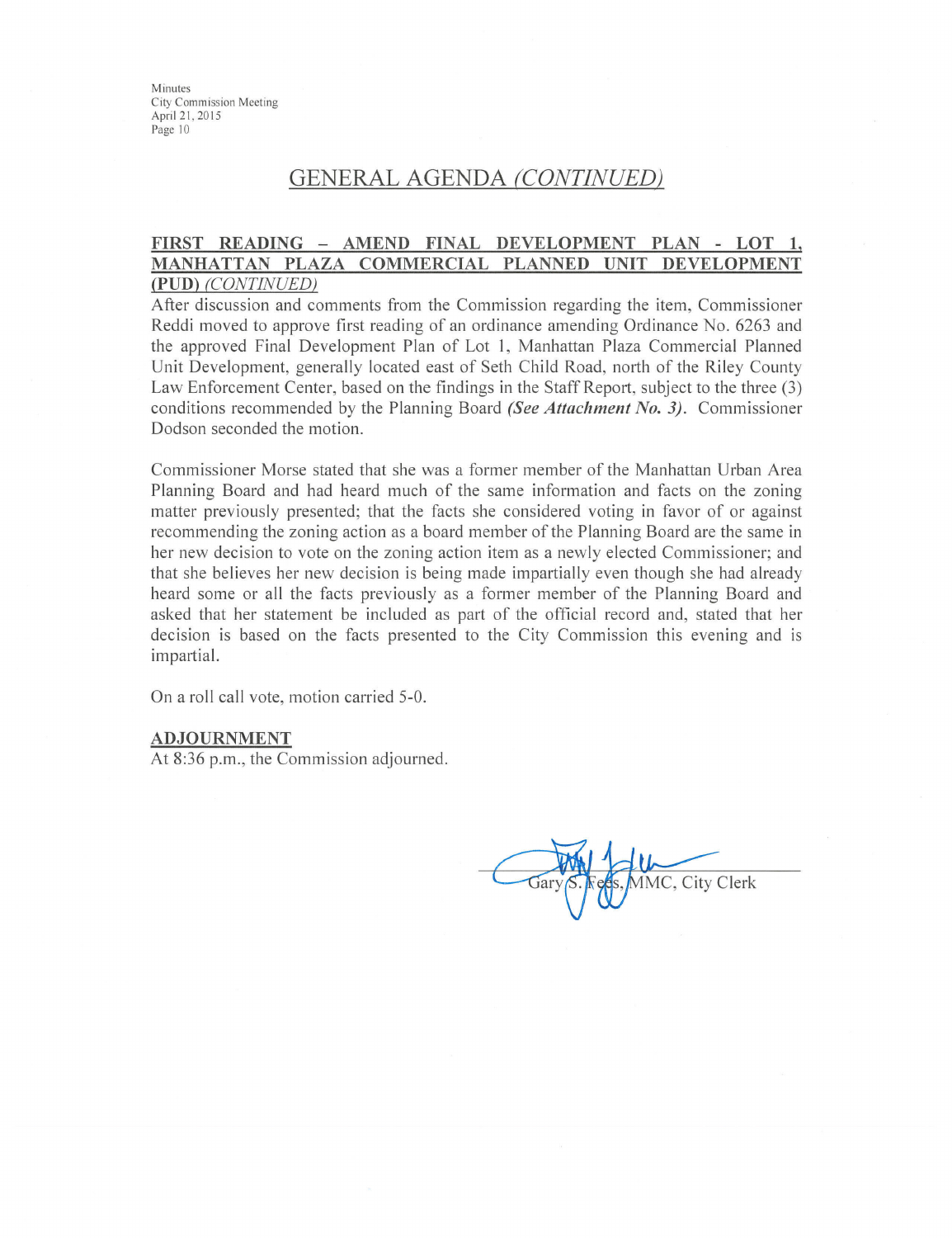# **GENERAL AGENDA (CONTINUED)**

#### FIRST READING - AMEND FINAL DEVELOPMENT PLAN - LOT 1, MANHATTAN PLAZA COMMERCIAL PLANNED UNIT DEVELOPMENT (PUD) (CONTINUED)

After discussion and comments from the Commission regarding the item, Commissioner Reddi moved to approve first reading of an ordinance amending Ordinance No. 6263 and the approved Final Development Plan of Lot 1, Manhattan Plaza Commercial Planned Unit Development, generally located east of Seth Child Road, north of the Riley County Law Enforcement Center, based on the findings in the Staff Report, subject to the three (3) conditions recommended by the Planning Board (See Attachment No. 3). Commissioner Dodson seconded the motion.

Commissioner Morse stated that she was a former member of the Manhattan Urban Area Planning Board and had heard much of the same information and facts on the zoning matter previously presented; that the facts she considered voting in favor of or against recommending the zoning action as a board member of the Planning Board are the same in her new decision to vote on the zoning action item as a newly elected Commissioner; and that she believes her new decision is being made impartially even though she had already heard some or all the facts previously as a former member of the Planning Board and asked that her statement be included as part of the official record and, stated that her decision is based on the facts presented to the City Commission this evening and is impartial.

On a roll call vote, motion carried 5-0.

#### **ADJOURNMENT**

At 8:36 p.m., the Commission adjourned.

IMC, City Clerk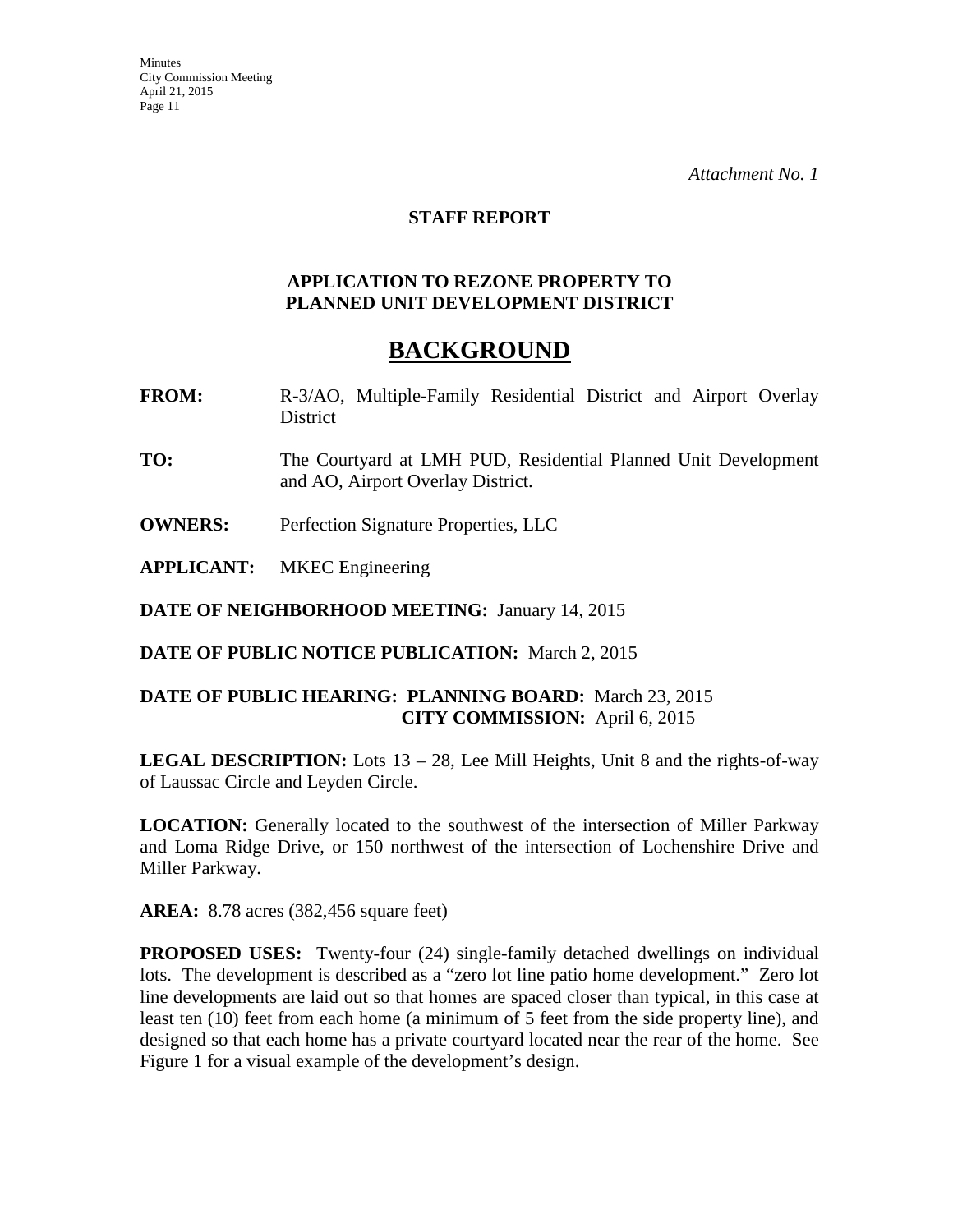### **STAFF REPORT**

### **APPLICATION TO REZONE PROPERTY TO PLANNED UNIT DEVELOPMENT DISTRICT**

# **BACKGROUND**

- **FROM:** R-3/AO, Multiple-Family Residential District and Airport Overlay District
- **TO:** The Courtyard at LMH PUD, Residential Planned Unit Development and AO, Airport Overlay District.
- **OWNERS:** Perfection Signature Properties, LLC
- **APPLICANT:** MKEC Engineering

**DATE OF NEIGHBORHOOD MEETING:** January 14, 2015

**DATE OF PUBLIC NOTICE PUBLICATION:** March 2, 2015

## **DATE OF PUBLIC HEARING: PLANNING BOARD:** March 23, 2015 **CITY COMMISSION:** April 6, 2015

**LEGAL DESCRIPTION:** Lots 13 – 28, Lee Mill Heights, Unit 8 and the rights-of-way of Laussac Circle and Leyden Circle.

**LOCATION:** Generally located to the southwest of the intersection of Miller Parkway and Loma Ridge Drive, or 150 northwest of the intersection of Lochenshire Drive and Miller Parkway.

**AREA:** 8.78 acres (382,456 square feet)

**PROPOSED USES:** Twenty-four (24) single-family detached dwellings on individual lots. The development is described as a "zero lot line patio home development." Zero lot line developments are laid out so that homes are spaced closer than typical, in this case at least ten (10) feet from each home (a minimum of 5 feet from the side property line), and designed so that each home has a private courtyard located near the rear of the home. See Figure 1 for a visual example of the development's design.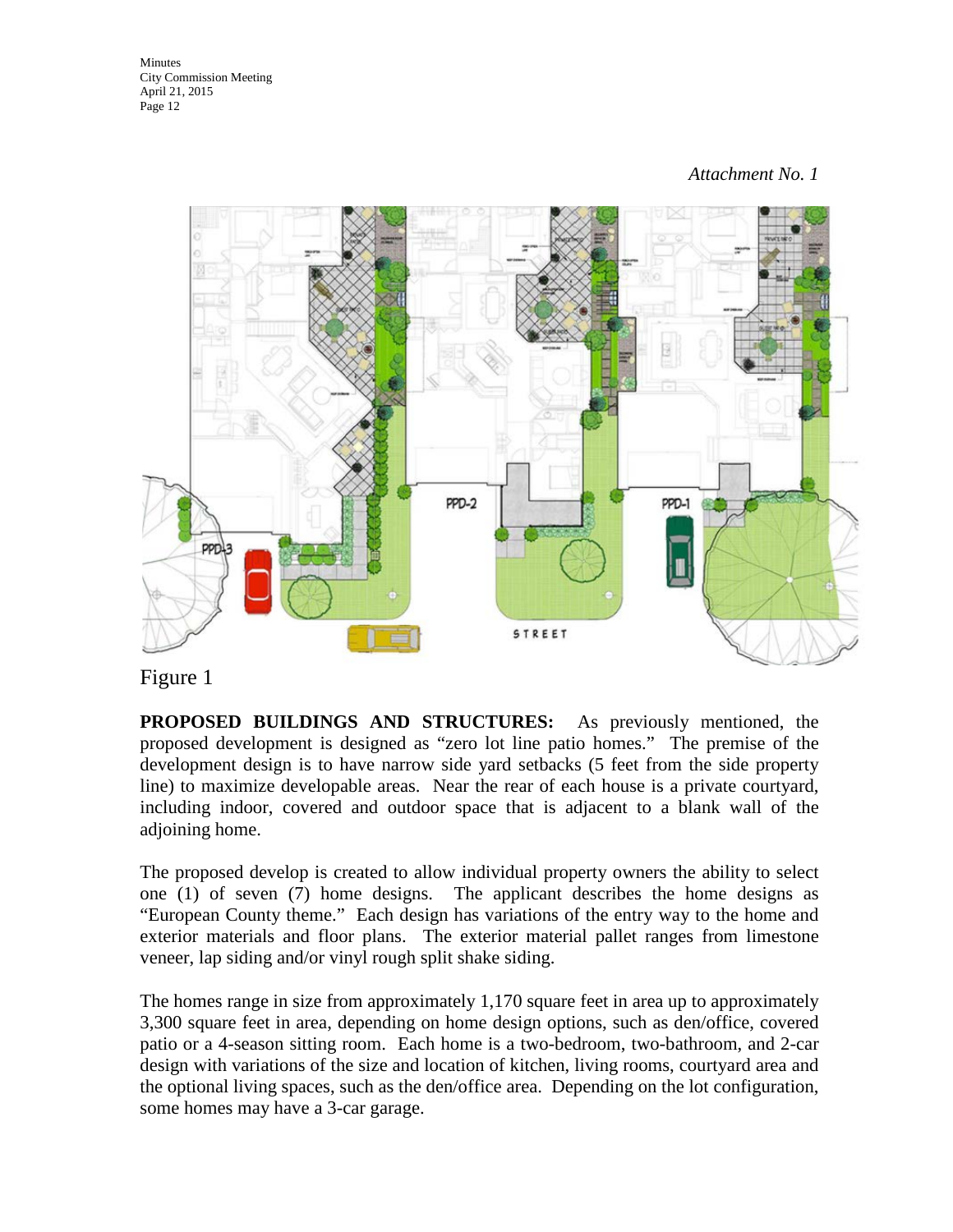

# Figure 1

**PROPOSED BUILDINGS AND STRUCTURES:** As previously mentioned, the proposed development is designed as "zero lot line patio homes." The premise of the development design is to have narrow side yard setbacks (5 feet from the side property line) to maximize developable areas. Near the rear of each house is a private courtyard, including indoor, covered and outdoor space that is adjacent to a blank wall of the adjoining home.

The proposed develop is created to allow individual property owners the ability to select one (1) of seven (7) home designs. The applicant describes the home designs as "European County theme." Each design has variations of the entry way to the home and exterior materials and floor plans. The exterior material pallet ranges from limestone veneer, lap siding and/or vinyl rough split shake siding.

The homes range in size from approximately 1,170 square feet in area up to approximately 3,300 square feet in area, depending on home design options, such as den/office, covered patio or a 4-season sitting room. Each home is a two-bedroom, two-bathroom, and 2-car design with variations of the size and location of kitchen, living rooms, courtyard area and the optional living spaces, such as the den/office area. Depending on the lot configuration, some homes may have a 3-car garage.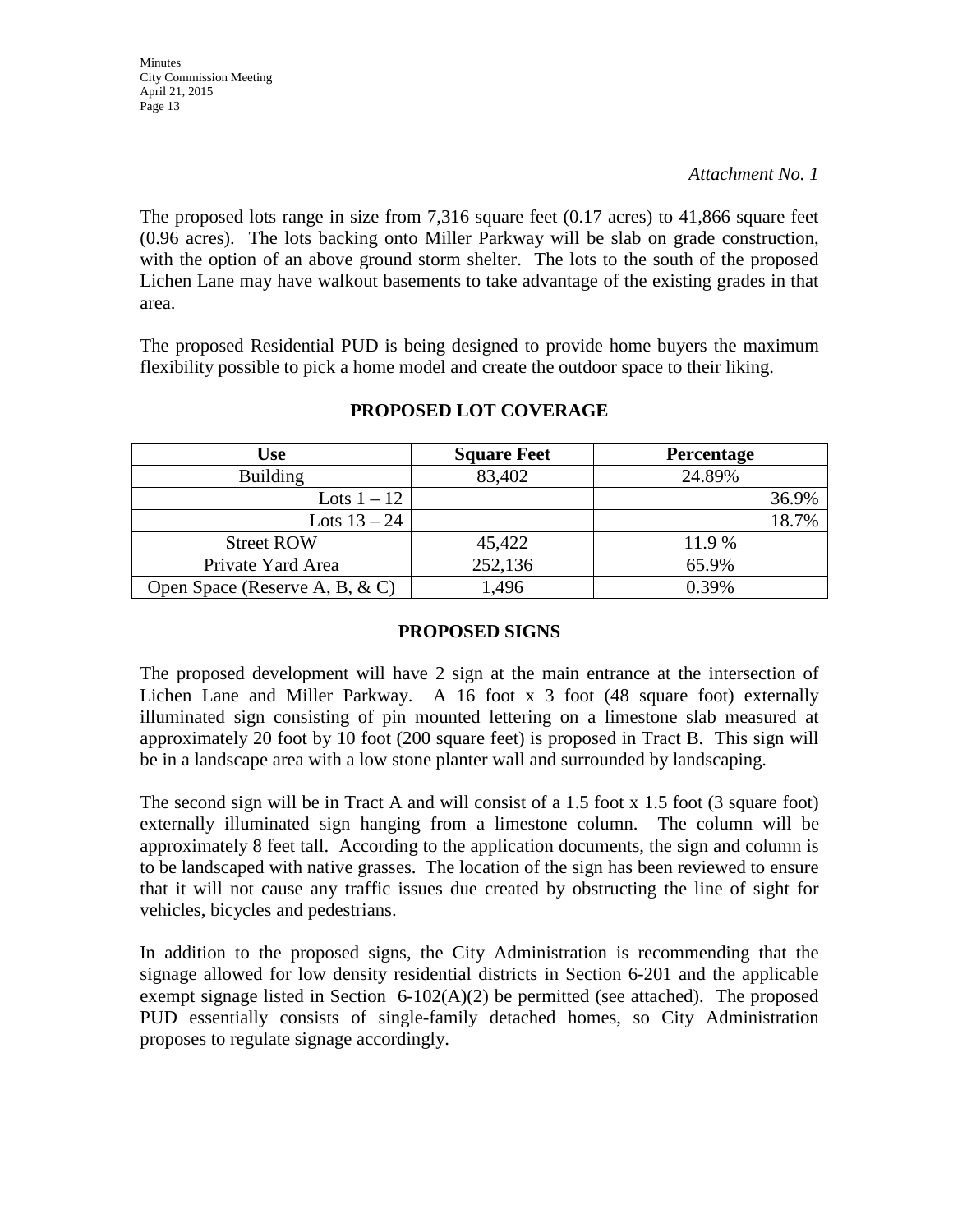The proposed lots range in size from 7,316 square feet (0.17 acres) to 41,866 square feet (0.96 acres). The lots backing onto Miller Parkway will be slab on grade construction, with the option of an above ground storm shelter. The lots to the south of the proposed Lichen Lane may have walkout basements to take advantage of the existing grades in that area.

The proposed Residential PUD is being designed to provide home buyers the maximum flexibility possible to pick a home model and create the outdoor space to their liking.

| <b>Use</b>                         | <b>Square Feet</b> | <b>Percentage</b> |
|------------------------------------|--------------------|-------------------|
| <b>Building</b>                    | 83,402             | 24.89%            |
| Lots $1-12$                        |                    | 36.9%             |
| Lots $13 - 24$                     |                    | 18.7%             |
| <b>Street ROW</b>                  | 45,422             | 11.9 %            |
| Private Yard Area                  | 252,136            | 65.9%             |
| Open Space (Reserve A, B, $\& C$ ) | 1,496              | 0.39%             |

## **PROPOSED LOT COVERAGE**

## **PROPOSED SIGNS**

The proposed development will have 2 sign at the main entrance at the intersection of Lichen Lane and Miller Parkway. A 16 foot x 3 foot (48 square foot) externally illuminated sign consisting of pin mounted lettering on a limestone slab measured at approximately 20 foot by 10 foot (200 square feet) is proposed in Tract B. This sign will be in a landscape area with a low stone planter wall and surrounded by landscaping.

The second sign will be in Tract A and will consist of a 1.5 foot x 1.5 foot (3 square foot) externally illuminated sign hanging from a limestone column. The column will be approximately 8 feet tall. According to the application documents, the sign and column is to be landscaped with native grasses. The location of the sign has been reviewed to ensure that it will not cause any traffic issues due created by obstructing the line of sight for vehicles, bicycles and pedestrians.

In addition to the proposed signs, the City Administration is recommending that the signage allowed for low density residential districts in Section 6-201 and the applicable exempt signage listed in Section  $6-102(A)(2)$  be permitted (see attached). The proposed PUD essentially consists of single-family detached homes, so City Administration proposes to regulate signage accordingly.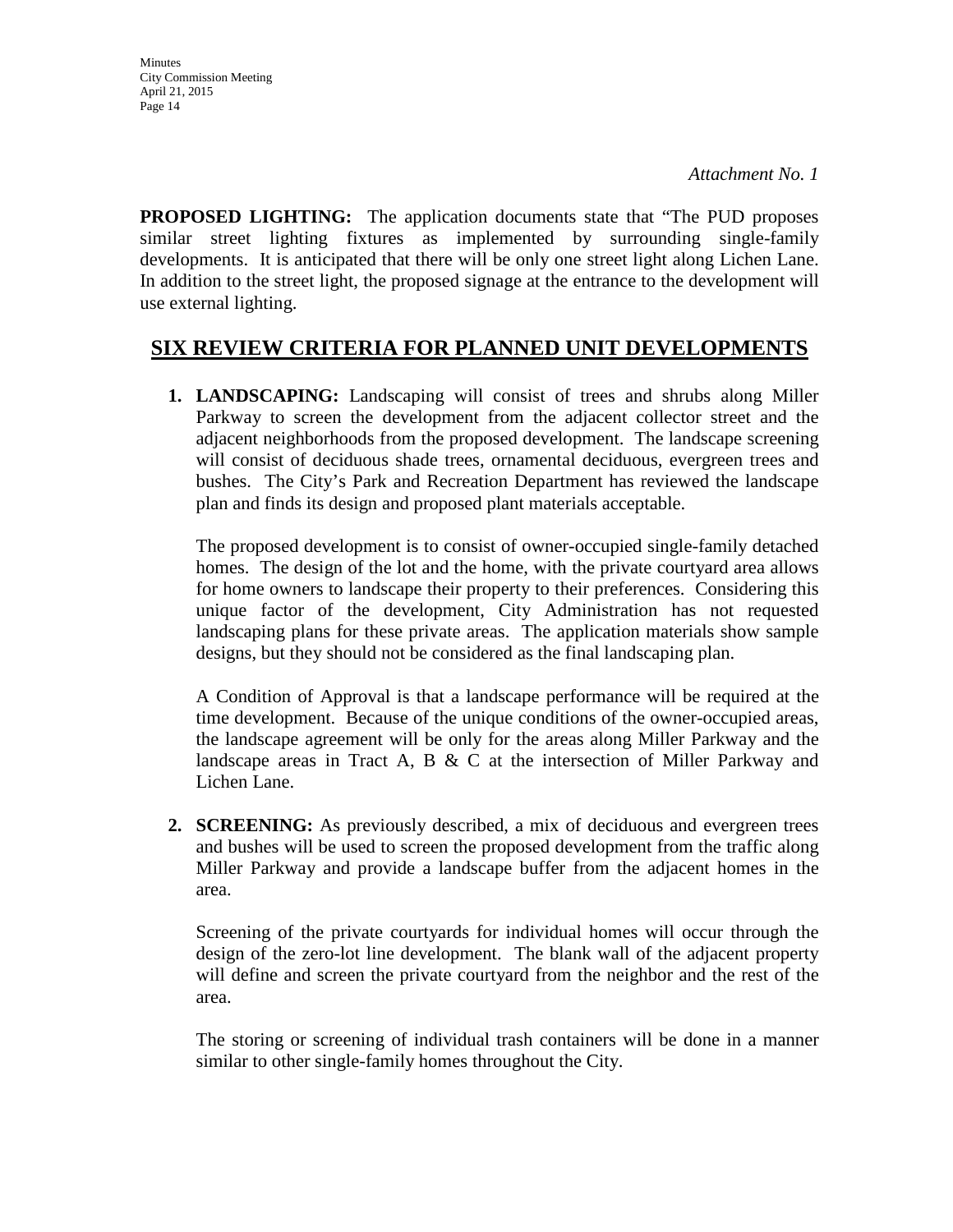**PROPOSED LIGHTING:** The application documents state that "The PUD proposes similar street lighting fixtures as implemented by surrounding single-family developments. It is anticipated that there will be only one street light along Lichen Lane. In addition to the street light, the proposed signage at the entrance to the development will use external lighting.

# **SIX REVIEW CRITERIA FOR PLANNED UNIT DEVELOPMENTS**

**1. LANDSCAPING:** Landscaping will consist of trees and shrubs along Miller Parkway to screen the development from the adjacent collector street and the adjacent neighborhoods from the proposed development. The landscape screening will consist of deciduous shade trees, ornamental deciduous, evergreen trees and bushes. The City's Park and Recreation Department has reviewed the landscape plan and finds its design and proposed plant materials acceptable.

The proposed development is to consist of owner-occupied single-family detached homes. The design of the lot and the home, with the private courtyard area allows for home owners to landscape their property to their preferences. Considering this unique factor of the development, City Administration has not requested landscaping plans for these private areas. The application materials show sample designs, but they should not be considered as the final landscaping plan.

A Condition of Approval is that a landscape performance will be required at the time development. Because of the unique conditions of the owner-occupied areas, the landscape agreement will be only for the areas along Miller Parkway and the landscape areas in Tract A, B  $&$  C at the intersection of Miller Parkway and Lichen Lane.

**2. SCREENING:** As previously described, a mix of deciduous and evergreen trees and bushes will be used to screen the proposed development from the traffic along Miller Parkway and provide a landscape buffer from the adjacent homes in the area.

Screening of the private courtyards for individual homes will occur through the design of the zero-lot line development. The blank wall of the adjacent property will define and screen the private courtyard from the neighbor and the rest of the area.

The storing or screening of individual trash containers will be done in a manner similar to other single-family homes throughout the City.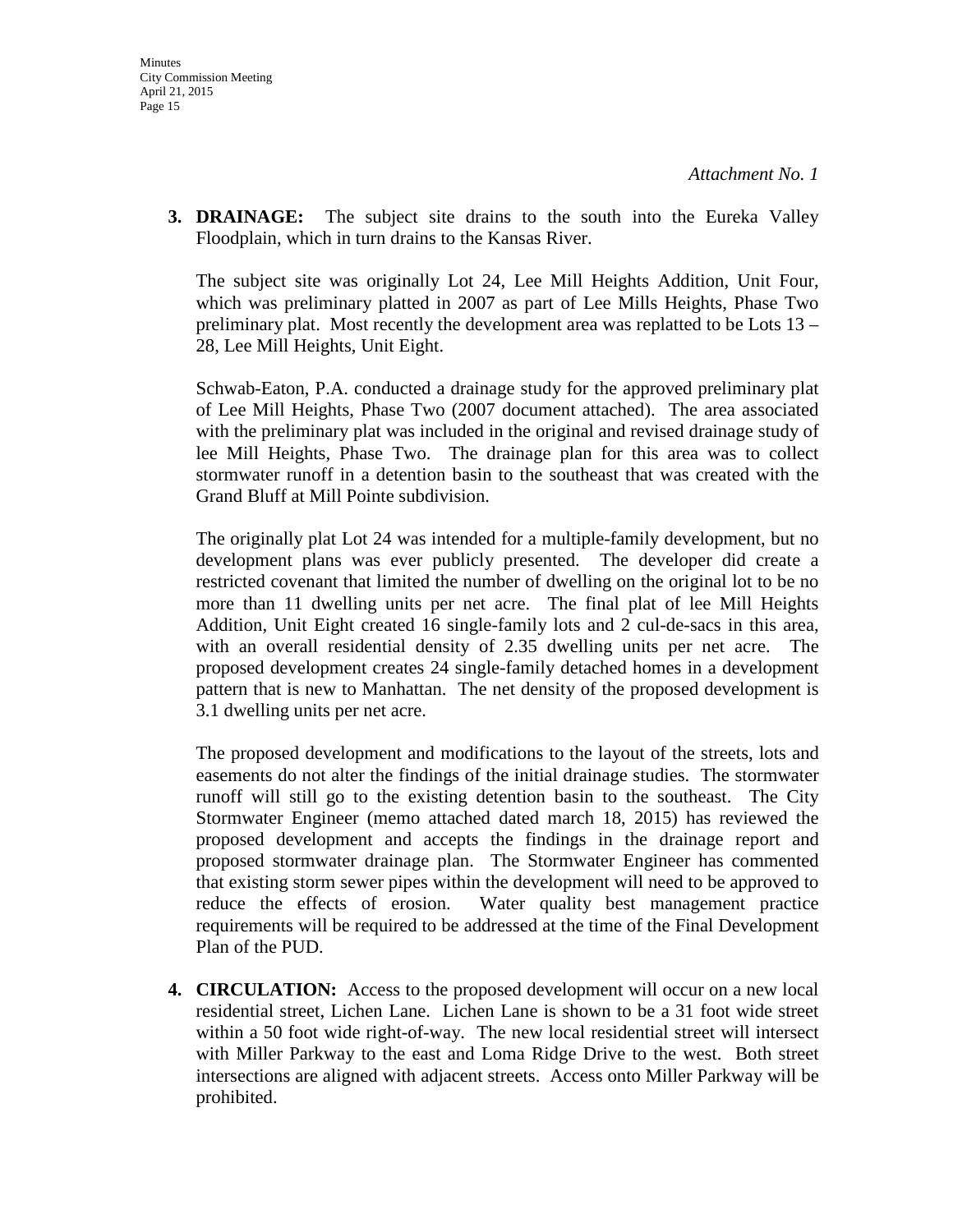**3. DRAINAGE:** The subject site drains to the south into the Eureka Valley Floodplain, which in turn drains to the Kansas River.

The subject site was originally Lot 24, Lee Mill Heights Addition, Unit Four, which was preliminary platted in 2007 as part of Lee Mills Heights, Phase Two preliminary plat. Most recently the development area was replatted to be Lots 13 – 28, Lee Mill Heights, Unit Eight.

Schwab-Eaton, P.A. conducted a drainage study for the approved preliminary plat of Lee Mill Heights, Phase Two (2007 document attached). The area associated with the preliminary plat was included in the original and revised drainage study of lee Mill Heights, Phase Two. The drainage plan for this area was to collect stormwater runoff in a detention basin to the southeast that was created with the Grand Bluff at Mill Pointe subdivision.

The originally plat Lot 24 was intended for a multiple-family development, but no development plans was ever publicly presented. The developer did create a restricted covenant that limited the number of dwelling on the original lot to be no more than 11 dwelling units per net acre. The final plat of lee Mill Heights Addition, Unit Eight created 16 single-family lots and 2 cul-de-sacs in this area, with an overall residential density of 2.35 dwelling units per net acre. The proposed development creates 24 single-family detached homes in a development pattern that is new to Manhattan. The net density of the proposed development is 3.1 dwelling units per net acre.

The proposed development and modifications to the layout of the streets, lots and easements do not alter the findings of the initial drainage studies. The stormwater runoff will still go to the existing detention basin to the southeast. The City Stormwater Engineer (memo attached dated march 18, 2015) has reviewed the proposed development and accepts the findings in the drainage report and proposed stormwater drainage plan. The Stormwater Engineer has commented that existing storm sewer pipes within the development will need to be approved to reduce the effects of erosion. Water quality best management practice requirements will be required to be addressed at the time of the Final Development Plan of the PUD.

**4. CIRCULATION:** Access to the proposed development will occur on a new local residential street, Lichen Lane. Lichen Lane is shown to be a 31 foot wide street within a 50 foot wide right-of-way. The new local residential street will intersect with Miller Parkway to the east and Loma Ridge Drive to the west. Both street intersections are aligned with adjacent streets. Access onto Miller Parkway will be prohibited.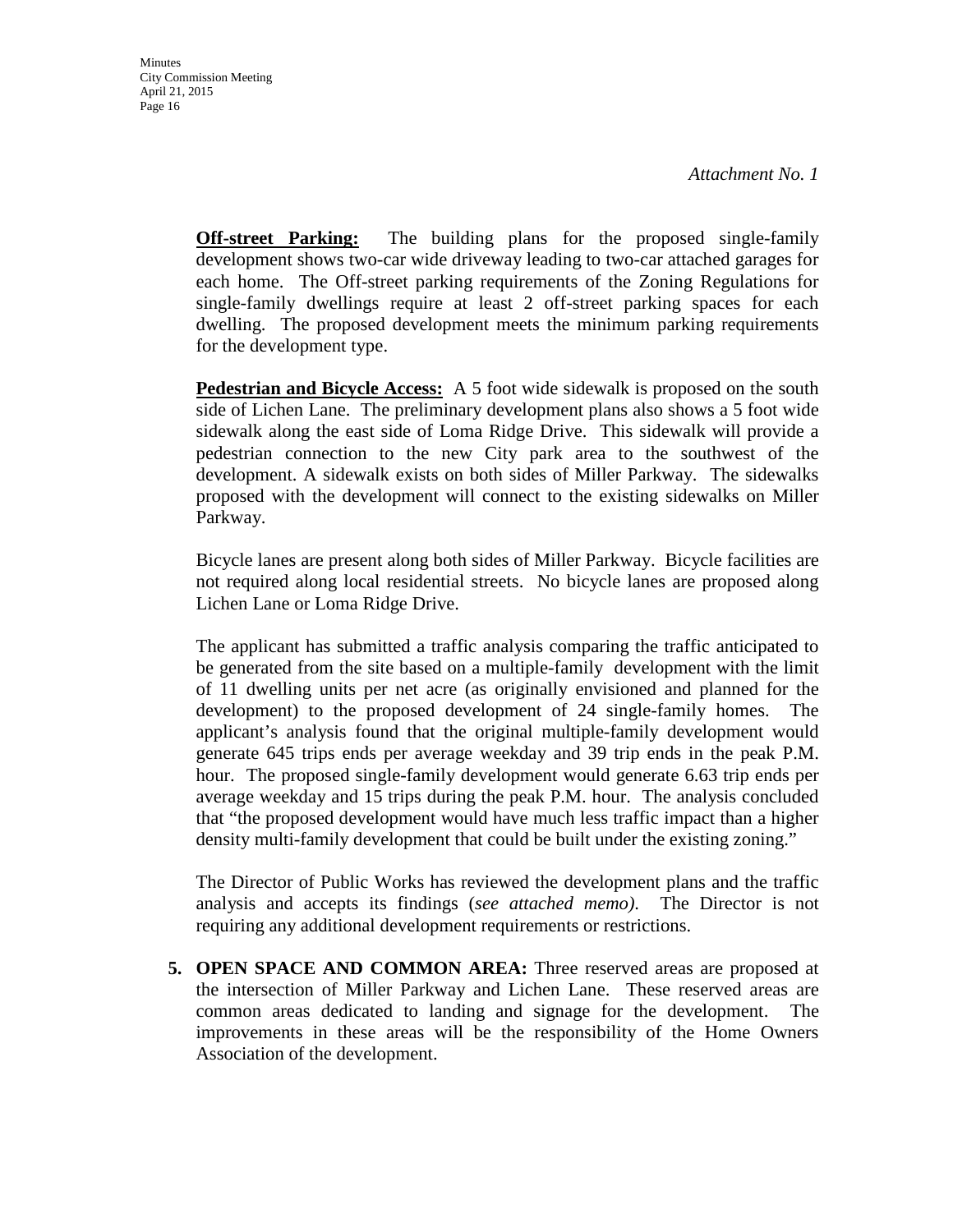**Off-street Parking:** The building plans for the proposed single-family development shows two-car wide driveway leading to two-car attached garages for each home. The Off-street parking requirements of the Zoning Regulations for single-family dwellings require at least 2 off-street parking spaces for each dwelling. The proposed development meets the minimum parking requirements for the development type.

**Pedestrian and Bicycle Access:** A 5 foot wide sidewalk is proposed on the south side of Lichen Lane. The preliminary development plans also shows a 5 foot wide sidewalk along the east side of Loma Ridge Drive. This sidewalk will provide a pedestrian connection to the new City park area to the southwest of the development. A sidewalk exists on both sides of Miller Parkway. The sidewalks proposed with the development will connect to the existing sidewalks on Miller Parkway.

Bicycle lanes are present along both sides of Miller Parkway. Bicycle facilities are not required along local residential streets. No bicycle lanes are proposed along Lichen Lane or Loma Ridge Drive.

The applicant has submitted a traffic analysis comparing the traffic anticipated to be generated from the site based on a multiple-family development with the limit of 11 dwelling units per net acre (as originally envisioned and planned for the development) to the proposed development of 24 single-family homes. The applicant's analysis found that the original multiple-family development would generate 645 trips ends per average weekday and 39 trip ends in the peak P.M. hour. The proposed single-family development would generate 6.63 trip ends per average weekday and 15 trips during the peak P.M. hour. The analysis concluded that "the proposed development would have much less traffic impact than a higher density multi-family development that could be built under the existing zoning."

The Director of Public Works has reviewed the development plans and the traffic analysis and accepts its findings (*see attached memo)*. The Director is not requiring any additional development requirements or restrictions.

**5. OPEN SPACE AND COMMON AREA:** Three reserved areas are proposed at the intersection of Miller Parkway and Lichen Lane. These reserved areas are common areas dedicated to landing and signage for the development. The improvements in these areas will be the responsibility of the Home Owners Association of the development.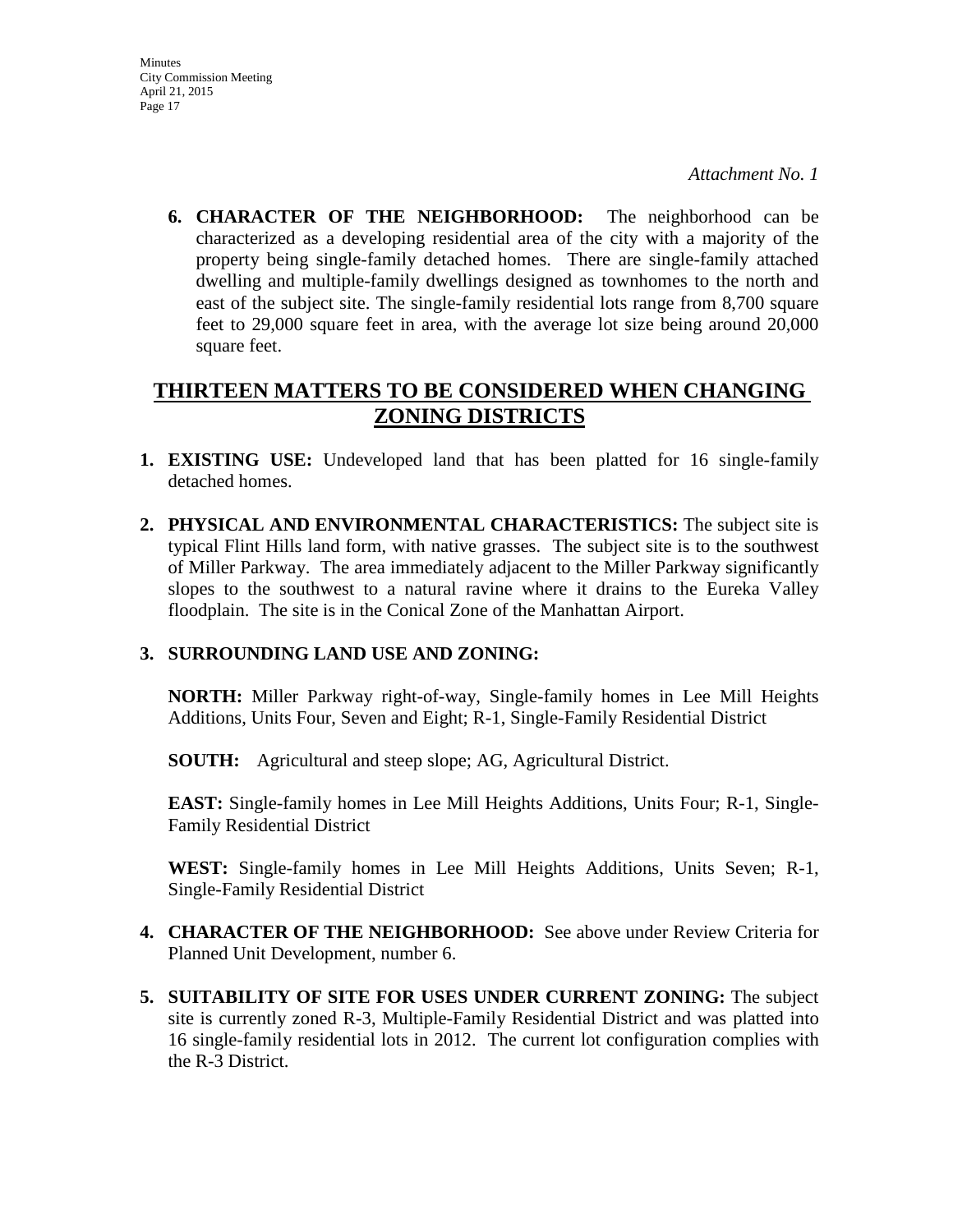*Attachment No. 1*

**6. CHARACTER OF THE NEIGHBORHOOD:** The neighborhood can be characterized as a developing residential area of the city with a majority of the property being single-family detached homes. There are single-family attached dwelling and multiple-family dwellings designed as townhomes to the north and east of the subject site. The single-family residential lots range from 8,700 square feet to 29,000 square feet in area, with the average lot size being around 20,000 square feet.

# **THIRTEEN MATTERS TO BE CONSIDERED WHEN CHANGING ZONING DISTRICTS**

- **1. EXISTING USE:** Undeveloped land that has been platted for 16 single-family detached homes.
- **2. PHYSICAL AND ENVIRONMENTAL CHARACTERISTICS:** The subject site is typical Flint Hills land form, with native grasses. The subject site is to the southwest of Miller Parkway. The area immediately adjacent to the Miller Parkway significantly slopes to the southwest to a natural ravine where it drains to the Eureka Valley floodplain. The site is in the Conical Zone of the Manhattan Airport.

## **3. SURROUNDING LAND USE AND ZONING:**

**NORTH:** Miller Parkway right-of-way, Single-family homes in Lee Mill Heights Additions, Units Four, Seven and Eight; R-1, Single-Family Residential District

**SOUTH:** Agricultural and steep slope; AG, Agricultural District.

**EAST:** Single-family homes in Lee Mill Heights Additions, Units Four; R-1, Single-Family Residential District

**WEST:** Single-family homes in Lee Mill Heights Additions, Units Seven; R-1, Single-Family Residential District

- **4. CHARACTER OF THE NEIGHBORHOOD:** See above under Review Criteria for Planned Unit Development, number 6.
- **5. SUITABILITY OF SITE FOR USES UNDER CURRENT ZONING:** The subject site is currently zoned R-3, Multiple-Family Residential District and was platted into 16 single-family residential lots in 2012. The current lot configuration complies with the R-3 District.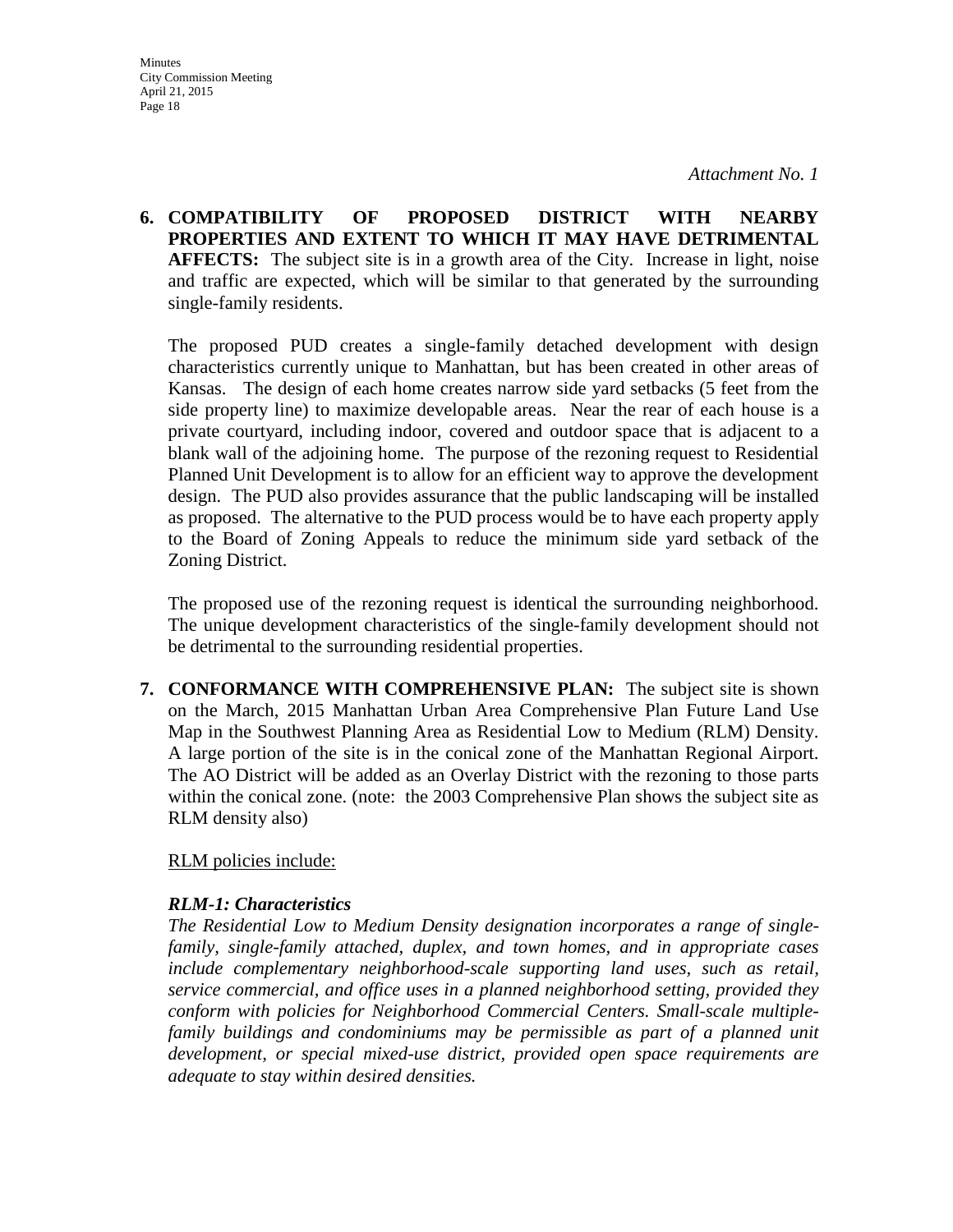**6. COMPATIBILITY OF PROPOSED DISTRICT WITH NEARBY PROPERTIES AND EXTENT TO WHICH IT MAY HAVE DETRIMENTAL AFFECTS:** The subject site is in a growth area of the City. Increase in light, noise and traffic are expected, which will be similar to that generated by the surrounding single-family residents.

The proposed PUD creates a single-family detached development with design characteristics currently unique to Manhattan, but has been created in other areas of Kansas. The design of each home creates narrow side yard setbacks (5 feet from the side property line) to maximize developable areas. Near the rear of each house is a private courtyard, including indoor, covered and outdoor space that is adjacent to a blank wall of the adjoining home. The purpose of the rezoning request to Residential Planned Unit Development is to allow for an efficient way to approve the development design. The PUD also provides assurance that the public landscaping will be installed as proposed. The alternative to the PUD process would be to have each property apply to the Board of Zoning Appeals to reduce the minimum side yard setback of the Zoning District.

The proposed use of the rezoning request is identical the surrounding neighborhood. The unique development characteristics of the single-family development should not be detrimental to the surrounding residential properties.

**7. CONFORMANCE WITH COMPREHENSIVE PLAN:** The subject site is shown on the March, 2015 Manhattan Urban Area Comprehensive Plan Future Land Use Map in the Southwest Planning Area as Residential Low to Medium (RLM) Density. A large portion of the site is in the conical zone of the Manhattan Regional Airport. The AO District will be added as an Overlay District with the rezoning to those parts within the conical zone. (note: the 2003 Comprehensive Plan shows the subject site as RLM density also)

### RLM policies include:

### *RLM-1: Characteristics*

*The Residential Low to Medium Density designation incorporates a range of singlefamily, single-family attached, duplex, and town homes, and in appropriate cases include complementary neighborhood-scale supporting land uses, such as retail, service commercial, and office uses in a planned neighborhood setting, provided they conform with policies for Neighborhood Commercial Centers. Small-scale multiplefamily buildings and condominiums may be permissible as part of a planned unit development, or special mixed-use district, provided open space requirements are adequate to stay within desired densities.*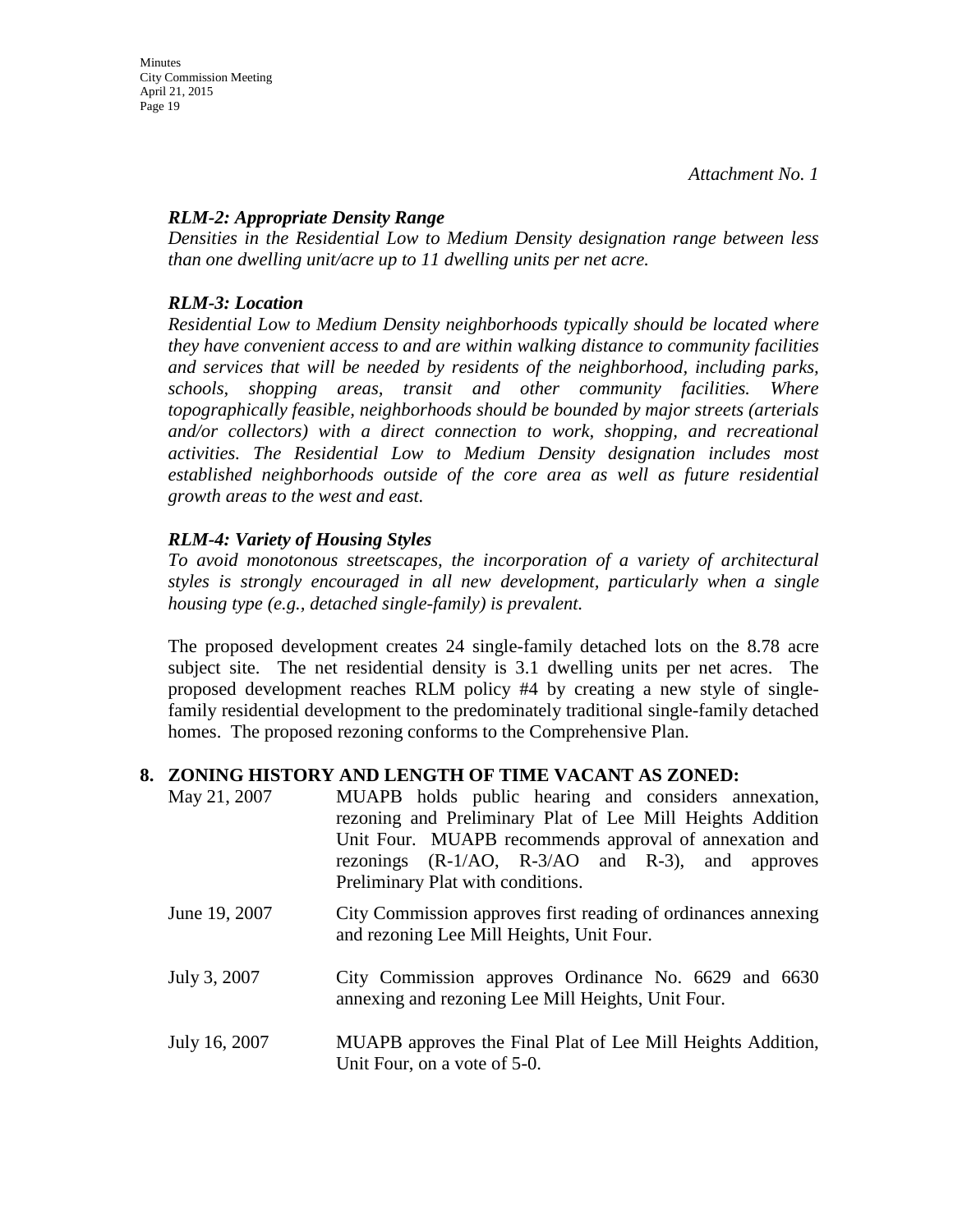## *RLM-2: Appropriate Density Range*

*Densities in the Residential Low to Medium Density designation range between less than one dwelling unit/acre up to 11 dwelling units per net acre.* 

# *RLM-3: Location*

*Residential Low to Medium Density neighborhoods typically should be located where they have convenient access to and are within walking distance to community facilities and services that will be needed by residents of the neighborhood, including parks, schools, shopping areas, transit and other community facilities. Where topographically feasible, neighborhoods should be bounded by major streets (arterials and/or collectors) with a direct connection to work, shopping, and recreational activities. The Residential Low to Medium Density designation includes most established neighborhoods outside of the core area as well as future residential growth areas to the west and east.* 

# *RLM-4: Variety of Housing Styles*

*To avoid monotonous streetscapes, the incorporation of a variety of architectural styles is strongly encouraged in all new development, particularly when a single housing type (e.g., detached single-family) is prevalent.*

The proposed development creates 24 single-family detached lots on the 8.78 acre subject site. The net residential density is 3.1 dwelling units per net acres. The proposed development reaches RLM policy #4 by creating a new style of singlefamily residential development to the predominately traditional single-family detached homes. The proposed rezoning conforms to the Comprehensive Plan.

## **8. ZONING HISTORY AND LENGTH OF TIME VACANT AS ZONED:**

- May 21, 2007 MUAPB holds public hearing and considers annexation, rezoning and Preliminary Plat of Lee Mill Heights Addition Unit Four. MUAPB recommends approval of annexation and rezonings (R-1/AO, R-3/AO and R-3), and approves Preliminary Plat with conditions.
- June 19, 2007 City Commission approves first reading of ordinances annexing and rezoning Lee Mill Heights, Unit Four.
- July 3, 2007 City Commission approves Ordinance No. 6629 and 6630 annexing and rezoning Lee Mill Heights, Unit Four.
- July 16, 2007 MUAPB approves the Final Plat of Lee Mill Heights Addition, Unit Four, on a vote of 5-0.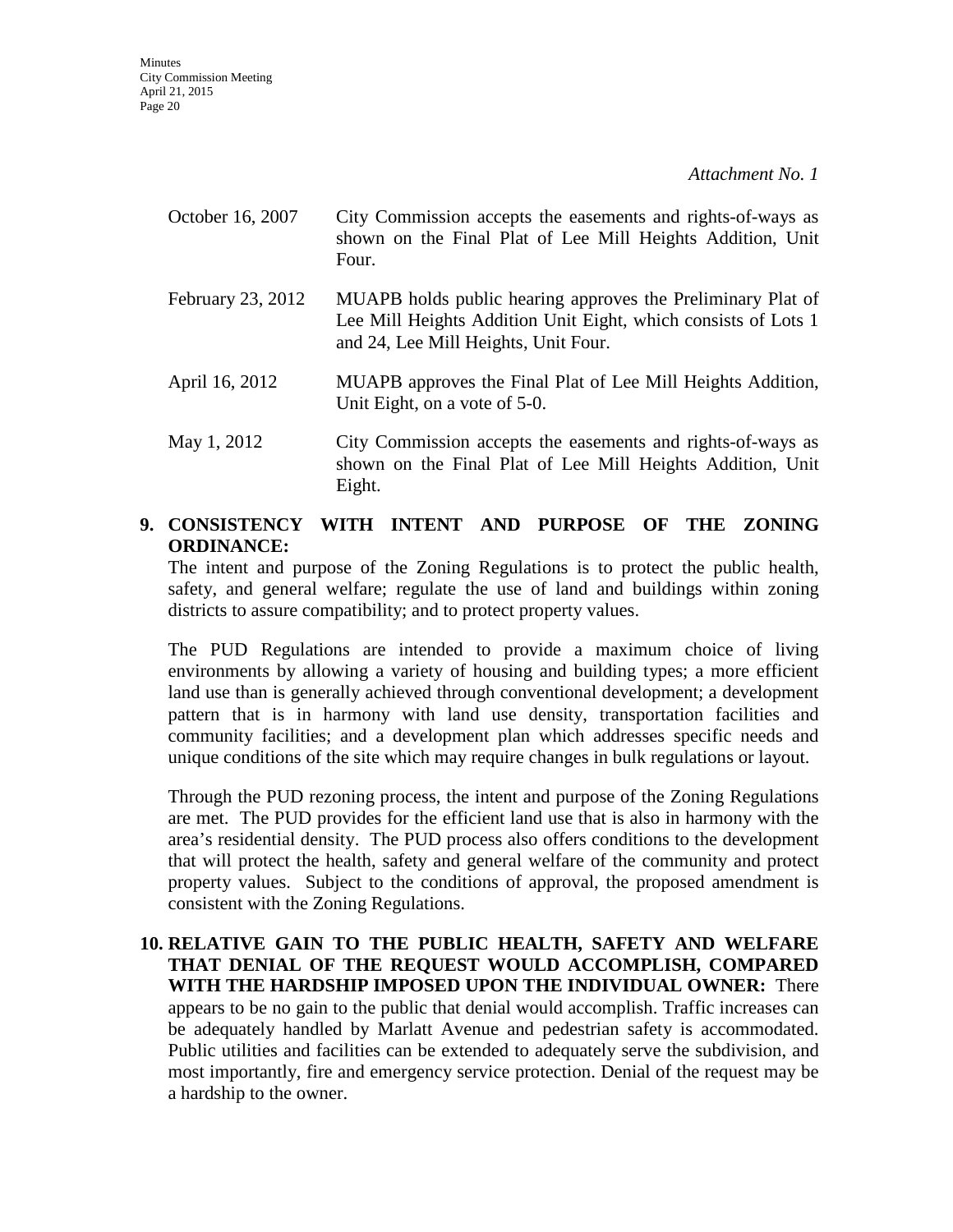| October 16, 2007  | City Commission accepts the easements and rights-of-ways as<br>shown on the Final Plat of Lee Mill Heights Addition, Unit<br>Four.                                    |
|-------------------|-----------------------------------------------------------------------------------------------------------------------------------------------------------------------|
| February 23, 2012 | MUAPB holds public hearing approves the Preliminary Plat of<br>Lee Mill Heights Addition Unit Eight, which consists of Lots 1<br>and 24, Lee Mill Heights, Unit Four. |
| April 16, 2012    | MUAPB approves the Final Plat of Lee Mill Heights Addition,<br>Unit Eight, on a vote of 5-0.                                                                          |

May 1, 2012 City Commission accepts the easements and rights-of-ways as shown on the Final Plat of Lee Mill Heights Addition, Unit Eight.

# **9. CONSISTENCY WITH INTENT AND PURPOSE OF THE ZONING ORDINANCE:**

The intent and purpose of the Zoning Regulations is to protect the public health, safety, and general welfare; regulate the use of land and buildings within zoning districts to assure compatibility; and to protect property values.

The PUD Regulations are intended to provide a maximum choice of living environments by allowing a variety of housing and building types; a more efficient land use than is generally achieved through conventional development; a development pattern that is in harmony with land use density, transportation facilities and community facilities; and a development plan which addresses specific needs and unique conditions of the site which may require changes in bulk regulations or layout.

Through the PUD rezoning process, the intent and purpose of the Zoning Regulations are met. The PUD provides for the efficient land use that is also in harmony with the area's residential density. The PUD process also offers conditions to the development that will protect the health, safety and general welfare of the community and protect property values. Subject to the conditions of approval, the proposed amendment is consistent with the Zoning Regulations.

**10. RELATIVE GAIN TO THE PUBLIC HEALTH, SAFETY AND WELFARE THAT DENIAL OF THE REQUEST WOULD ACCOMPLISH, COMPARED WITH THE HARDSHIP IMPOSED UPON THE INDIVIDUAL OWNER:** There appears to be no gain to the public that denial would accomplish. Traffic increases can be adequately handled by Marlatt Avenue and pedestrian safety is accommodated. Public utilities and facilities can be extended to adequately serve the subdivision, and most importantly, fire and emergency service protection. Denial of the request may be a hardship to the owner.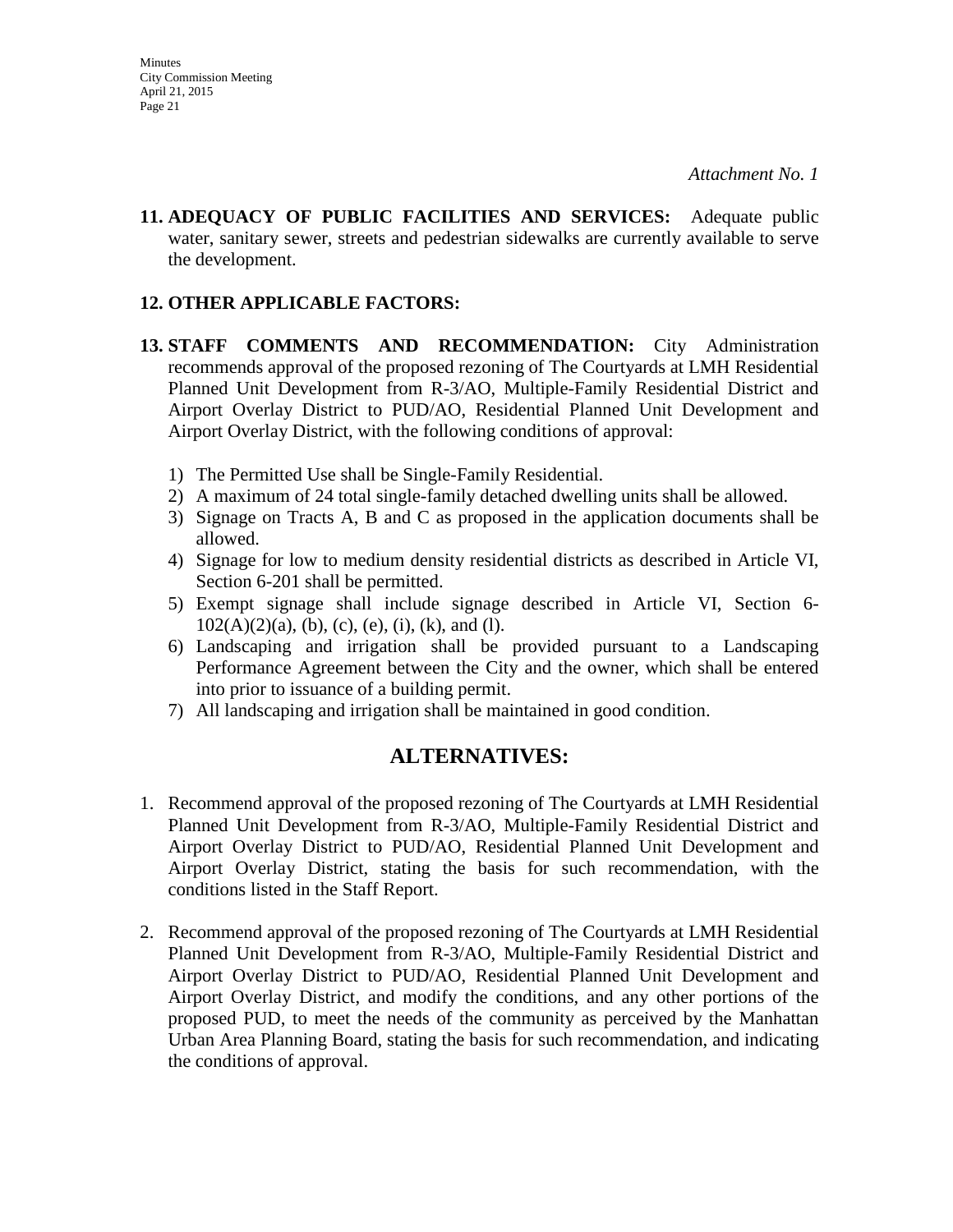**11. ADEQUACY OF PUBLIC FACILITIES AND SERVICES:** Adequate public water, sanitary sewer, streets and pedestrian sidewalks are currently available to serve the development.

### **12. OTHER APPLICABLE FACTORS:**

- **13. STAFF COMMENTS AND RECOMMENDATION:** City Administration recommends approval of the proposed rezoning of The Courtyards at LMH Residential Planned Unit Development from R-3/AO, Multiple-Family Residential District and Airport Overlay District to PUD/AO, Residential Planned Unit Development and Airport Overlay District, with the following conditions of approval:
	- 1) The Permitted Use shall be Single-Family Residential.
	- 2) A maximum of 24 total single-family detached dwelling units shall be allowed.
	- 3) Signage on Tracts A, B and C as proposed in the application documents shall be allowed.
	- 4) Signage for low to medium density residential districts as described in Article VI, Section 6-201 shall be permitted.
	- 5) Exempt signage shall include signage described in Article VI, Section 6-  $102(A)(2)(a)$ , (b), (c), (e), (i), (k), and (1).
	- 6) Landscaping and irrigation shall be provided pursuant to a Landscaping Performance Agreement between the City and the owner, which shall be entered into prior to issuance of a building permit.
	- 7) All landscaping and irrigation shall be maintained in good condition.

# **ALTERNATIVES:**

- 1. Recommend approval of the proposed rezoning of The Courtyards at LMH Residential Planned Unit Development from R-3/AO, Multiple-Family Residential District and Airport Overlay District to PUD/AO, Residential Planned Unit Development and Airport Overlay District, stating the basis for such recommendation, with the conditions listed in the Staff Report.
- 2. Recommend approval of the proposed rezoning of The Courtyards at LMH Residential Planned Unit Development from R-3/AO, Multiple-Family Residential District and Airport Overlay District to PUD/AO, Residential Planned Unit Development and Airport Overlay District, and modify the conditions, and any other portions of the proposed PUD, to meet the needs of the community as perceived by the Manhattan Urban Area Planning Board, stating the basis for such recommendation, and indicating the conditions of approval.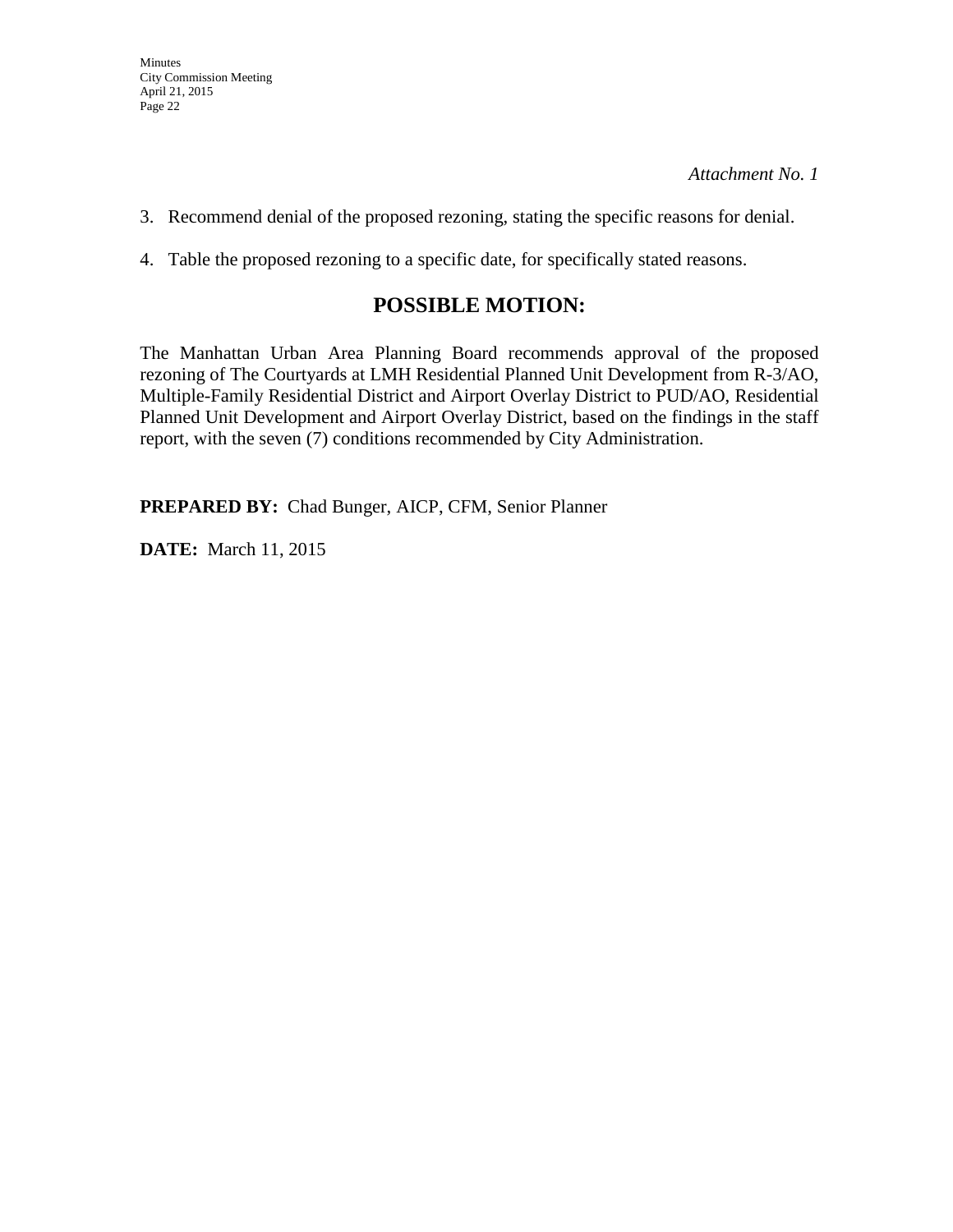- 3. Recommend denial of the proposed rezoning, stating the specific reasons for denial.
- 4. Table the proposed rezoning to a specific date, for specifically stated reasons.

# **POSSIBLE MOTION:**

The Manhattan Urban Area Planning Board recommends approval of the proposed rezoning of The Courtyards at LMH Residential Planned Unit Development from R-3/AO, Multiple-Family Residential District and Airport Overlay District to PUD/AO, Residential Planned Unit Development and Airport Overlay District, based on the findings in the staff report, with the seven (7) conditions recommended by City Administration.

**PREPARED BY:** Chad Bunger, AICP, CFM, Senior Planner

**DATE:** March 11, 2015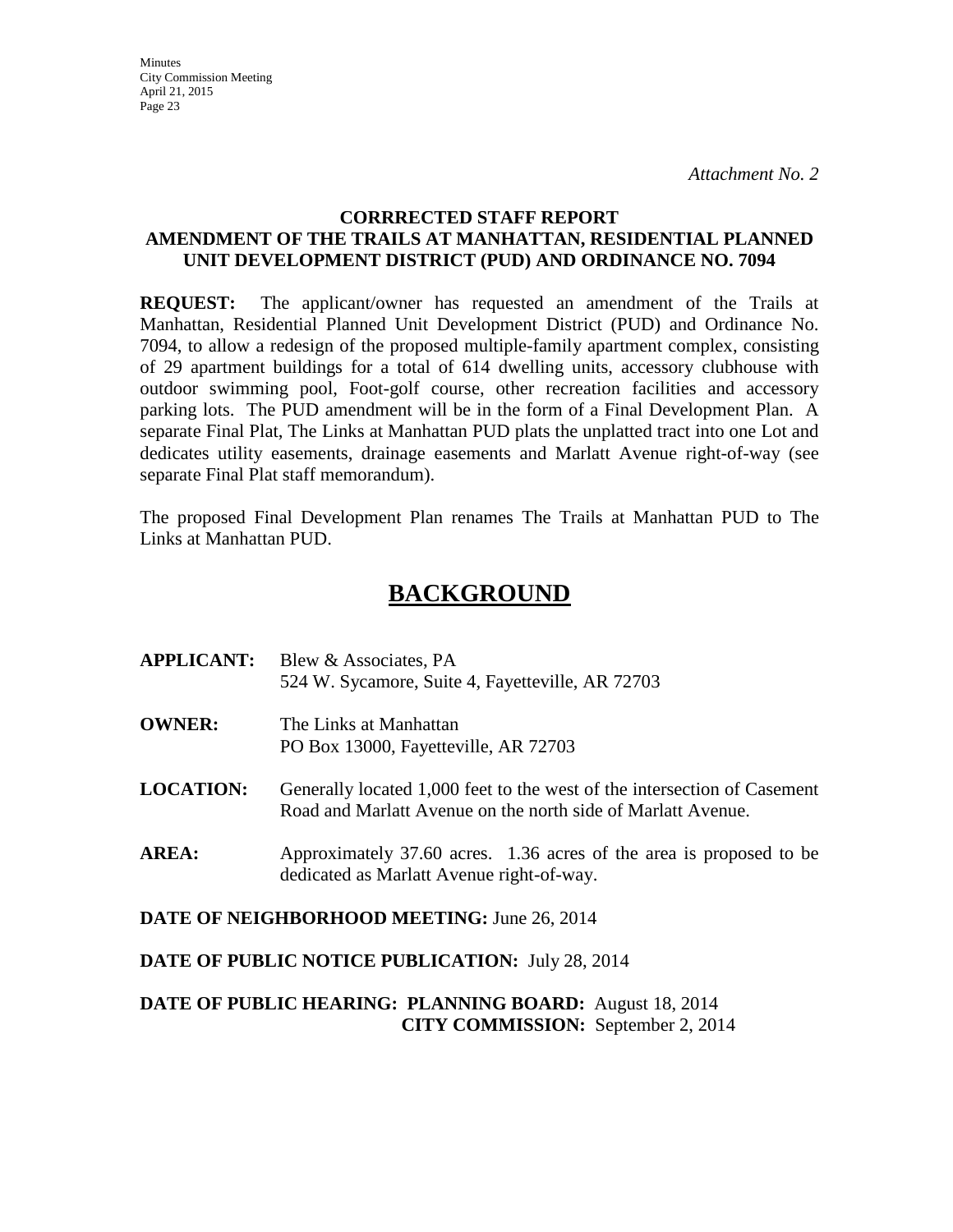**Minutes** City Commission Meeting April 21, 2015 Page 23

### **CORRRECTED STAFF REPORT AMENDMENT OF THE TRAILS AT MANHATTAN, RESIDENTIAL PLANNED UNIT DEVELOPMENT DISTRICT (PUD) AND ORDINANCE NO. 7094**

**REQUEST:** The applicant/owner has requested an amendment of the Trails at Manhattan, Residential Planned Unit Development District (PUD) and Ordinance No. 7094, to allow a redesign of the proposed multiple-family apartment complex, consisting of 29 apartment buildings for a total of 614 dwelling units, accessory clubhouse with outdoor swimming pool, Foot-golf course, other recreation facilities and accessory parking lots. The PUD amendment will be in the form of a Final Development Plan. A separate Final Plat, The Links at Manhattan PUD plats the unplatted tract into one Lot and dedicates utility easements, drainage easements and Marlatt Avenue right-of-way (see separate Final Plat staff memorandum).

The proposed Final Development Plan renames The Trails at Manhattan PUD to The Links at Manhattan PUD.

# **BACKGROUND**

| <b>APPLICANT:</b>                           | Blew & Associates, PA<br>524 W. Sycamore, Suite 4, Fayetteville, AR 72703                                                                |
|---------------------------------------------|------------------------------------------------------------------------------------------------------------------------------------------|
| <b>OWNER:</b>                               | The Links at Manhattan<br>PO Box 13000, Fayetteville, AR 72703                                                                           |
| <b>LOCATION:</b>                            | Generally located 1,000 feet to the west of the intersection of Casement<br>Road and Marlatt Avenue on the north side of Marlatt Avenue. |
| <b>AREA:</b>                                | Approximately 37.60 acres. 1.36 acres of the area is proposed to be<br>dedicated as Marlatt Avenue right-of-way.                         |
| DATE OF NEIGHBORHOOD MEETING: June 26, 2014 |                                                                                                                                          |

**DATE OF PUBLIC NOTICE PUBLICATION:** July 28, 2014

## **DATE OF PUBLIC HEARING: PLANNING BOARD:** August 18, 2014 **CITY COMMISSION:** September 2, 2014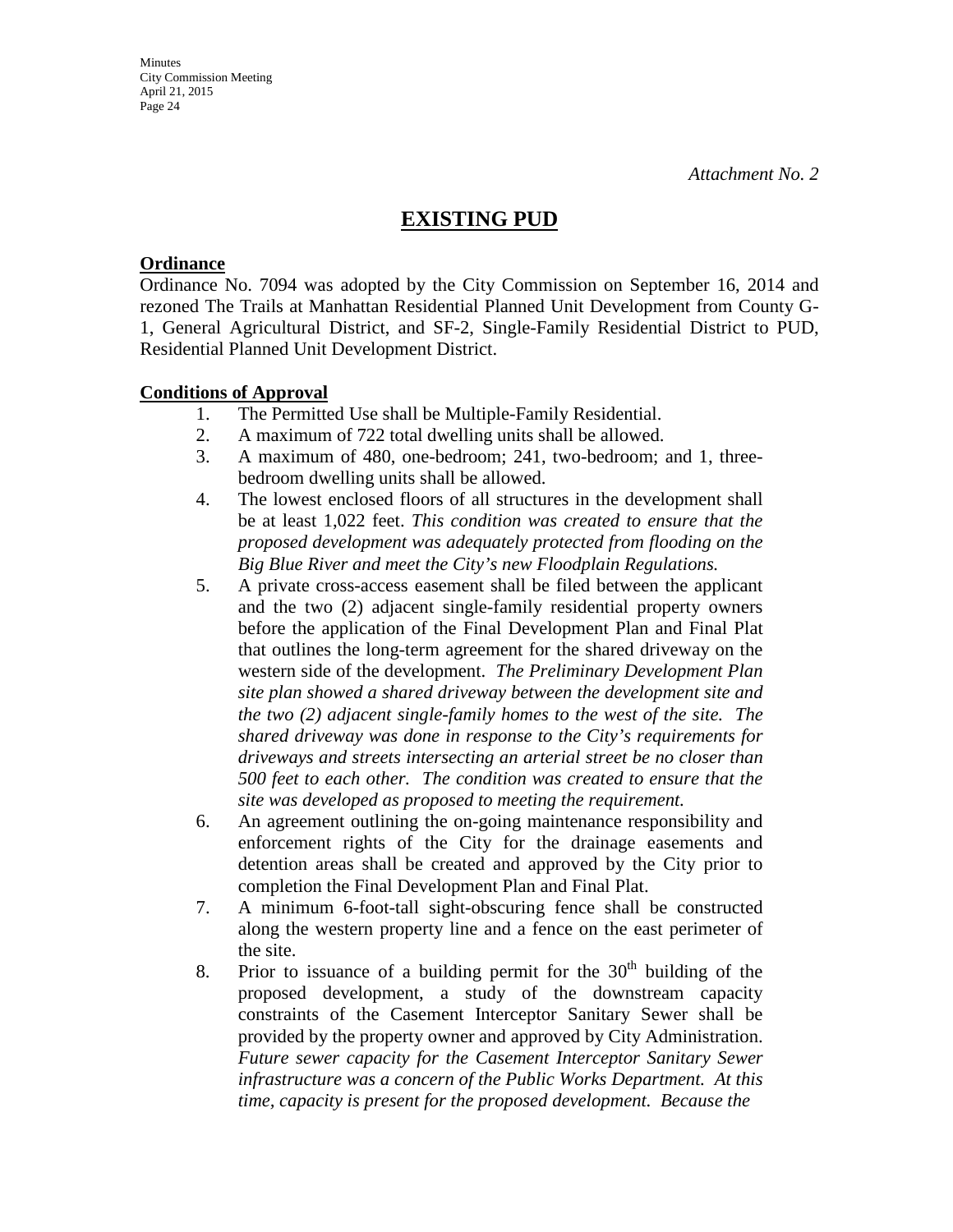# **EXISTING PUD**

### **Ordinance**

Ordinance No. 7094 was adopted by the City Commission on September 16, 2014 and rezoned The Trails at Manhattan Residential Planned Unit Development from County G-1, General Agricultural District, and SF-2, Single-Family Residential District to PUD, Residential Planned Unit Development District.

## **Conditions of Approval**

- 1. The Permitted Use shall be Multiple-Family Residential.
- 2. A maximum of 722 total dwelling units shall be allowed.
- 3. A maximum of 480, one-bedroom; 241, two-bedroom; and 1, threebedroom dwelling units shall be allowed.
- 4. The lowest enclosed floors of all structures in the development shall be at least 1,022 feet. *This condition was created to ensure that the proposed development was adequately protected from flooding on the Big Blue River and meet the City's new Floodplain Regulations.*
- 5. A private cross-access easement shall be filed between the applicant and the two (2) adjacent single-family residential property owners before the application of the Final Development Plan and Final Plat that outlines the long-term agreement for the shared driveway on the western side of the development. *The Preliminary Development Plan site plan showed a shared driveway between the development site and the two (2) adjacent single-family homes to the west of the site. The shared driveway was done in response to the City's requirements for driveways and streets intersecting an arterial street be no closer than 500 feet to each other. The condition was created to ensure that the site was developed as proposed to meeting the requirement.*
- 6. An agreement outlining the on-going maintenance responsibility and enforcement rights of the City for the drainage easements and detention areas shall be created and approved by the City prior to completion the Final Development Plan and Final Plat.
- 7. A minimum 6-foot-tall sight-obscuring fence shall be constructed along the western property line and a fence on the east perimeter of the site.
- 8. Prior to issuance of a building permit for the  $30<sup>th</sup>$  building of the proposed development, a study of the downstream capacity constraints of the Casement Interceptor Sanitary Sewer shall be provided by the property owner and approved by City Administration. *Future sewer capacity for the Casement Interceptor Sanitary Sewer infrastructure was a concern of the Public Works Department. At this time, capacity is present for the proposed development. Because the*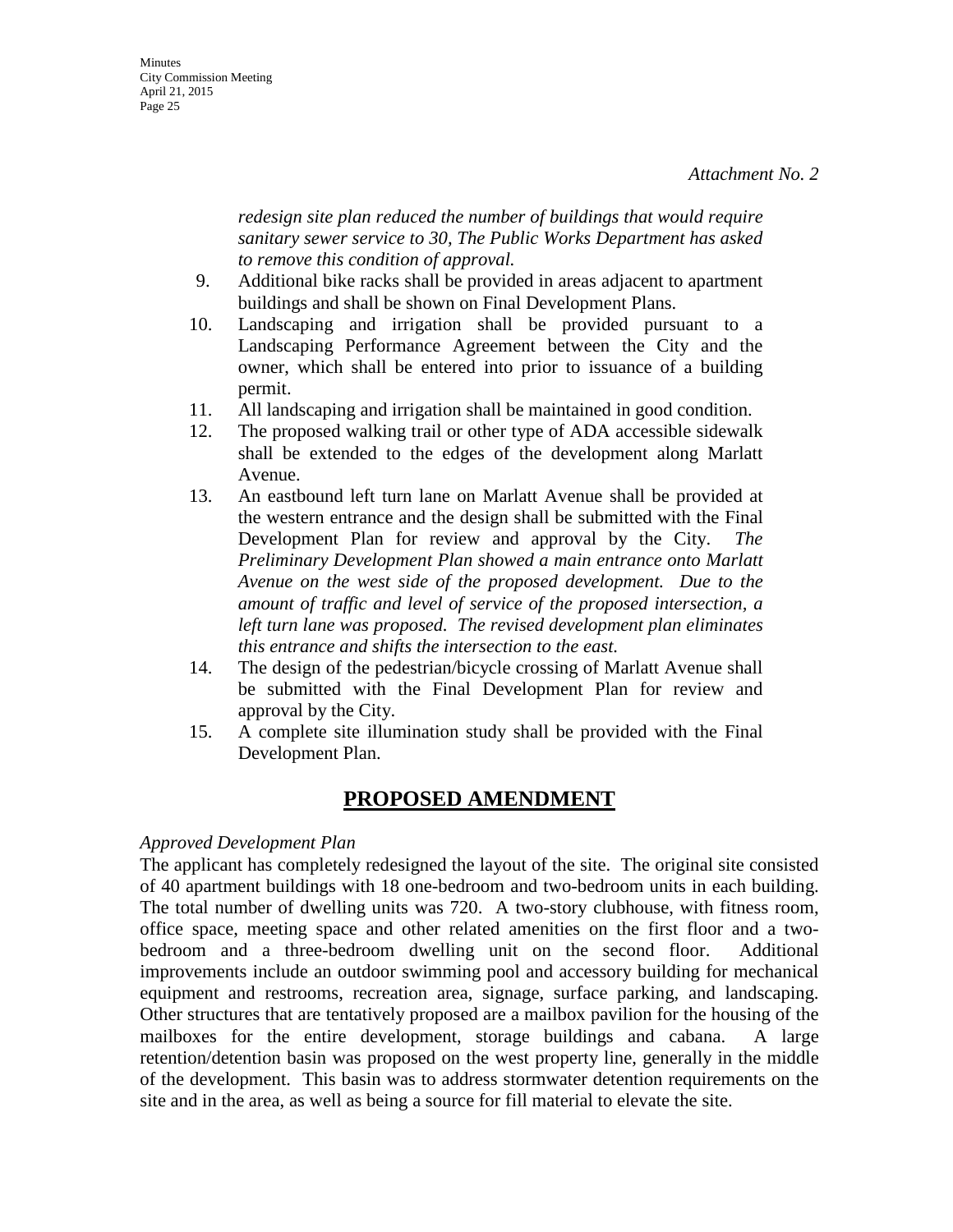*redesign site plan reduced the number of buildings that would require sanitary sewer service to 30, The Public Works Department has asked to remove this condition of approval.*

- 9. Additional bike racks shall be provided in areas adjacent to apartment buildings and shall be shown on Final Development Plans.
- 10. Landscaping and irrigation shall be provided pursuant to a Landscaping Performance Agreement between the City and the owner, which shall be entered into prior to issuance of a building permit.
- 11. All landscaping and irrigation shall be maintained in good condition.
- 12. The proposed walking trail or other type of ADA accessible sidewalk shall be extended to the edges of the development along Marlatt Avenue.
- 13. An eastbound left turn lane on Marlatt Avenue shall be provided at the western entrance and the design shall be submitted with the Final Development Plan for review and approval by the City. *The Preliminary Development Plan showed a main entrance onto Marlatt Avenue on the west side of the proposed development. Due to the amount of traffic and level of service of the proposed intersection, a left turn lane was proposed. The revised development plan eliminates this entrance and shifts the intersection to the east.*
- 14. The design of the pedestrian/bicycle crossing of Marlatt Avenue shall be submitted with the Final Development Plan for review and approval by the City.
- 15. A complete site illumination study shall be provided with the Final Development Plan.

# **PROPOSED AMENDMENT**

### *Approved Development Plan*

The applicant has completely redesigned the layout of the site. The original site consisted of 40 apartment buildings with 18 one-bedroom and two-bedroom units in each building. The total number of dwelling units was 720. A two-story clubhouse, with fitness room, office space, meeting space and other related amenities on the first floor and a twobedroom and a three-bedroom dwelling unit on the second floor. Additional improvements include an outdoor swimming pool and accessory building for mechanical equipment and restrooms, recreation area, signage, surface parking, and landscaping. Other structures that are tentatively proposed are a mailbox pavilion for the housing of the mailboxes for the entire development, storage buildings and cabana. A large retention/detention basin was proposed on the west property line, generally in the middle of the development. This basin was to address stormwater detention requirements on the site and in the area, as well as being a source for fill material to elevate the site.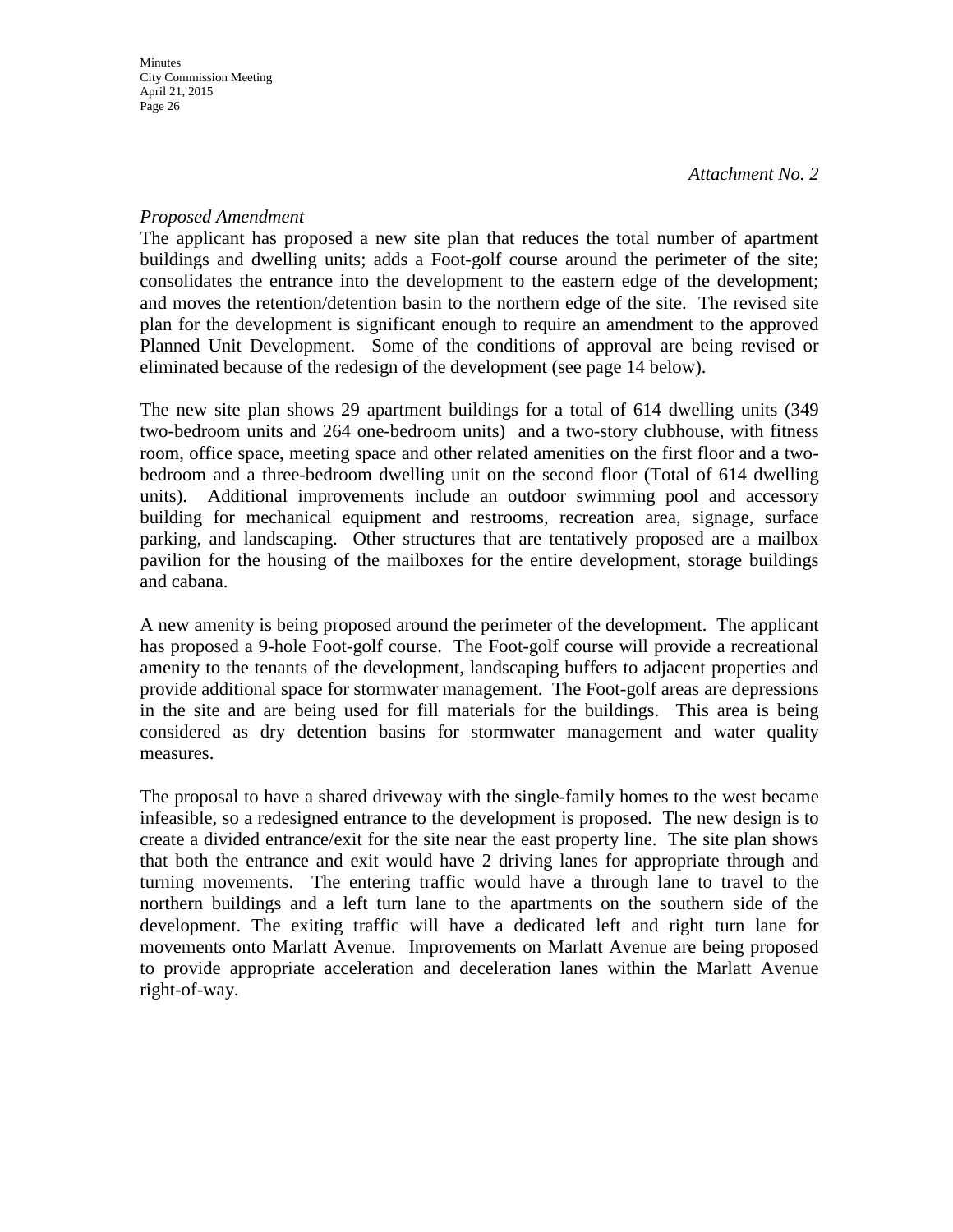### *Proposed Amendment*

The applicant has proposed a new site plan that reduces the total number of apartment buildings and dwelling units; adds a Foot-golf course around the perimeter of the site; consolidates the entrance into the development to the eastern edge of the development; and moves the retention/detention basin to the northern edge of the site. The revised site plan for the development is significant enough to require an amendment to the approved Planned Unit Development. Some of the conditions of approval are being revised or eliminated because of the redesign of the development (see page 14 below).

The new site plan shows 29 apartment buildings for a total of 614 dwelling units (349 two-bedroom units and 264 one-bedroom units) and a two-story clubhouse, with fitness room, office space, meeting space and other related amenities on the first floor and a twobedroom and a three-bedroom dwelling unit on the second floor (Total of 614 dwelling units). Additional improvements include an outdoor swimming pool and accessory building for mechanical equipment and restrooms, recreation area, signage, surface parking, and landscaping. Other structures that are tentatively proposed are a mailbox pavilion for the housing of the mailboxes for the entire development, storage buildings and cabana.

A new amenity is being proposed around the perimeter of the development. The applicant has proposed a 9-hole Foot-golf course. The Foot-golf course will provide a recreational amenity to the tenants of the development, landscaping buffers to adjacent properties and provide additional space for stormwater management. The Foot-golf areas are depressions in the site and are being used for fill materials for the buildings. This area is being considered as dry detention basins for stormwater management and water quality measures.

The proposal to have a shared driveway with the single-family homes to the west became infeasible, so a redesigned entrance to the development is proposed. The new design is to create a divided entrance/exit for the site near the east property line. The site plan shows that both the entrance and exit would have 2 driving lanes for appropriate through and turning movements. The entering traffic would have a through lane to travel to the northern buildings and a left turn lane to the apartments on the southern side of the development. The exiting traffic will have a dedicated left and right turn lane for movements onto Marlatt Avenue. Improvements on Marlatt Avenue are being proposed to provide appropriate acceleration and deceleration lanes within the Marlatt Avenue right-of-way.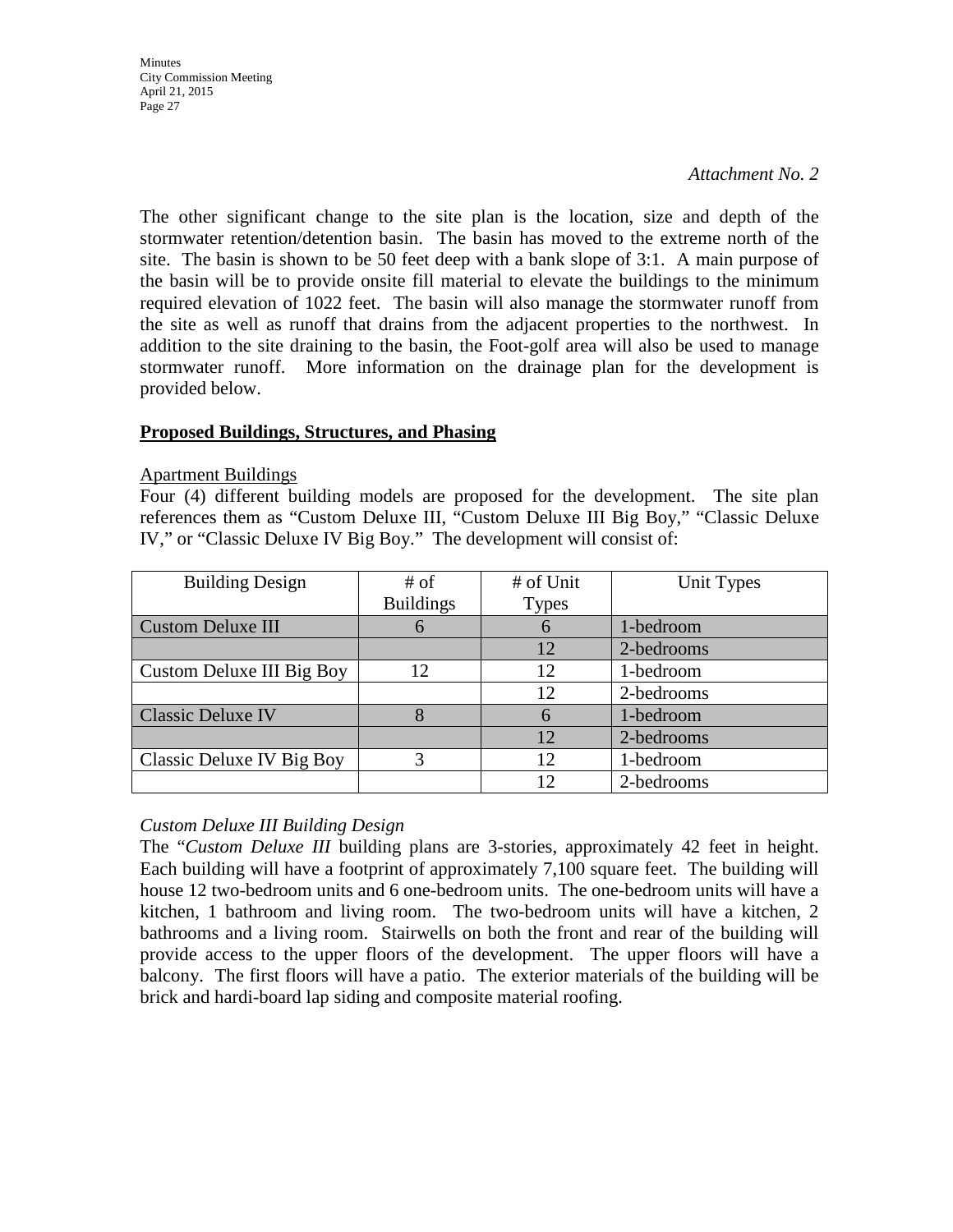#### *Attachment No. 2*

The other significant change to the site plan is the location, size and depth of the stormwater retention/detention basin. The basin has moved to the extreme north of the site. The basin is shown to be 50 feet deep with a bank slope of 3:1. A main purpose of the basin will be to provide onsite fill material to elevate the buildings to the minimum required elevation of 1022 feet. The basin will also manage the stormwater runoff from the site as well as runoff that drains from the adjacent properties to the northwest. In addition to the site draining to the basin, the Foot-golf area will also be used to manage stormwater runoff. More information on the drainage plan for the development is provided below.

### **Proposed Buildings, Structures, and Phasing**

### Apartment Buildings

Four (4) different building models are proposed for the development. The site plan references them as "Custom Deluxe III, "Custom Deluxe III Big Boy," "Classic Deluxe IV," or "Classic Deluxe IV Big Boy." The development will consist of:

| <b>Building Design</b>    | # of             | # of Unit     | Unit Types |
|---------------------------|------------------|---------------|------------|
|                           | <b>Buildings</b> | <b>Types</b>  |            |
| <b>Custom Deluxe III</b>  |                  | $\mathfrak b$ | 1-bedroom  |
|                           |                  | 12            | 2-bedrooms |
| Custom Deluxe III Big Boy | 12               | 12            | 1-bedroom  |
|                           |                  | 12            | 2-bedrooms |
| <b>Classic Deluxe IV</b>  |                  | 6             | 1-bedroom  |
|                           |                  | 12            | 2-bedrooms |
| Classic Deluxe IV Big Boy |                  | 12            | 1-bedroom  |
|                           |                  | 12            | 2-bedrooms |

## *Custom Deluxe III Building Design*

The "*Custom Deluxe III* building plans are 3-stories, approximately 42 feet in height. Each building will have a footprint of approximately 7,100 square feet. The building will house 12 two-bedroom units and 6 one-bedroom units. The one-bedroom units will have a kitchen, 1 bathroom and living room. The two-bedroom units will have a kitchen, 2 bathrooms and a living room. Stairwells on both the front and rear of the building will provide access to the upper floors of the development. The upper floors will have a balcony. The first floors will have a patio. The exterior materials of the building will be brick and hardi-board lap siding and composite material roofing.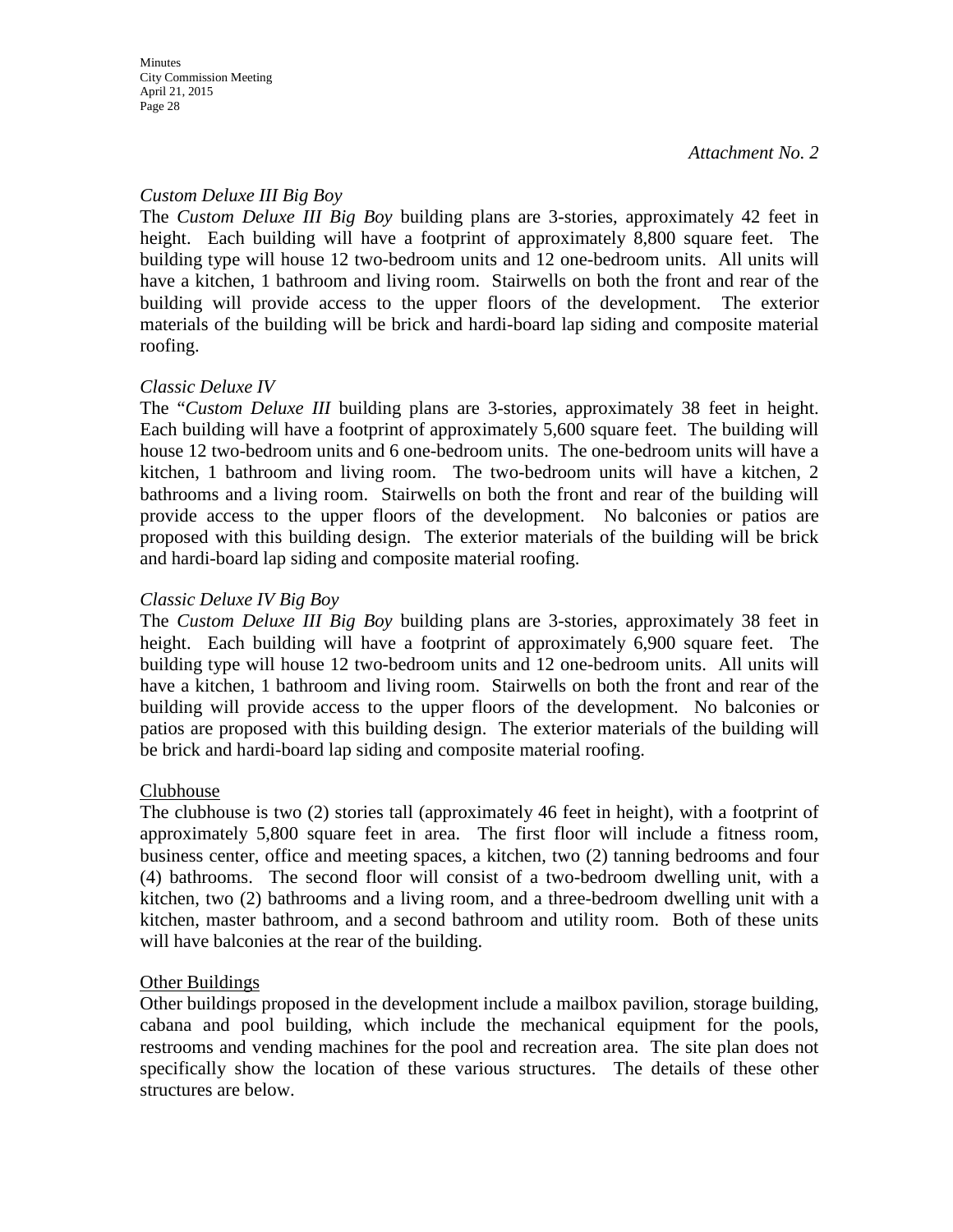## *Custom Deluxe III Big Boy*

The *Custom Deluxe III Big Boy* building plans are 3-stories, approximately 42 feet in height. Each building will have a footprint of approximately 8,800 square feet. The building type will house 12 two-bedroom units and 12 one-bedroom units. All units will have a kitchen, 1 bathroom and living room. Stairwells on both the front and rear of the building will provide access to the upper floors of the development. The exterior materials of the building will be brick and hardi-board lap siding and composite material roofing.

### *Classic Deluxe IV*

The "*Custom Deluxe III* building plans are 3-stories, approximately 38 feet in height. Each building will have a footprint of approximately 5,600 square feet. The building will house 12 two-bedroom units and 6 one-bedroom units. The one-bedroom units will have a kitchen, 1 bathroom and living room. The two-bedroom units will have a kitchen, 2 bathrooms and a living room. Stairwells on both the front and rear of the building will provide access to the upper floors of the development. No balconies or patios are proposed with this building design. The exterior materials of the building will be brick and hardi-board lap siding and composite material roofing.

### *Classic Deluxe IV Big Boy*

The *Custom Deluxe III Big Boy* building plans are 3-stories, approximately 38 feet in height. Each building will have a footprint of approximately 6,900 square feet. The building type will house 12 two-bedroom units and 12 one-bedroom units. All units will have a kitchen, 1 bathroom and living room. Stairwells on both the front and rear of the building will provide access to the upper floors of the development. No balconies or patios are proposed with this building design. The exterior materials of the building will be brick and hardi-board lap siding and composite material roofing.

### Clubhouse

The clubhouse is two (2) stories tall (approximately 46 feet in height), with a footprint of approximately 5,800 square feet in area. The first floor will include a fitness room, business center, office and meeting spaces, a kitchen, two (2) tanning bedrooms and four (4) bathrooms. The second floor will consist of a two-bedroom dwelling unit, with a kitchen, two (2) bathrooms and a living room, and a three-bedroom dwelling unit with a kitchen, master bathroom, and a second bathroom and utility room. Both of these units will have balconies at the rear of the building.

### Other Buildings

Other buildings proposed in the development include a mailbox pavilion, storage building, cabana and pool building, which include the mechanical equipment for the pools, restrooms and vending machines for the pool and recreation area. The site plan does not specifically show the location of these various structures. The details of these other structures are below.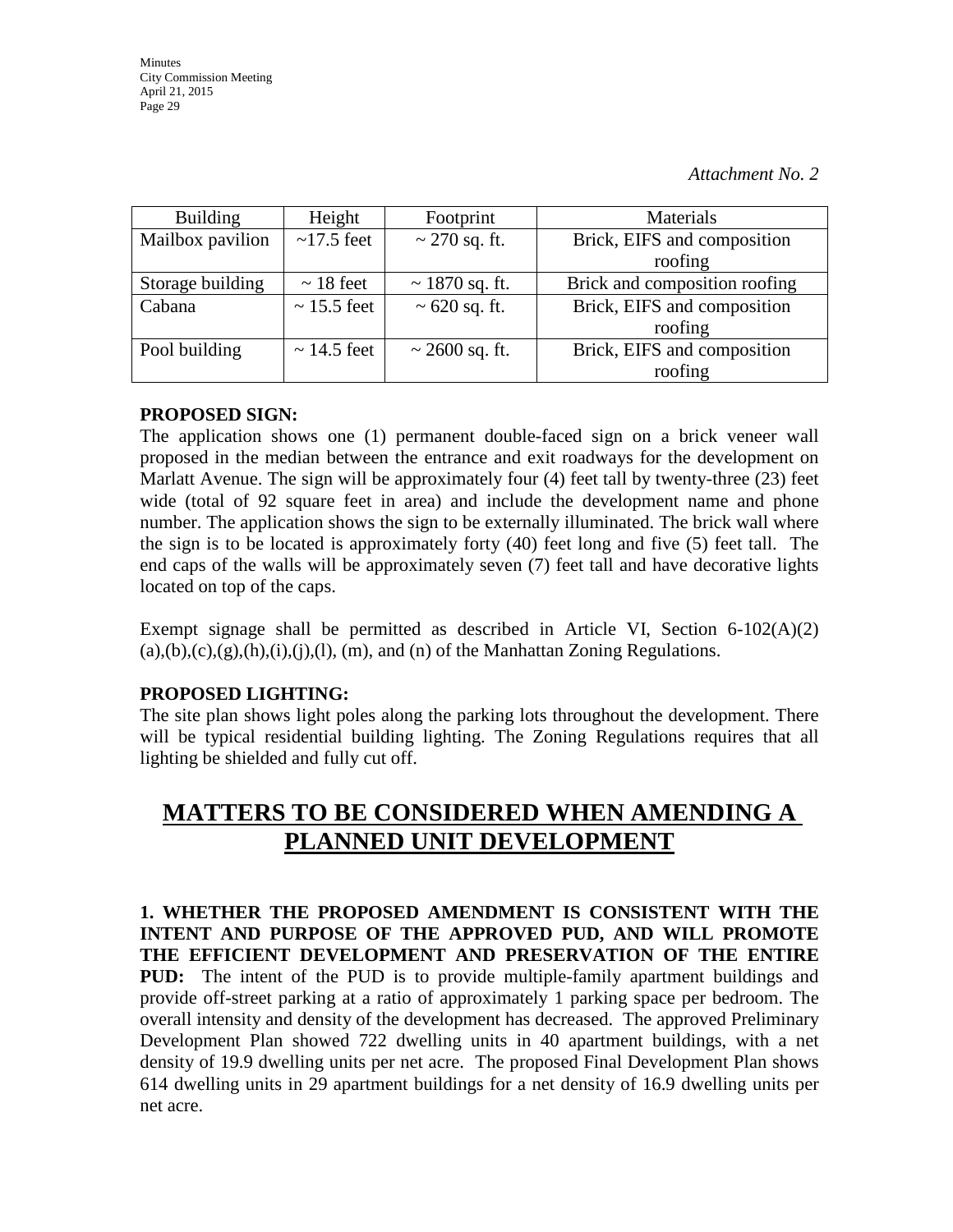| <b>Building</b>  | Height           | Footprint           | Materials                     |
|------------------|------------------|---------------------|-------------------------------|
| Mailbox pavilion | $\sim$ 17.5 feet | $\sim$ 270 sq. ft.  | Brick, EIFS and composition   |
|                  |                  |                     | roofing                       |
| Storage building | $\sim$ 18 feet   | $\sim$ 1870 sq. ft. | Brick and composition roofing |
| Cabana           | $\sim$ 15.5 feet | $\sim 620$ sq. ft.  | Brick, EIFS and composition   |
|                  |                  |                     | roofing                       |
| Pool building    | $\sim$ 14.5 feet | $\sim$ 2600 sq. ft. | Brick, EIFS and composition   |
|                  |                  |                     | roofing                       |

## **PROPOSED SIGN:**

The application shows one (1) permanent double-faced sign on a brick veneer wall proposed in the median between the entrance and exit roadways for the development on Marlatt Avenue. The sign will be approximately four (4) feet tall by twenty-three (23) feet wide (total of 92 square feet in area) and include the development name and phone number. The application shows the sign to be externally illuminated. The brick wall where the sign is to be located is approximately forty (40) feet long and five (5) feet tall. The end caps of the walls will be approximately seven (7) feet tall and have decorative lights located on top of the caps.

Exempt signage shall be permitted as described in Article VI, Section 6-102(A)(2)  $(a),(b),(c),(g),(h),(i),(l),(m),$  and  $(n)$  of the Manhattan Zoning Regulations.

## **PROPOSED LIGHTING:**

The site plan shows light poles along the parking lots throughout the development. There will be typical residential building lighting. The Zoning Regulations requires that all lighting be shielded and fully cut off.

# **MATTERS TO BE CONSIDERED WHEN AMENDING A PLANNED UNIT DEVELOPMENT**

**1. WHETHER THE PROPOSED AMENDMENT IS CONSISTENT WITH THE INTENT AND PURPOSE OF THE APPROVED PUD, AND WILL PROMOTE THE EFFICIENT DEVELOPMENT AND PRESERVATION OF THE ENTIRE PUD:** The intent of the PUD is to provide multiple-family apartment buildings and provide off-street parking at a ratio of approximately 1 parking space per bedroom. The overall intensity and density of the development has decreased. The approved Preliminary Development Plan showed 722 dwelling units in 40 apartment buildings, with a net density of 19.9 dwelling units per net acre. The proposed Final Development Plan shows 614 dwelling units in 29 apartment buildings for a net density of 16.9 dwelling units per net acre.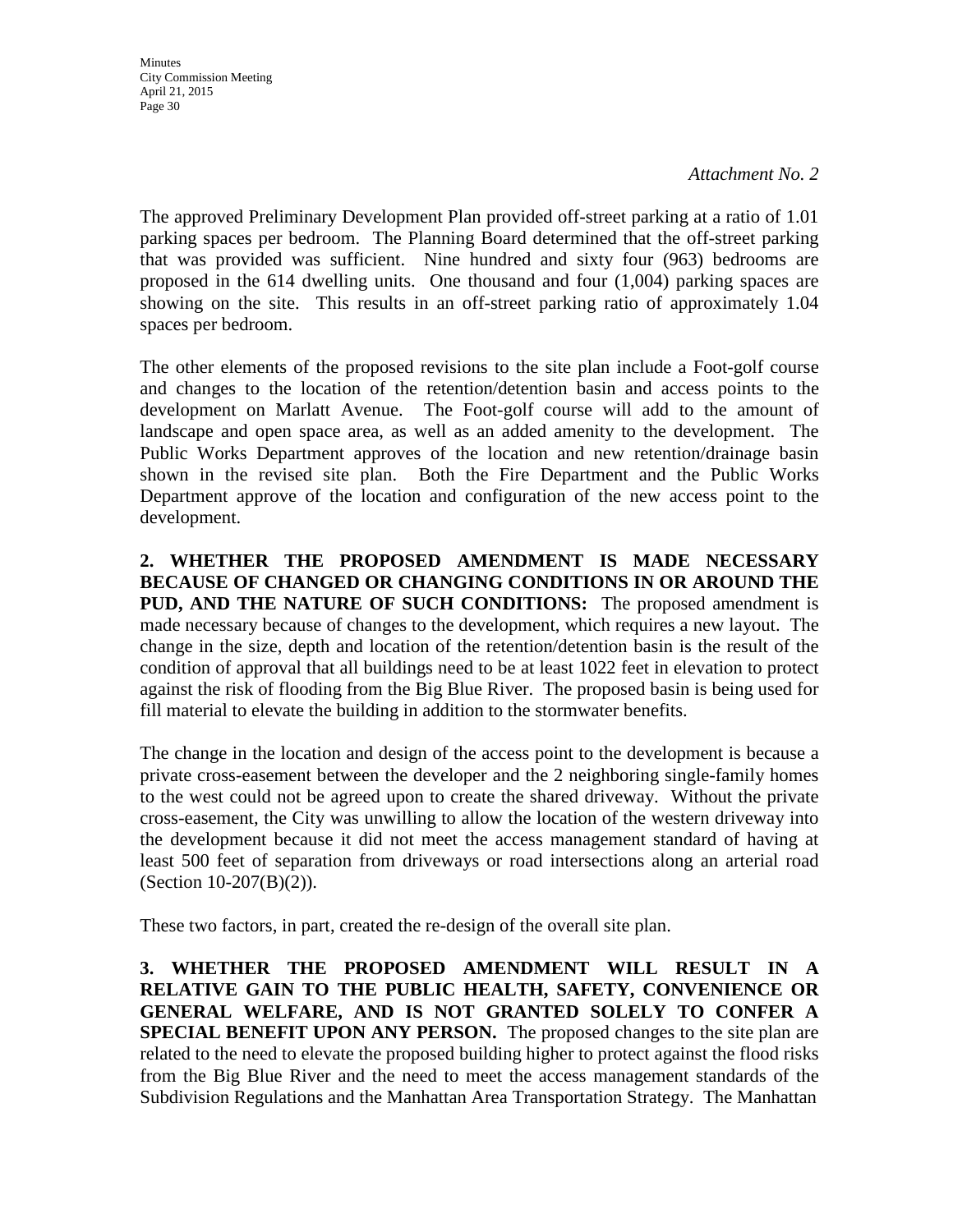*Attachment No. 2*

The approved Preliminary Development Plan provided off-street parking at a ratio of 1.01 parking spaces per bedroom. The Planning Board determined that the off-street parking that was provided was sufficient. Nine hundred and sixty four (963) bedrooms are proposed in the 614 dwelling units. One thousand and four (1,004) parking spaces are showing on the site. This results in an off-street parking ratio of approximately 1.04 spaces per bedroom.

The other elements of the proposed revisions to the site plan include a Foot-golf course and changes to the location of the retention/detention basin and access points to the development on Marlatt Avenue. The Foot-golf course will add to the amount of landscape and open space area, as well as an added amenity to the development. The Public Works Department approves of the location and new retention/drainage basin shown in the revised site plan. Both the Fire Department and the Public Works Department approve of the location and configuration of the new access point to the development.

**2. WHETHER THE PROPOSED AMENDMENT IS MADE NECESSARY BECAUSE OF CHANGED OR CHANGING CONDITIONS IN OR AROUND THE PUD, AND THE NATURE OF SUCH CONDITIONS:** The proposed amendment is made necessary because of changes to the development, which requires a new layout. The change in the size, depth and location of the retention/detention basin is the result of the condition of approval that all buildings need to be at least 1022 feet in elevation to protect against the risk of flooding from the Big Blue River. The proposed basin is being used for fill material to elevate the building in addition to the stormwater benefits.

The change in the location and design of the access point to the development is because a private cross-easement between the developer and the 2 neighboring single-family homes to the west could not be agreed upon to create the shared driveway. Without the private cross-easement, the City was unwilling to allow the location of the western driveway into the development because it did not meet the access management standard of having at least 500 feet of separation from driveways or road intersections along an arterial road (Section 10-207(B)(2)).

These two factors, in part, created the re-design of the overall site plan.

**3. WHETHER THE PROPOSED AMENDMENT WILL RESULT IN A RELATIVE GAIN TO THE PUBLIC HEALTH, SAFETY, CONVENIENCE OR GENERAL WELFARE, AND IS NOT GRANTED SOLELY TO CONFER A SPECIAL BENEFIT UPON ANY PERSON.** The proposed changes to the site plan are related to the need to elevate the proposed building higher to protect against the flood risks from the Big Blue River and the need to meet the access management standards of the Subdivision Regulations and the Manhattan Area Transportation Strategy. The Manhattan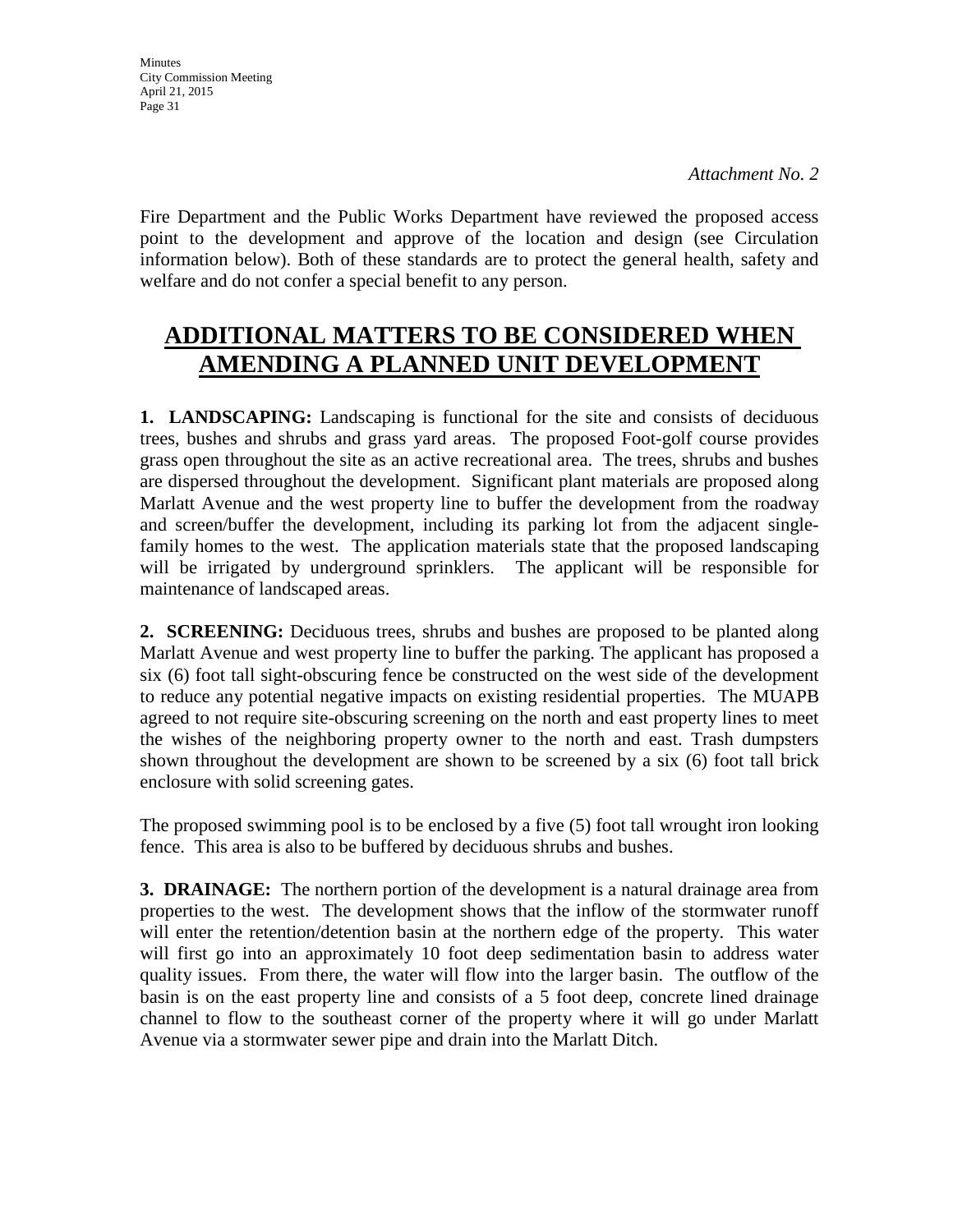Fire Department and the Public Works Department have reviewed the proposed access point to the development and approve of the location and design (see Circulation information below). Both of these standards are to protect the general health, safety and welfare and do not confer a special benefit to any person.

# **ADDITIONAL MATTERS TO BE CONSIDERED WHEN AMENDING A PLANNED UNIT DEVELOPMENT**

**1. LANDSCAPING:** Landscaping is functional for the site and consists of deciduous trees, bushes and shrubs and grass yard areas. The proposed Foot-golf course provides grass open throughout the site as an active recreational area. The trees, shrubs and bushes are dispersed throughout the development. Significant plant materials are proposed along Marlatt Avenue and the west property line to buffer the development from the roadway and screen/buffer the development, including its parking lot from the adjacent singlefamily homes to the west. The application materials state that the proposed landscaping will be irrigated by underground sprinklers. The applicant will be responsible for maintenance of landscaped areas.

**2. SCREENING:** Deciduous trees, shrubs and bushes are proposed to be planted along Marlatt Avenue and west property line to buffer the parking. The applicant has proposed a six (6) foot tall sight-obscuring fence be constructed on the west side of the development to reduce any potential negative impacts on existing residential properties. The MUAPB agreed to not require site-obscuring screening on the north and east property lines to meet the wishes of the neighboring property owner to the north and east. Trash dumpsters shown throughout the development are shown to be screened by a six (6) foot tall brick enclosure with solid screening gates.

The proposed swimming pool is to be enclosed by a five (5) foot tall wrought iron looking fence. This area is also to be buffered by deciduous shrubs and bushes.

**3. DRAINAGE:** The northern portion of the development is a natural drainage area from properties to the west. The development shows that the inflow of the stormwater runoff will enter the retention/detention basin at the northern edge of the property. This water will first go into an approximately 10 foot deep sedimentation basin to address water quality issues. From there, the water will flow into the larger basin. The outflow of the basin is on the east property line and consists of a 5 foot deep, concrete lined drainage channel to flow to the southeast corner of the property where it will go under Marlatt Avenue via a stormwater sewer pipe and drain into the Marlatt Ditch.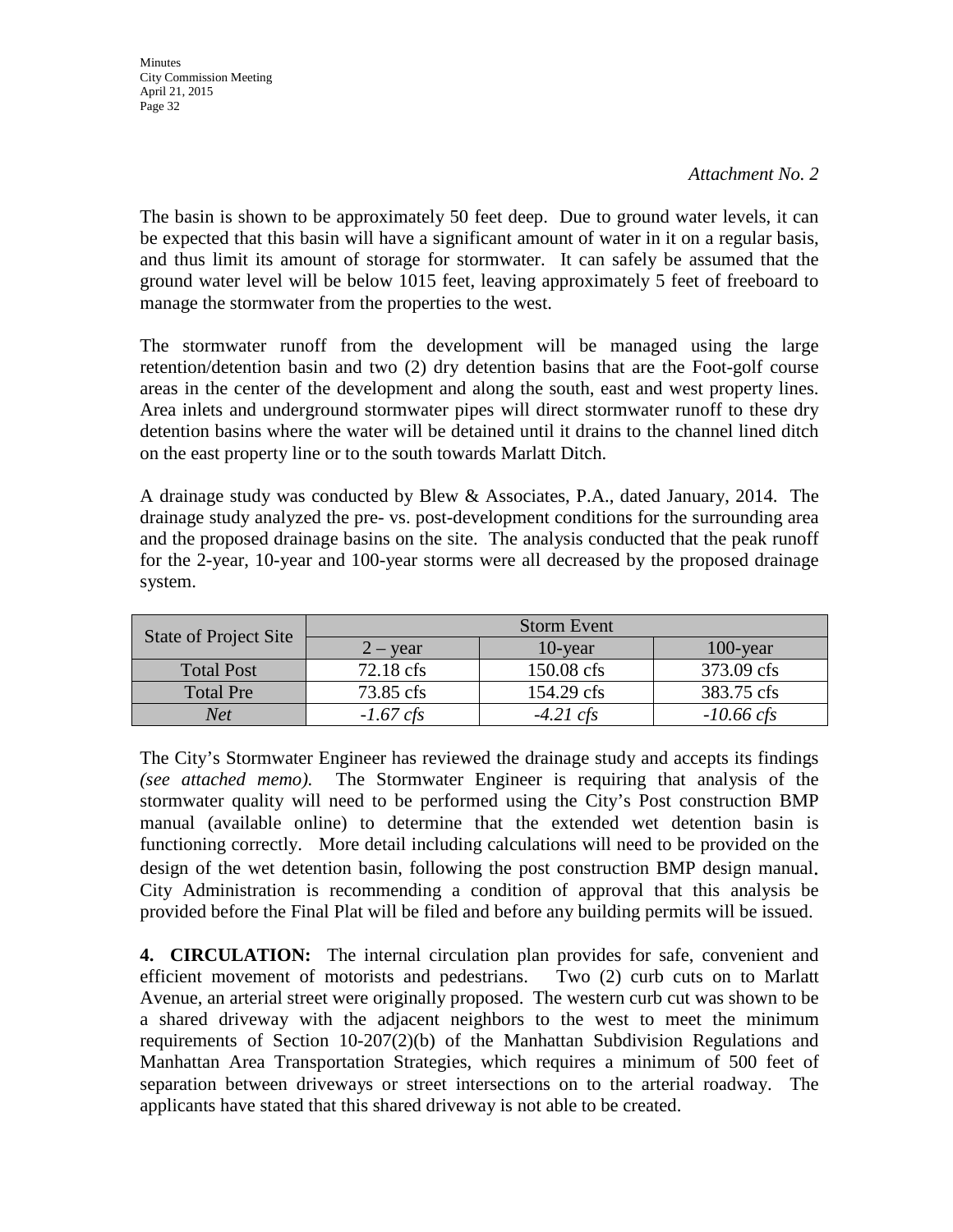#### *Attachment No. 2*

The basin is shown to be approximately 50 feet deep. Due to ground water levels, it can be expected that this basin will have a significant amount of water in it on a regular basis, and thus limit its amount of storage for stormwater. It can safely be assumed that the ground water level will be below 1015 feet, leaving approximately 5 feet of freeboard to manage the stormwater from the properties to the west.

The stormwater runoff from the development will be managed using the large retention/detention basin and two (2) dry detention basins that are the Foot-golf course areas in the center of the development and along the south, east and west property lines. Area inlets and underground stormwater pipes will direct stormwater runoff to these dry detention basins where the water will be detained until it drains to the channel lined ditch on the east property line or to the south towards Marlatt Ditch.

A drainage study was conducted by Blew & Associates, P.A., dated January, 2014. The drainage study analyzed the pre- vs. post-development conditions for the surrounding area and the proposed drainage basins on the site. The analysis conducted that the peak runoff for the 2-year, 10-year and 100-year storms were all decreased by the proposed drainage system.

| State of Project Site | <b>Storm Event</b>    |                     |                      |
|-----------------------|-----------------------|---------------------|----------------------|
|                       | $2 - \mathrm{year}$   | $10$ -year          | $100$ -year          |
| <b>Total Post</b>     | $72.18 \text{ cfs}$   | 150.08 cfs          | 373.09 cfs           |
| <b>Total Pre</b>      | 73.85 cfs             | 154.29 cfs          | 383.75 cfs           |
| <b>Net</b>            | $-1.67 \, \text{cfs}$ | $-4.21 \text{ cfs}$ | $-10.66 \text{ cfs}$ |

The City's Stormwater Engineer has reviewed the drainage study and accepts its findings *(see attached memo).* The Stormwater Engineer is requiring that analysis of the stormwater quality will need to be performed using the City's Post construction BMP manual (available online) to determine that the extended wet detention basin is functioning correctly. More detail including calculations will need to be provided on the design of the wet detention basin, following the post construction BMP design manual. City Administration is recommending a condition of approval that this analysis be provided before the Final Plat will be filed and before any building permits will be issued.

**4. CIRCULATION:** The internal circulation plan provides for safe, convenient and efficient movement of motorists and pedestrians. Two (2) curb cuts on to Marlatt Avenue, an arterial street were originally proposed. The western curb cut was shown to be a shared driveway with the adjacent neighbors to the west to meet the minimum requirements of Section 10-207(2)(b) of the Manhattan Subdivision Regulations and Manhattan Area Transportation Strategies, which requires a minimum of 500 feet of separation between driveways or street intersections on to the arterial roadway. The applicants have stated that this shared driveway is not able to be created.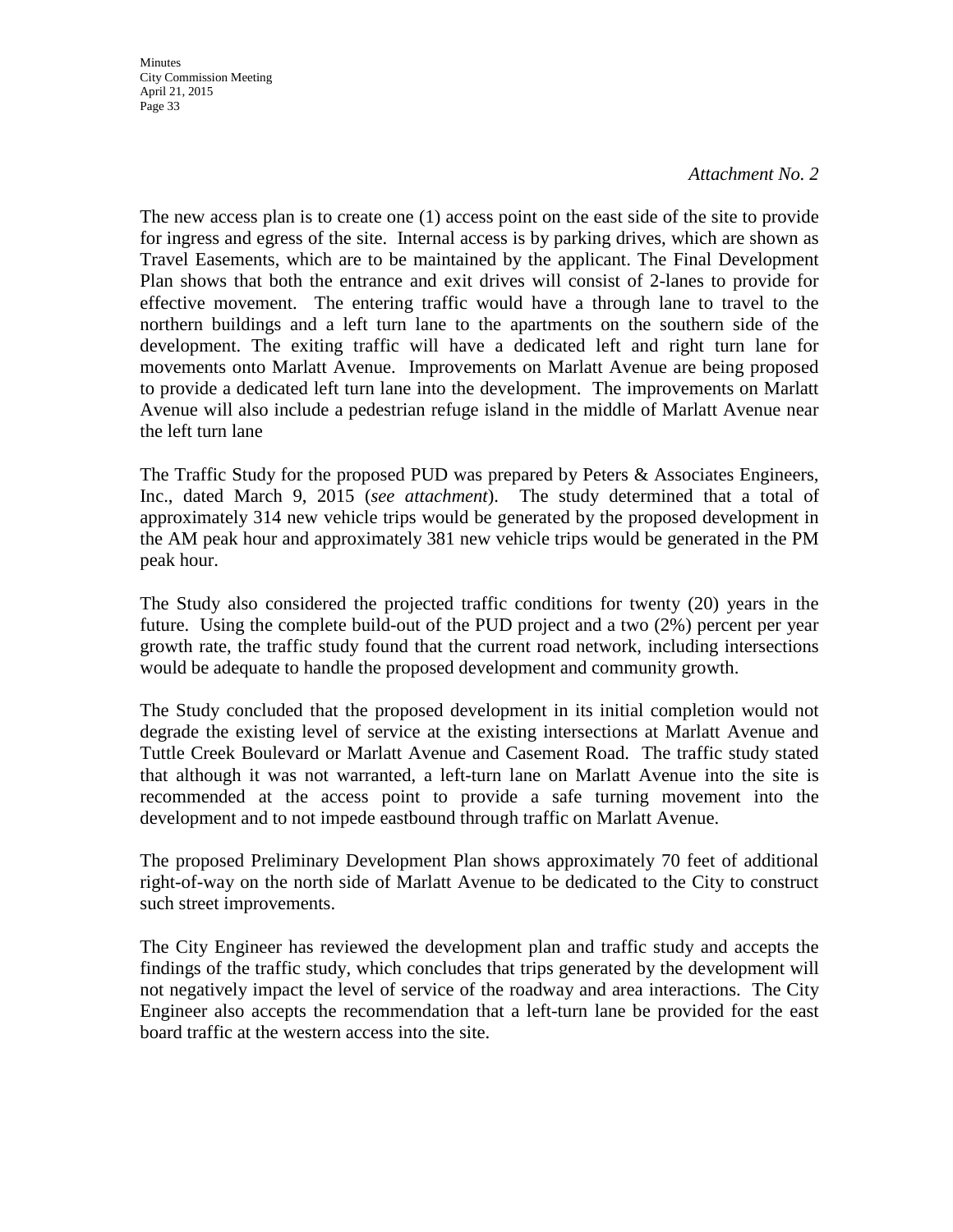#### *Attachment No. 2*

The new access plan is to create one (1) access point on the east side of the site to provide for ingress and egress of the site. Internal access is by parking drives, which are shown as Travel Easements, which are to be maintained by the applicant. The Final Development Plan shows that both the entrance and exit drives will consist of 2-lanes to provide for effective movement. The entering traffic would have a through lane to travel to the northern buildings and a left turn lane to the apartments on the southern side of the development. The exiting traffic will have a dedicated left and right turn lane for movements onto Marlatt Avenue. Improvements on Marlatt Avenue are being proposed to provide a dedicated left turn lane into the development. The improvements on Marlatt Avenue will also include a pedestrian refuge island in the middle of Marlatt Avenue near the left turn lane

The Traffic Study for the proposed PUD was prepared by Peters & Associates Engineers, Inc., dated March 9, 2015 (*see attachment*). The study determined that a total of approximately 314 new vehicle trips would be generated by the proposed development in the AM peak hour and approximately 381 new vehicle trips would be generated in the PM peak hour.

The Study also considered the projected traffic conditions for twenty (20) years in the future. Using the complete build-out of the PUD project and a two (2%) percent per year growth rate, the traffic study found that the current road network, including intersections would be adequate to handle the proposed development and community growth.

The Study concluded that the proposed development in its initial completion would not degrade the existing level of service at the existing intersections at Marlatt Avenue and Tuttle Creek Boulevard or Marlatt Avenue and Casement Road. The traffic study stated that although it was not warranted, a left-turn lane on Marlatt Avenue into the site is recommended at the access point to provide a safe turning movement into the development and to not impede eastbound through traffic on Marlatt Avenue.

The proposed Preliminary Development Plan shows approximately 70 feet of additional right-of-way on the north side of Marlatt Avenue to be dedicated to the City to construct such street improvements.

The City Engineer has reviewed the development plan and traffic study and accepts the findings of the traffic study, which concludes that trips generated by the development will not negatively impact the level of service of the roadway and area interactions. The City Engineer also accepts the recommendation that a left-turn lane be provided for the east board traffic at the western access into the site.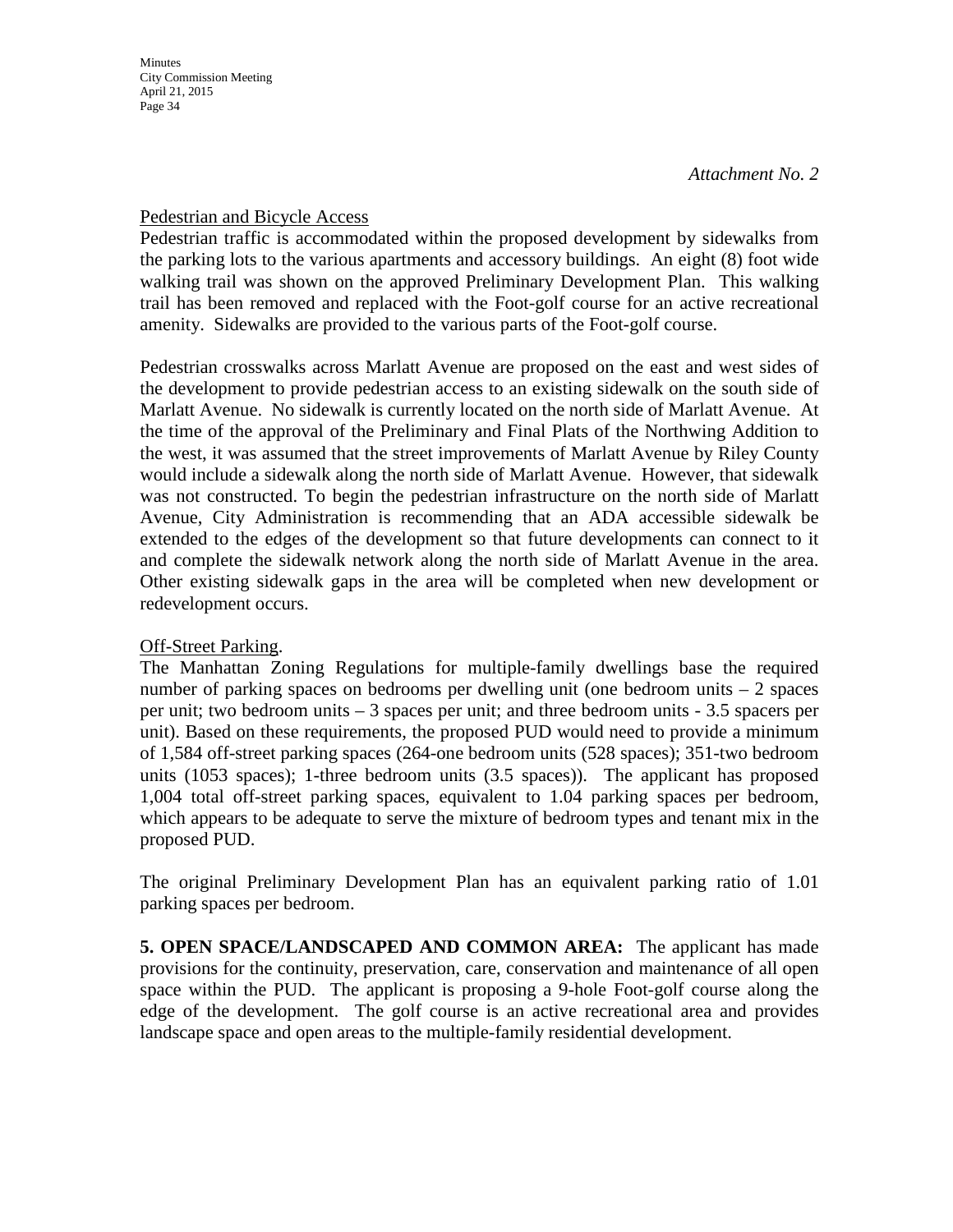### Pedestrian and Bicycle Access

Pedestrian traffic is accommodated within the proposed development by sidewalks from the parking lots to the various apartments and accessory buildings. An eight (8) foot wide walking trail was shown on the approved Preliminary Development Plan. This walking trail has been removed and replaced with the Foot-golf course for an active recreational amenity. Sidewalks are provided to the various parts of the Foot-golf course.

Pedestrian crosswalks across Marlatt Avenue are proposed on the east and west sides of the development to provide pedestrian access to an existing sidewalk on the south side of Marlatt Avenue. No sidewalk is currently located on the north side of Marlatt Avenue. At the time of the approval of the Preliminary and Final Plats of the Northwing Addition to the west, it was assumed that the street improvements of Marlatt Avenue by Riley County would include a sidewalk along the north side of Marlatt Avenue. However, that sidewalk was not constructed. To begin the pedestrian infrastructure on the north side of Marlatt Avenue, City Administration is recommending that an ADA accessible sidewalk be extended to the edges of the development so that future developments can connect to it and complete the sidewalk network along the north side of Marlatt Avenue in the area. Other existing sidewalk gaps in the area will be completed when new development or redevelopment occurs.

### Off-Street Parking.

The Manhattan Zoning Regulations for multiple-family dwellings base the required number of parking spaces on bedrooms per dwelling unit (one bedroom units  $-2$  spaces per unit; two bedroom units – 3 spaces per unit; and three bedroom units - 3.5 spacers per unit). Based on these requirements, the proposed PUD would need to provide a minimum of 1,584 off-street parking spaces (264-one bedroom units (528 spaces); 351-two bedroom units (1053 spaces); 1-three bedroom units (3.5 spaces)). The applicant has proposed 1,004 total off-street parking spaces, equivalent to 1.04 parking spaces per bedroom, which appears to be adequate to serve the mixture of bedroom types and tenant mix in the proposed PUD.

The original Preliminary Development Plan has an equivalent parking ratio of 1.01 parking spaces per bedroom.

**5. OPEN SPACE/LANDSCAPED AND COMMON AREA:** The applicant has made provisions for the continuity, preservation, care, conservation and maintenance of all open space within the PUD. The applicant is proposing a 9-hole Foot-golf course along the edge of the development. The golf course is an active recreational area and provides landscape space and open areas to the multiple-family residential development.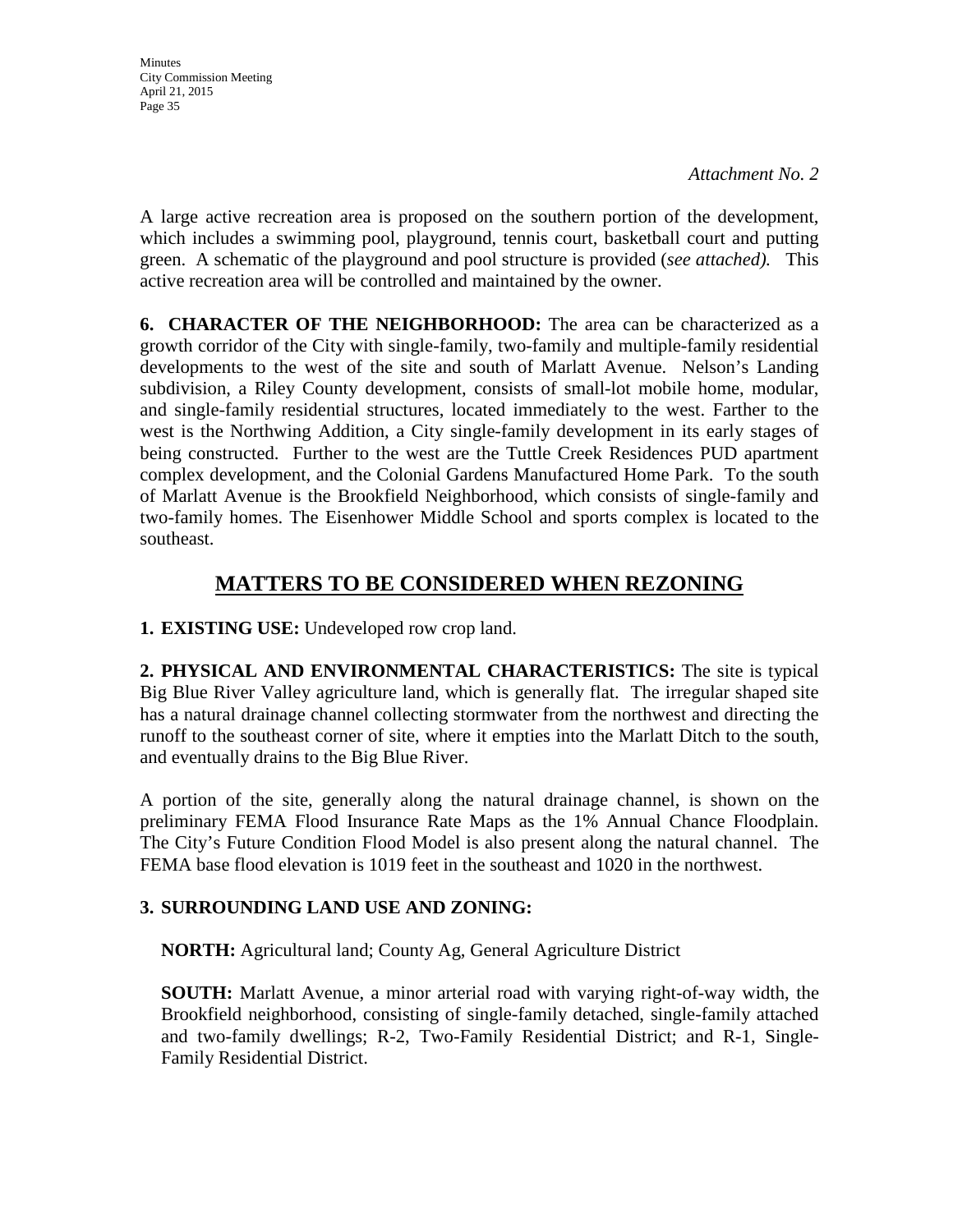**Minutes** City Commission Meeting April 21, 2015 Page 35

A large active recreation area is proposed on the southern portion of the development, which includes a swimming pool, playground, tennis court, basketball court and putting green. A schematic of the playground and pool structure is provided (*see attached).* This active recreation area will be controlled and maintained by the owner.

**6. CHARACTER OF THE NEIGHBORHOOD:** The area can be characterized as a growth corridor of the City with single-family, two-family and multiple-family residential developments to the west of the site and south of Marlatt Avenue. Nelson's Landing subdivision, a Riley County development, consists of small-lot mobile home, modular, and single-family residential structures, located immediately to the west. Farther to the west is the Northwing Addition, a City single-family development in its early stages of being constructed. Further to the west are the Tuttle Creek Residences PUD apartment complex development, and the Colonial Gardens Manufactured Home Park. To the south of Marlatt Avenue is the Brookfield Neighborhood, which consists of single-family and two-family homes. The Eisenhower Middle School and sports complex is located to the southeast.

# **MATTERS TO BE CONSIDERED WHEN REZONING**

**1. EXISTING USE:** Undeveloped row crop land.

**2. PHYSICAL AND ENVIRONMENTAL CHARACTERISTICS:** The site is typical Big Blue River Valley agriculture land, which is generally flat. The irregular shaped site has a natural drainage channel collecting stormwater from the northwest and directing the runoff to the southeast corner of site, where it empties into the Marlatt Ditch to the south, and eventually drains to the Big Blue River.

A portion of the site, generally along the natural drainage channel, is shown on the preliminary FEMA Flood Insurance Rate Maps as the 1% Annual Chance Floodplain. The City's Future Condition Flood Model is also present along the natural channel. The FEMA base flood elevation is 1019 feet in the southeast and 1020 in the northwest.

## **3. SURROUNDING LAND USE AND ZONING:**

**NORTH:** Agricultural land; County Ag, General Agriculture District

**SOUTH:** Marlatt Avenue, a minor arterial road with varying right-of-way width, the Brookfield neighborhood, consisting of single-family detached, single-family attached and two-family dwellings; R-2, Two-Family Residential District; and R-1, Single-Family Residential District.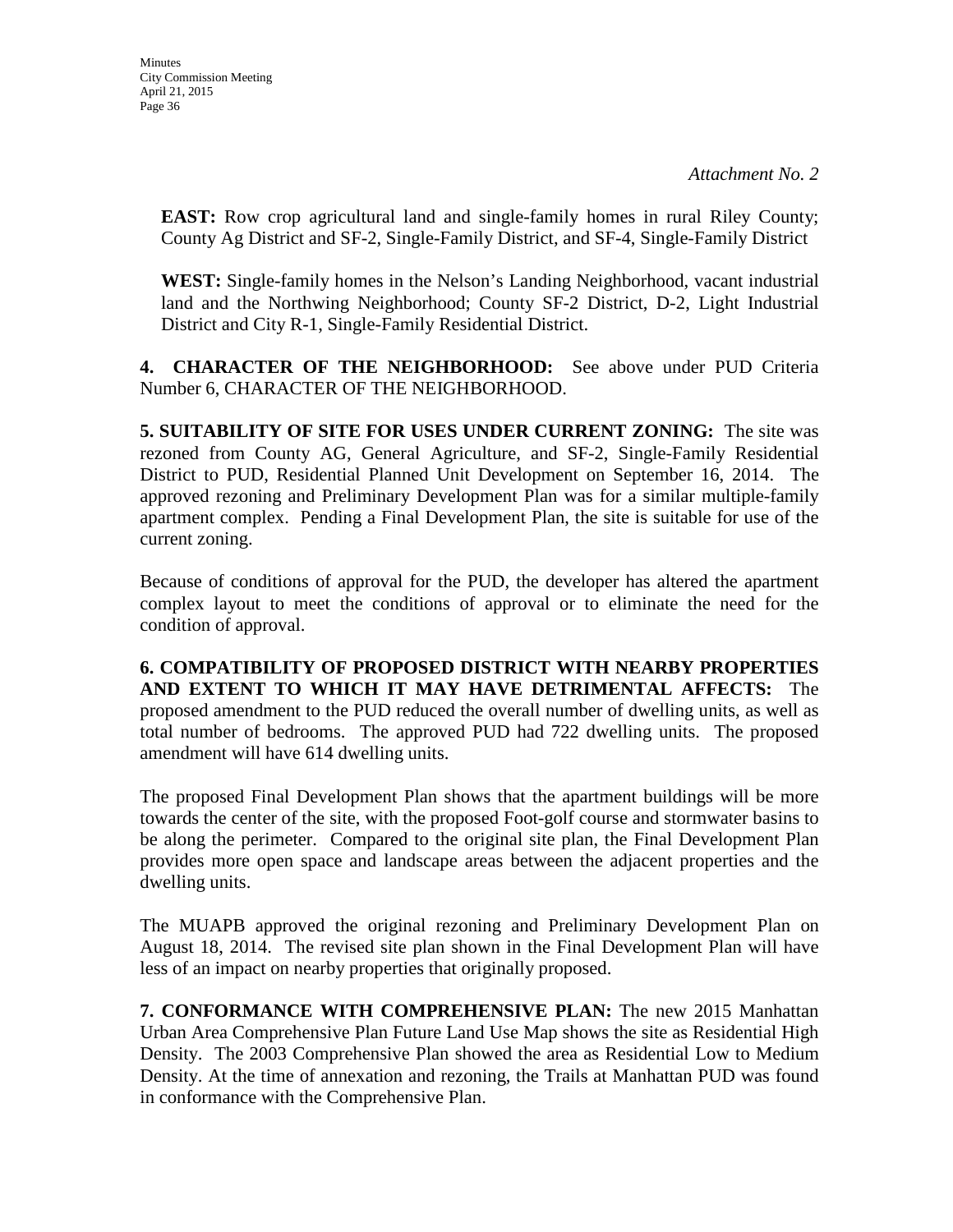**EAST:** Row crop agricultural land and single-family homes in rural Riley County; County Ag District and SF-2, Single-Family District, and SF-4, Single-Family District

**WEST:** Single-family homes in the Nelson's Landing Neighborhood, vacant industrial land and the Northwing Neighborhood; County SF-2 District, D-2, Light Industrial District and City R-1, Single-Family Residential District.

**4. CHARACTER OF THE NEIGHBORHOOD:** See above under PUD Criteria Number 6, CHARACTER OF THE NEIGHBORHOOD.

**5. SUITABILITY OF SITE FOR USES UNDER CURRENT ZONING:** The site was rezoned from County AG, General Agriculture, and SF-2, Single-Family Residential District to PUD, Residential Planned Unit Development on September 16, 2014. The approved rezoning and Preliminary Development Plan was for a similar multiple-family apartment complex. Pending a Final Development Plan, the site is suitable for use of the current zoning.

Because of conditions of approval for the PUD, the developer has altered the apartment complex layout to meet the conditions of approval or to eliminate the need for the condition of approval.

**6. COMPATIBILITY OF PROPOSED DISTRICT WITH NEARBY PROPERTIES AND EXTENT TO WHICH IT MAY HAVE DETRIMENTAL AFFECTS:** The proposed amendment to the PUD reduced the overall number of dwelling units, as well as total number of bedrooms. The approved PUD had 722 dwelling units. The proposed amendment will have 614 dwelling units.

The proposed Final Development Plan shows that the apartment buildings will be more towards the center of the site, with the proposed Foot-golf course and stormwater basins to be along the perimeter. Compared to the original site plan, the Final Development Plan provides more open space and landscape areas between the adjacent properties and the dwelling units.

The MUAPB approved the original rezoning and Preliminary Development Plan on August 18, 2014. The revised site plan shown in the Final Development Plan will have less of an impact on nearby properties that originally proposed.

**7. CONFORMANCE WITH COMPREHENSIVE PLAN:** The new 2015 Manhattan Urban Area Comprehensive Plan Future Land Use Map shows the site as Residential High Density. The 2003 Comprehensive Plan showed the area as Residential Low to Medium Density. At the time of annexation and rezoning, the Trails at Manhattan PUD was found in conformance with the Comprehensive Plan.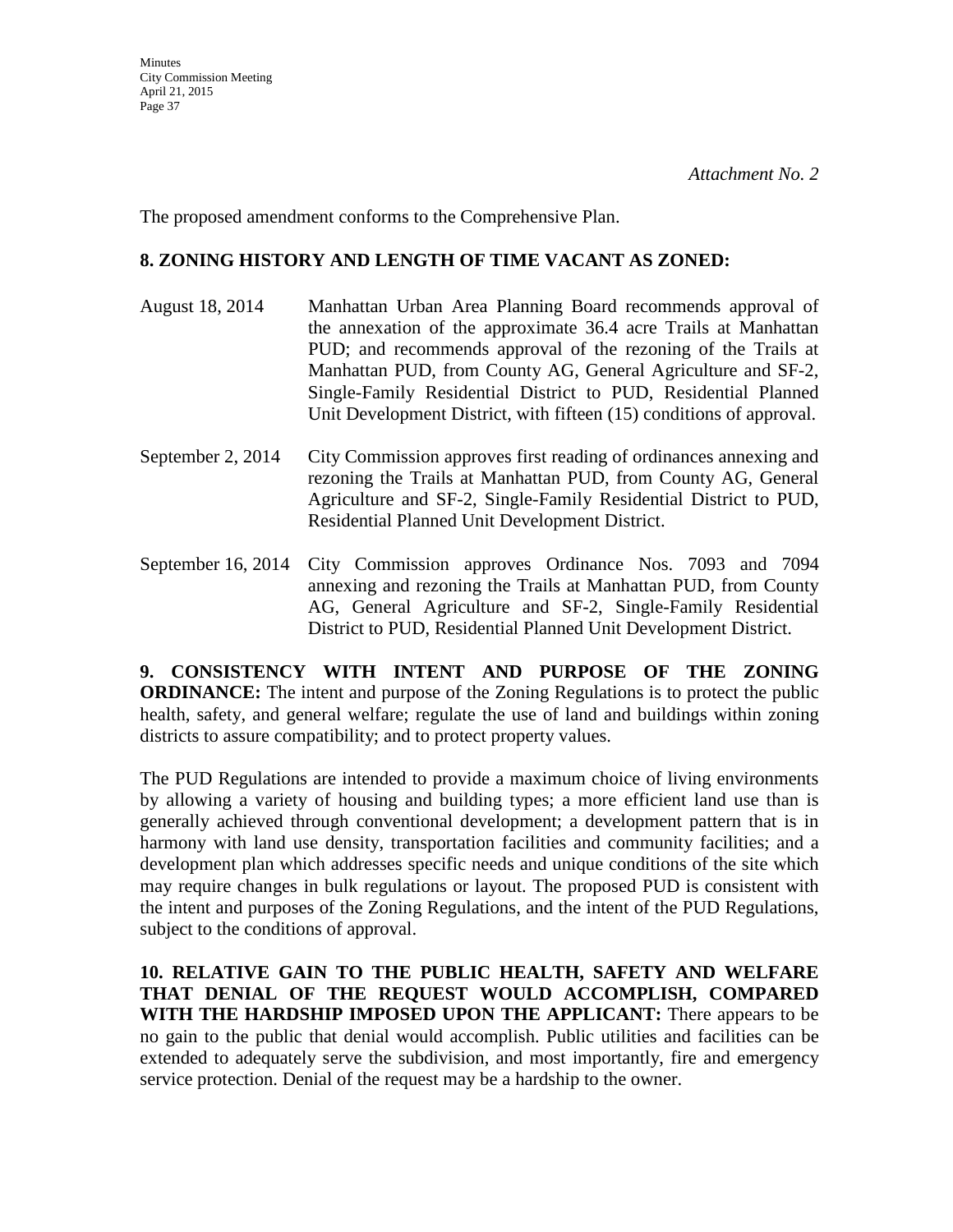The proposed amendment conforms to the Comprehensive Plan.

### **8. ZONING HISTORY AND LENGTH OF TIME VACANT AS ZONED:**

- August 18, 2014 Manhattan Urban Area Planning Board recommends approval of the annexation of the approximate 36.4 acre Trails at Manhattan PUD; and recommends approval of the rezoning of the Trails at Manhattan PUD, from County AG, General Agriculture and SF-2, Single-Family Residential District to PUD, Residential Planned Unit Development District, with fifteen (15) conditions of approval.
- September 2, 2014 City Commission approves first reading of ordinances annexing and rezoning the Trails at Manhattan PUD, from County AG, General Agriculture and SF-2, Single-Family Residential District to PUD, Residential Planned Unit Development District.
- September 16, 2014 City Commission approves Ordinance Nos. 7093 and 7094 annexing and rezoning the Trails at Manhattan PUD, from County AG, General Agriculture and SF-2, Single-Family Residential District to PUD, Residential Planned Unit Development District.

**9. CONSISTENCY WITH INTENT AND PURPOSE OF THE ZONING ORDINANCE:** The intent and purpose of the Zoning Regulations is to protect the public health, safety, and general welfare; regulate the use of land and buildings within zoning districts to assure compatibility; and to protect property values.

The PUD Regulations are intended to provide a maximum choice of living environments by allowing a variety of housing and building types; a more efficient land use than is generally achieved through conventional development; a development pattern that is in harmony with land use density, transportation facilities and community facilities; and a development plan which addresses specific needs and unique conditions of the site which may require changes in bulk regulations or layout. The proposed PUD is consistent with the intent and purposes of the Zoning Regulations, and the intent of the PUD Regulations, subject to the conditions of approval.

**10. RELATIVE GAIN TO THE PUBLIC HEALTH, SAFETY AND WELFARE THAT DENIAL OF THE REQUEST WOULD ACCOMPLISH, COMPARED WITH THE HARDSHIP IMPOSED UPON THE APPLICANT:** There appears to be no gain to the public that denial would accomplish. Public utilities and facilities can be extended to adequately serve the subdivision, and most importantly, fire and emergency service protection. Denial of the request may be a hardship to the owner.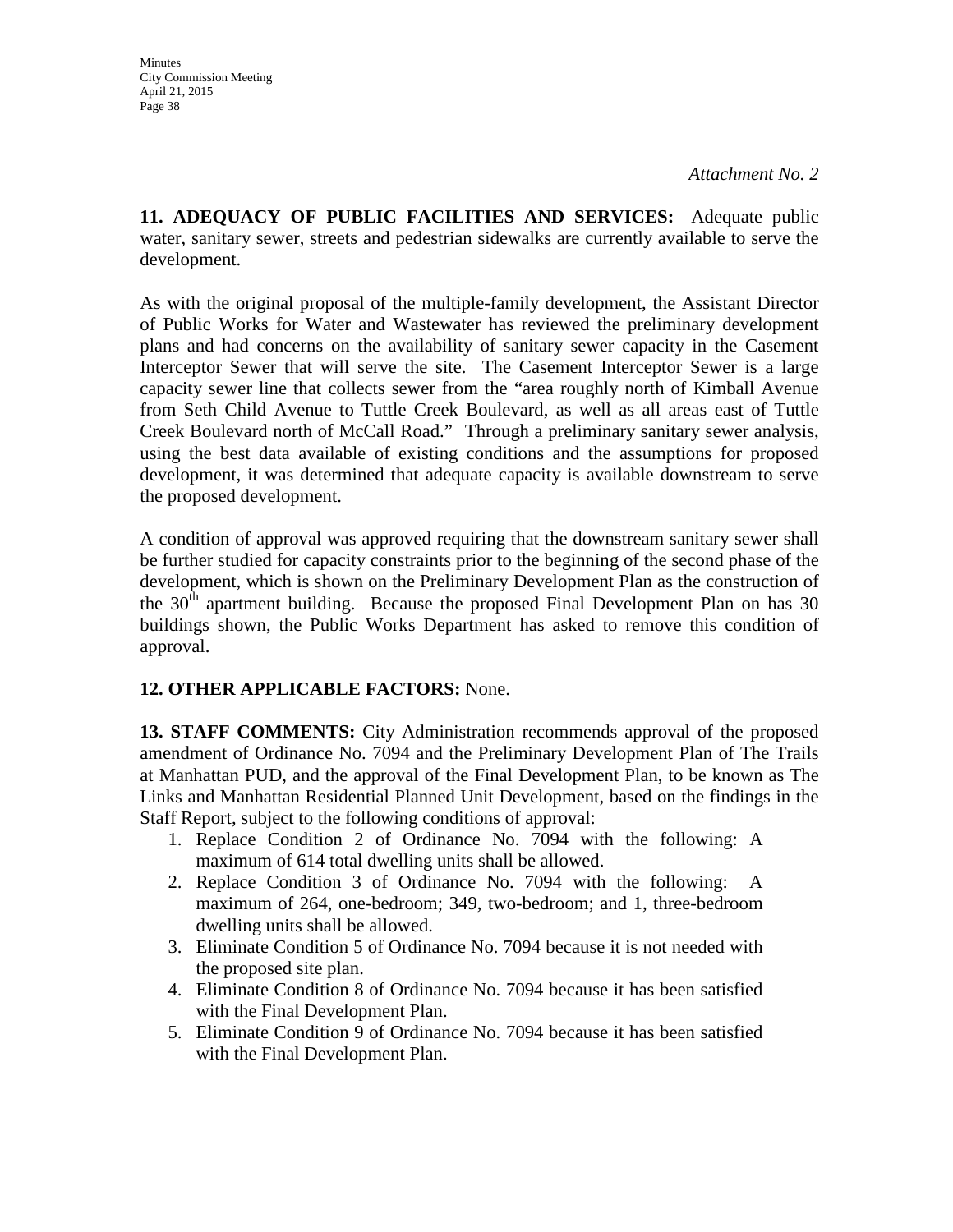**11. ADEQUACY OF PUBLIC FACILITIES AND SERVICES:** Adequate public water, sanitary sewer, streets and pedestrian sidewalks are currently available to serve the development.

As with the original proposal of the multiple-family development, the Assistant Director of Public Works for Water and Wastewater has reviewed the preliminary development plans and had concerns on the availability of sanitary sewer capacity in the Casement Interceptor Sewer that will serve the site. The Casement Interceptor Sewer is a large capacity sewer line that collects sewer from the "area roughly north of Kimball Avenue from Seth Child Avenue to Tuttle Creek Boulevard, as well as all areas east of Tuttle Creek Boulevard north of McCall Road." Through a preliminary sanitary sewer analysis, using the best data available of existing conditions and the assumptions for proposed development, it was determined that adequate capacity is available downstream to serve the proposed development.

A condition of approval was approved requiring that the downstream sanitary sewer shall be further studied for capacity constraints prior to the beginning of the second phase of the development, which is shown on the Preliminary Development Plan as the construction of the  $30<sup>th</sup>$  apartment building. Because the proposed Final Development Plan on has 30 buildings shown, the Public Works Department has asked to remove this condition of approval.

## **12. OTHER APPLICABLE FACTORS:** None.

**13. STAFF COMMENTS:** City Administration recommends approval of the proposed amendment of Ordinance No. 7094 and the Preliminary Development Plan of The Trails at Manhattan PUD, and the approval of the Final Development Plan, to be known as The Links and Manhattan Residential Planned Unit Development, based on the findings in the Staff Report, subject to the following conditions of approval:

- 1. Replace Condition 2 of Ordinance No. 7094 with the following: A maximum of 614 total dwelling units shall be allowed.
- 2. Replace Condition 3 of Ordinance No. 7094 with the following: maximum of 264, one-bedroom; 349, two-bedroom; and 1, three-bedroom dwelling units shall be allowed.
- 3. Eliminate Condition 5 of Ordinance No. 7094 because it is not needed with the proposed site plan.
- 4. Eliminate Condition 8 of Ordinance No. 7094 because it has been satisfied with the Final Development Plan.
- 5. Eliminate Condition 9 of Ordinance No. 7094 because it has been satisfied with the Final Development Plan.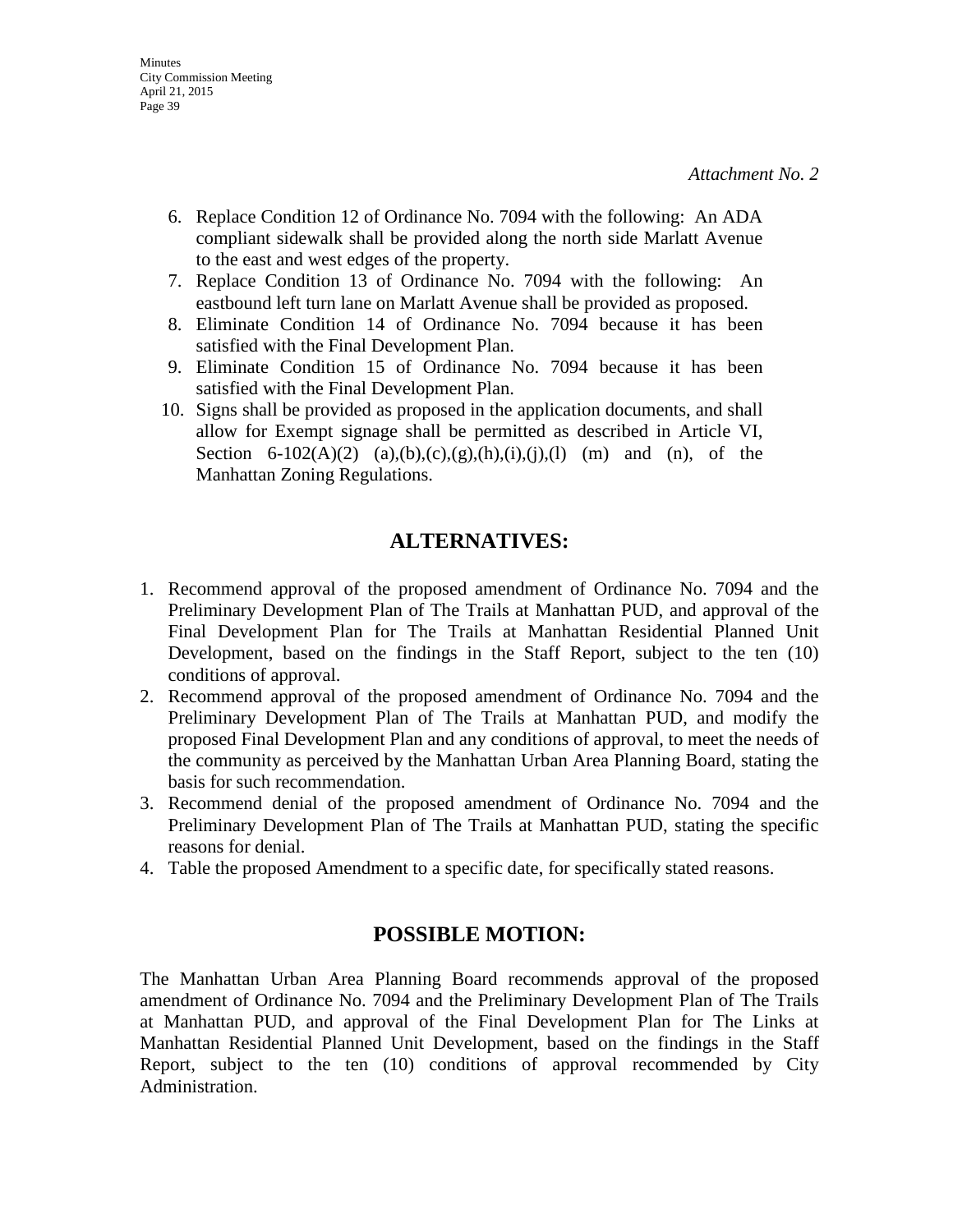- 6. Replace Condition 12 of Ordinance No. 7094 with the following: An ADA compliant sidewalk shall be provided along the north side Marlatt Avenue to the east and west edges of the property.
- 7. Replace Condition 13 of Ordinance No. 7094 with the following: An eastbound left turn lane on Marlatt Avenue shall be provided as proposed.
- 8. Eliminate Condition 14 of Ordinance No. 7094 because it has been satisfied with the Final Development Plan.
- 9. Eliminate Condition 15 of Ordinance No. 7094 because it has been satisfied with the Final Development Plan.
- 10. Signs shall be provided as proposed in the application documents, and shall allow for Exempt signage shall be permitted as described in Article VI, Section 6-102(A)(2) (a),(b),(c),(g),(h),(i),(j),(l) (m) and (n), of the Manhattan Zoning Regulations.

# **ALTERNATIVES:**

- 1. Recommend approval of the proposed amendment of Ordinance No. 7094 and the Preliminary Development Plan of The Trails at Manhattan PUD, and approval of the Final Development Plan for The Trails at Manhattan Residential Planned Unit Development, based on the findings in the Staff Report, subject to the ten (10) conditions of approval.
- 2. Recommend approval of the proposed amendment of Ordinance No. 7094 and the Preliminary Development Plan of The Trails at Manhattan PUD, and modify the proposed Final Development Plan and any conditions of approval, to meet the needs of the community as perceived by the Manhattan Urban Area Planning Board, stating the basis for such recommendation.
- 3. Recommend denial of the proposed amendment of Ordinance No. 7094 and the Preliminary Development Plan of The Trails at Manhattan PUD, stating the specific reasons for denial.
- 4. Table the proposed Amendment to a specific date, for specifically stated reasons.

# **POSSIBLE MOTION:**

The Manhattan Urban Area Planning Board recommends approval of the proposed amendment of Ordinance No. 7094 and the Preliminary Development Plan of The Trails at Manhattan PUD, and approval of the Final Development Plan for The Links at Manhattan Residential Planned Unit Development, based on the findings in the Staff Report, subject to the ten (10) conditions of approval recommended by City Administration.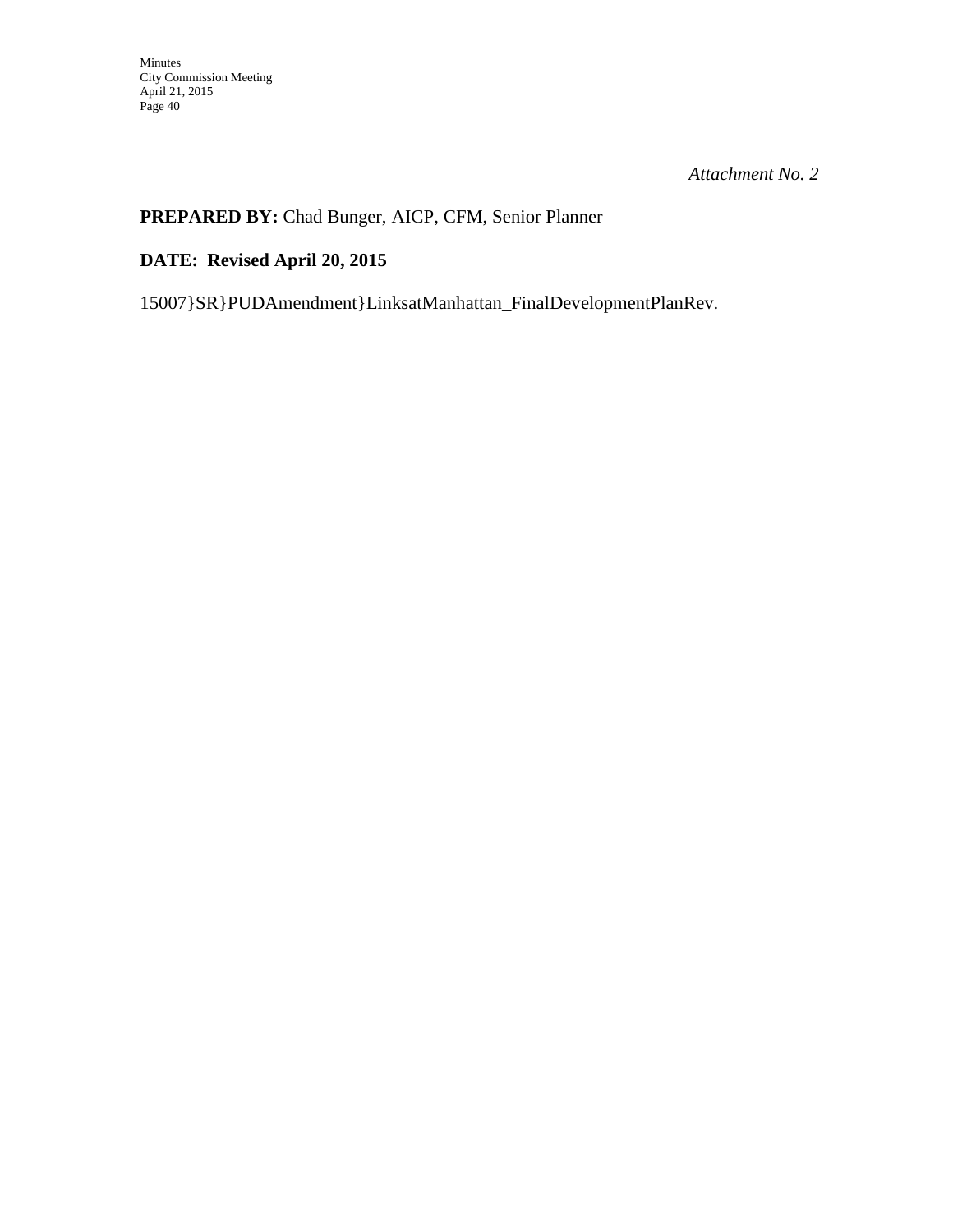# **PREPARED BY:** Chad Bunger, AICP, CFM, Senior Planner

# **DATE: Revised April 20, 2015**

15007}SR}PUDAmendment}LinksatManhattan\_FinalDevelopmentPlanRev.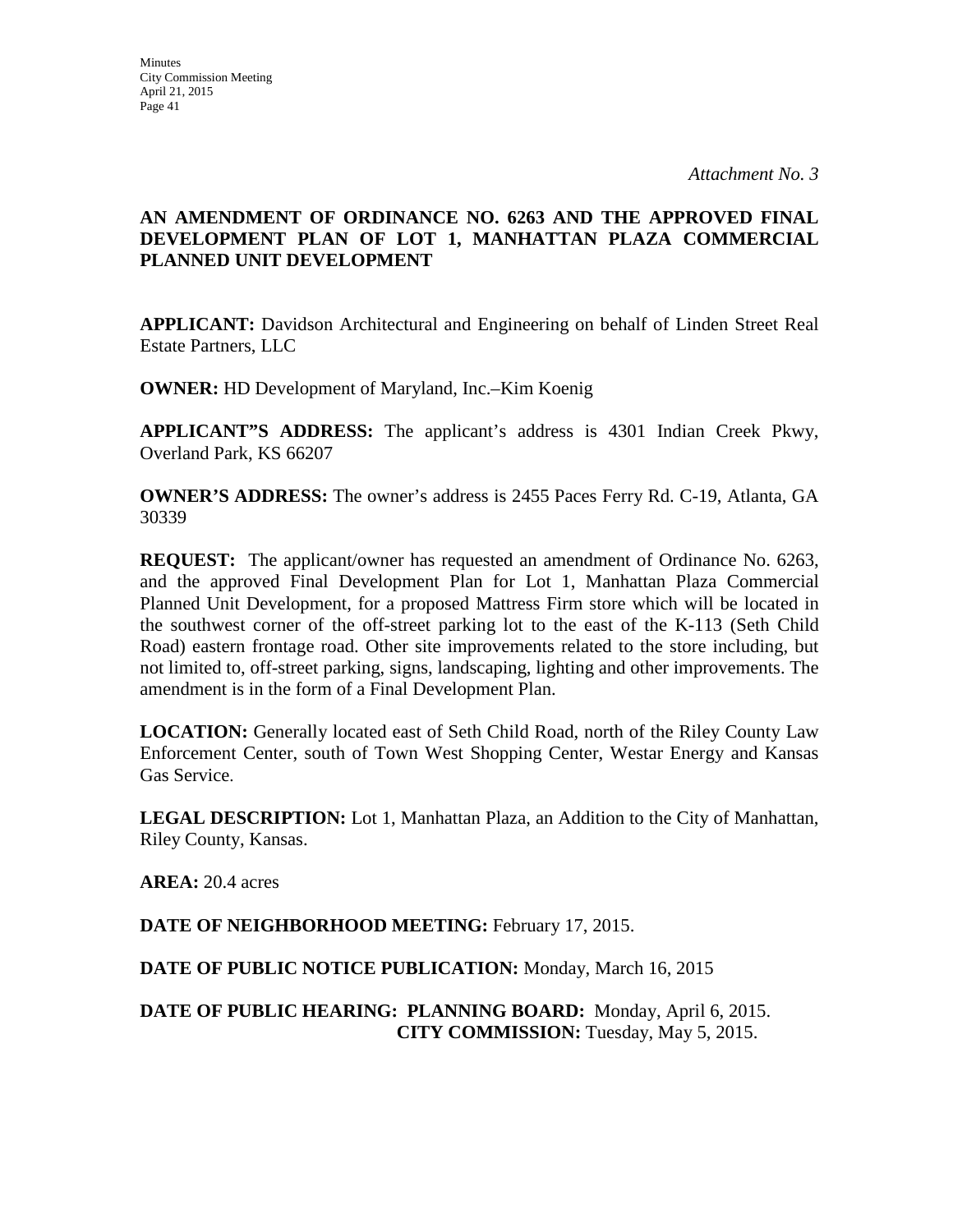## **AN AMENDMENT OF ORDINANCE NO. 6263 AND THE APPROVED FINAL DEVELOPMENT PLAN OF LOT 1, MANHATTAN PLAZA COMMERCIAL PLANNED UNIT DEVELOPMENT**

**APPLICANT:** Davidson Architectural and Engineering on behalf of Linden Street Real Estate Partners, LLC

**OWNER:** HD Development of Maryland, Inc.–Kim Koenig

**APPLICANT"S ADDRESS:** The applicant's address is 4301 Indian Creek Pkwy, Overland Park, KS 66207

**OWNER'S ADDRESS:** The owner's address is 2455 Paces Ferry Rd. C-19, Atlanta, GA 30339

**REQUEST:** The applicant/owner has requested an amendment of Ordinance No. 6263, and the approved Final Development Plan for Lot 1, Manhattan Plaza Commercial Planned Unit Development, for a proposed Mattress Firm store which will be located in the southwest corner of the off-street parking lot to the east of the K-113 (Seth Child Road) eastern frontage road. Other site improvements related to the store including, but not limited to, off-street parking, signs, landscaping, lighting and other improvements. The amendment is in the form of a Final Development Plan.

**LOCATION:** Generally located east of Seth Child Road, north of the Riley County Law Enforcement Center, south of Town West Shopping Center, Westar Energy and Kansas Gas Service.

**LEGAL DESCRIPTION:** Lot 1, Manhattan Plaza, an Addition to the City of Manhattan, Riley County, Kansas.

**AREA:** 20.4 acres

**DATE OF NEIGHBORHOOD MEETING:** February 17, 2015.

**DATE OF PUBLIC NOTICE PUBLICATION:** Monday, March 16, 2015

**DATE OF PUBLIC HEARING: PLANNING BOARD:** Monday, April 6, 2015. **CITY COMMISSION:** Tuesday, May 5, 2015.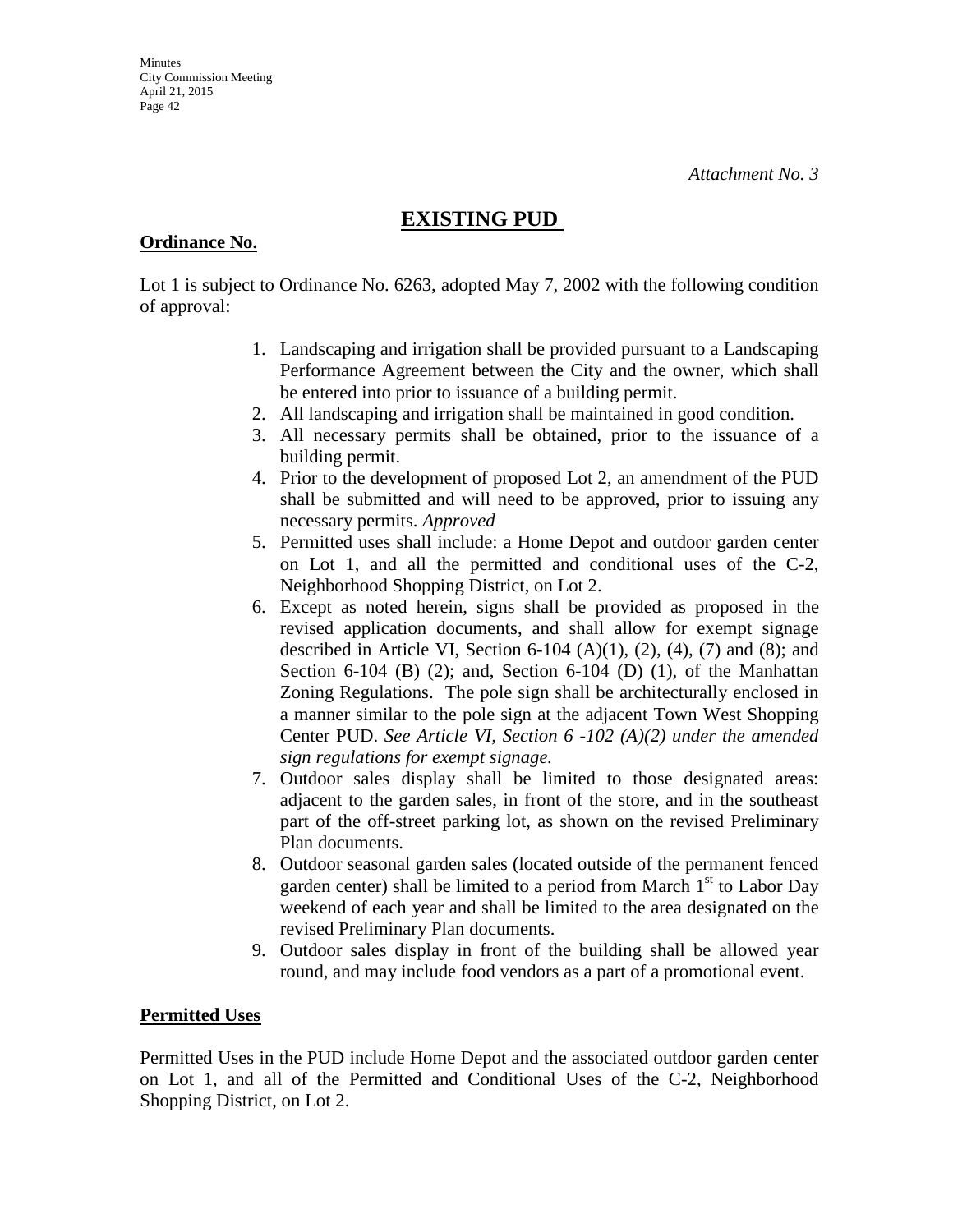# **EXISTING PUD**

### **Ordinance No.**

Lot 1 is subject to Ordinance No. 6263, adopted May 7, 2002 with the following condition of approval:

- 1. Landscaping and irrigation shall be provided pursuant to a Landscaping Performance Agreement between the City and the owner, which shall be entered into prior to issuance of a building permit.
- 2. All landscaping and irrigation shall be maintained in good condition.
- 3. All necessary permits shall be obtained, prior to the issuance of a building permit.
- 4. Prior to the development of proposed Lot 2, an amendment of the PUD shall be submitted and will need to be approved, prior to issuing any necessary permits. *Approved*
- 5. Permitted uses shall include: a Home Depot and outdoor garden center on Lot 1, and all the permitted and conditional uses of the C-2, Neighborhood Shopping District, on Lot 2.
- 6. Except as noted herein, signs shall be provided as proposed in the revised application documents, and shall allow for exempt signage described in Article VI, Section 6-104  $(A)(1)$ ,  $(2)$ ,  $(4)$ ,  $(7)$  and  $(8)$ ; and Section 6-104 (B) (2); and, Section 6-104 (D) (1), of the Manhattan Zoning Regulations. The pole sign shall be architecturally enclosed in a manner similar to the pole sign at the adjacent Town West Shopping Center PUD. *See Article VI, Section 6 -102 (A)(2) under the amended sign regulations for exempt signage.*
- 7. Outdoor sales display shall be limited to those designated areas: adjacent to the garden sales, in front of the store, and in the southeast part of the off-street parking lot, as shown on the revised Preliminary Plan documents.
- 8. Outdoor seasonal garden sales (located outside of the permanent fenced garden center) shall be limited to a period from March  $1<sup>st</sup>$  to Labor Day weekend of each year and shall be limited to the area designated on the revised Preliminary Plan documents.
- 9. Outdoor sales display in front of the building shall be allowed year round, and may include food vendors as a part of a promotional event.

## **Permitted Uses**

Permitted Uses in the PUD include Home Depot and the associated outdoor garden center on Lot 1, and all of the Permitted and Conditional Uses of the C-2, Neighborhood Shopping District, on Lot 2.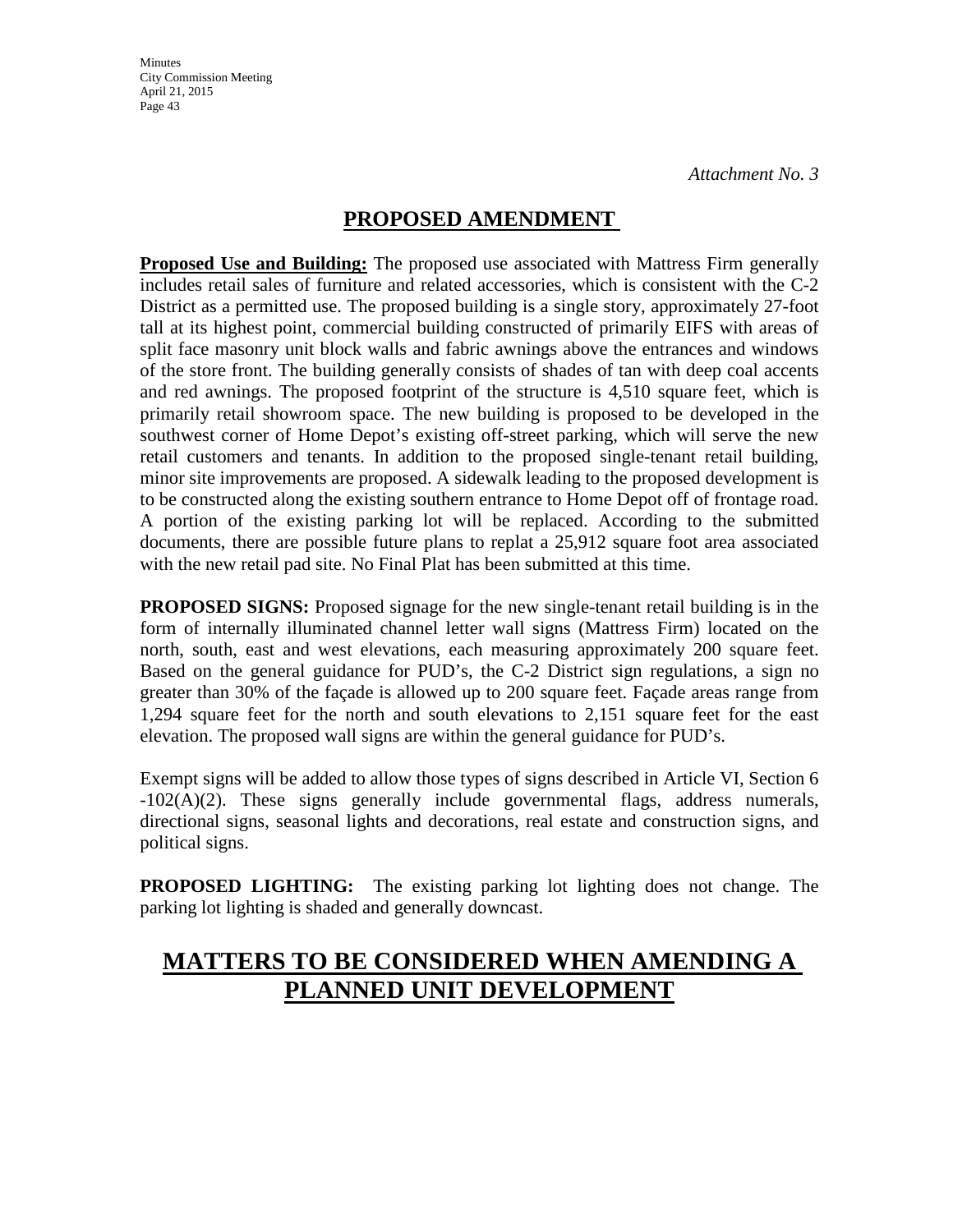**Minutes** City Commission Meeting April 21, 2015 Page 43

# **PROPOSED AMENDMENT**

**Proposed Use and Building:** The proposed use associated with Mattress Firm generally includes retail sales of furniture and related accessories, which is consistent with the C-2 District as a permitted use. The proposed building is a single story, approximately 27-foot tall at its highest point, commercial building constructed of primarily EIFS with areas of split face masonry unit block walls and fabric awnings above the entrances and windows of the store front. The building generally consists of shades of tan with deep coal accents and red awnings. The proposed footprint of the structure is 4,510 square feet, which is primarily retail showroom space. The new building is proposed to be developed in the southwest corner of Home Depot's existing off-street parking, which will serve the new retail customers and tenants. In addition to the proposed single-tenant retail building, minor site improvements are proposed. A sidewalk leading to the proposed development is to be constructed along the existing southern entrance to Home Depot off of frontage road. A portion of the existing parking lot will be replaced. According to the submitted documents, there are possible future plans to replat a 25,912 square foot area associated with the new retail pad site. No Final Plat has been submitted at this time.

**PROPOSED SIGNS:** Proposed signage for the new single-tenant retail building is in the form of internally illuminated channel letter wall signs (Mattress Firm) located on the north, south, east and west elevations, each measuring approximately 200 square feet. Based on the general guidance for PUD's, the C-2 District sign regulations, a sign no greater than 30% of the façade is allowed up to 200 square feet. Façade areas range from 1,294 square feet for the north and south elevations to 2,151 square feet for the east elevation. The proposed wall signs are within the general guidance for PUD's.

Exempt signs will be added to allow those types of signs described in Article VI, Section 6 -102(A)(2). These signs generally include governmental flags, address numerals, directional signs, seasonal lights and decorations, real estate and construction signs, and political signs.

**PROPOSED LIGHTING:** The existing parking lot lighting does not change. The parking lot lighting is shaded and generally downcast.

# **MATTERS TO BE CONSIDERED WHEN AMENDING A PLANNED UNIT DEVELOPMENT**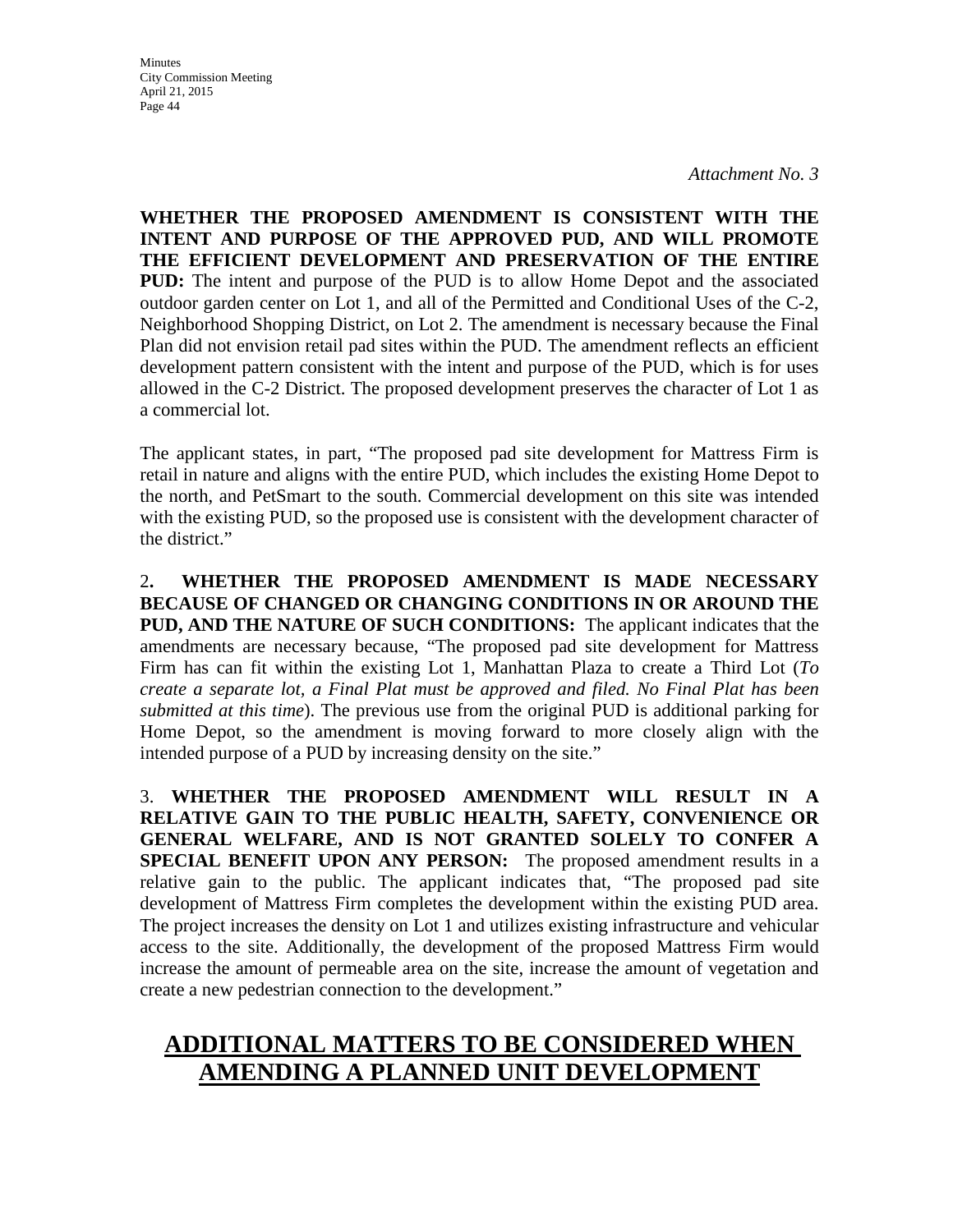*Attachment No. 3*

**WHETHER THE PROPOSED AMENDMENT IS CONSISTENT WITH THE INTENT AND PURPOSE OF THE APPROVED PUD, AND WILL PROMOTE THE EFFICIENT DEVELOPMENT AND PRESERVATION OF THE ENTIRE PUD:** The intent and purpose of the PUD is to allow Home Depot and the associated outdoor garden center on Lot 1, and all of the Permitted and Conditional Uses of the C-2, Neighborhood Shopping District, on Lot 2. The amendment is necessary because the Final Plan did not envision retail pad sites within the PUD. The amendment reflects an efficient development pattern consistent with the intent and purpose of the PUD, which is for uses allowed in the C-2 District. The proposed development preserves the character of Lot 1 as a commercial lot.

The applicant states, in part, "The proposed pad site development for Mattress Firm is retail in nature and aligns with the entire PUD, which includes the existing Home Depot to the north, and PetSmart to the south. Commercial development on this site was intended with the existing PUD, so the proposed use is consistent with the development character of the district."

2**. WHETHER THE PROPOSED AMENDMENT IS MADE NECESSARY BECAUSE OF CHANGED OR CHANGING CONDITIONS IN OR AROUND THE PUD, AND THE NATURE OF SUCH CONDITIONS:** The applicant indicates that the amendments are necessary because, "The proposed pad site development for Mattress Firm has can fit within the existing Lot 1, Manhattan Plaza to create a Third Lot (*To create a separate lot, a Final Plat must be approved and filed. No Final Plat has been submitted at this time*). The previous use from the original PUD is additional parking for Home Depot, so the amendment is moving forward to more closely align with the intended purpose of a PUD by increasing density on the site."

3. **WHETHER THE PROPOSED AMENDMENT WILL RESULT IN A RELATIVE GAIN TO THE PUBLIC HEALTH, SAFETY, CONVENIENCE OR GENERAL WELFARE, AND IS NOT GRANTED SOLELY TO CONFER A SPECIAL BENEFIT UPON ANY PERSON:** The proposed amendment results in a relative gain to the public. The applicant indicates that, "The proposed pad site development of Mattress Firm completes the development within the existing PUD area. The project increases the density on Lot 1 and utilizes existing infrastructure and vehicular access to the site. Additionally, the development of the proposed Mattress Firm would increase the amount of permeable area on the site, increase the amount of vegetation and create a new pedestrian connection to the development."

# **ADDITIONAL MATTERS TO BE CONSIDERED WHEN AMENDING A PLANNED UNIT DEVELOPMENT**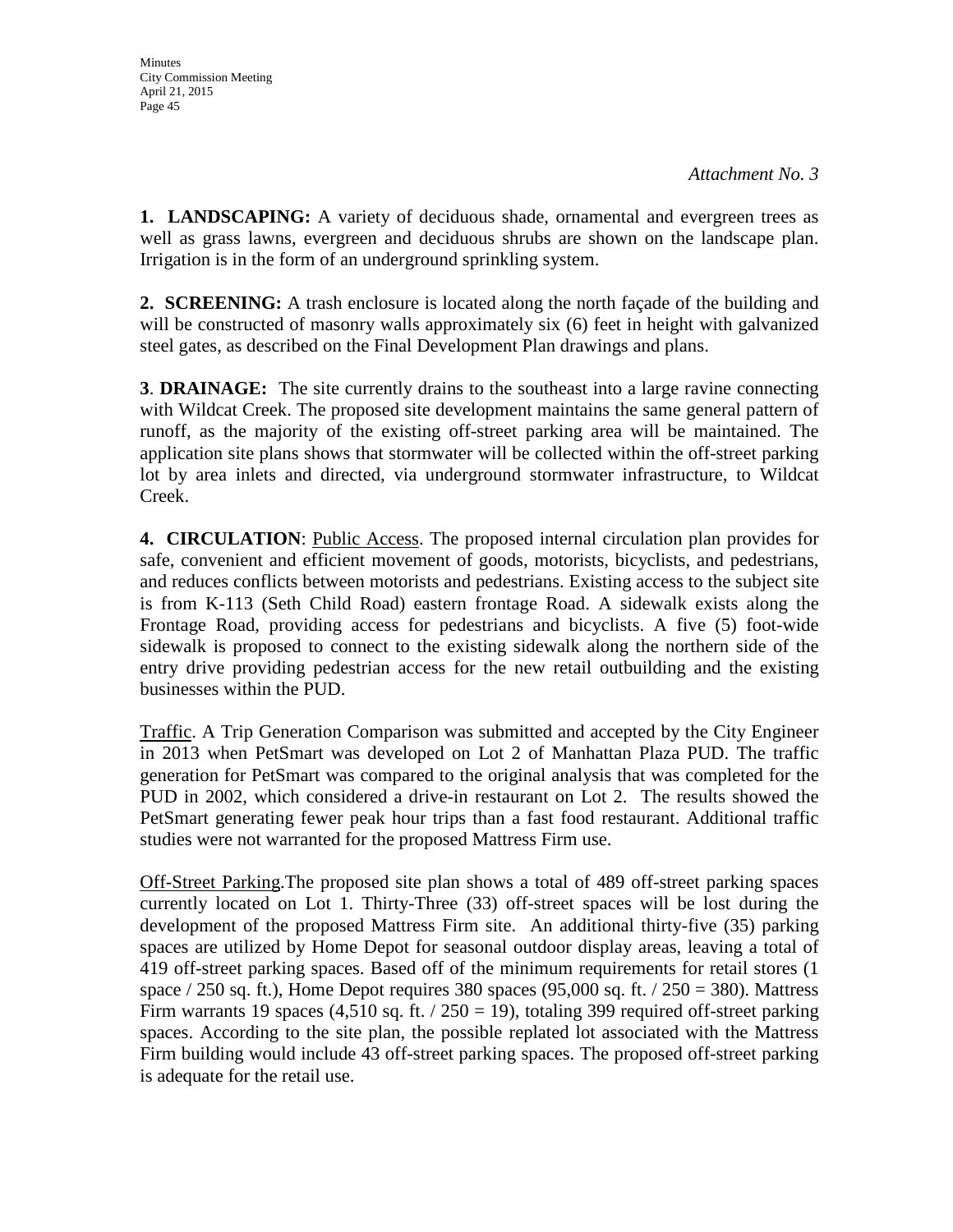**1. LANDSCAPING:** A variety of deciduous shade, ornamental and evergreen trees as well as grass lawns, evergreen and deciduous shrubs are shown on the landscape plan. Irrigation is in the form of an underground sprinkling system.

**2. SCREENING:** A trash enclosure is located along the north facade of the building and will be constructed of masonry walls approximately six (6) feet in height with galvanized steel gates, as described on the Final Development Plan drawings and plans.

**3**. **DRAINAGE:** The site currently drains to the southeast into a large ravine connecting with Wildcat Creek. The proposed site development maintains the same general pattern of runoff, as the majority of the existing off-street parking area will be maintained. The application site plans shows that stormwater will be collected within the off-street parking lot by area inlets and directed, via underground stormwater infrastructure, to Wildcat Creek.

**4. CIRCULATION**: Public Access. The proposed internal circulation plan provides for safe, convenient and efficient movement of goods, motorists, bicyclists, and pedestrians, and reduces conflicts between motorists and pedestrians. Existing access to the subject site is from K-113 (Seth Child Road) eastern frontage Road. A sidewalk exists along the Frontage Road, providing access for pedestrians and bicyclists. A five (5) foot-wide sidewalk is proposed to connect to the existing sidewalk along the northern side of the entry drive providing pedestrian access for the new retail outbuilding and the existing businesses within the PUD.

Traffic. A Trip Generation Comparison was submitted and accepted by the City Engineer in 2013 when PetSmart was developed on Lot 2 of Manhattan Plaza PUD. The traffic generation for PetSmart was compared to the original analysis that was completed for the PUD in 2002, which considered a drive-in restaurant on Lot 2. The results showed the PetSmart generating fewer peak hour trips than a fast food restaurant. Additional traffic studies were not warranted for the proposed Mattress Firm use.

Off-Street Parking.The proposed site plan shows a total of 489 off-street parking spaces currently located on Lot 1. Thirty-Three (33) off-street spaces will be lost during the development of the proposed Mattress Firm site. An additional thirty-five (35) parking spaces are utilized by Home Depot for seasonal outdoor display areas, leaving a total of 419 off-street parking spaces. Based off of the minimum requirements for retail stores (1 space  $/$  250 sq. ft.), Home Depot requires 380 spaces (95,000 sq. ft.  $/$  250 = 380). Mattress Firm warrants 19 spaces (4,510 sq. ft.  $/$  250 = 19), totaling 399 required off-street parking spaces. According to the site plan, the possible replated lot associated with the Mattress Firm building would include 43 off-street parking spaces. The proposed off-street parking is adequate for the retail use.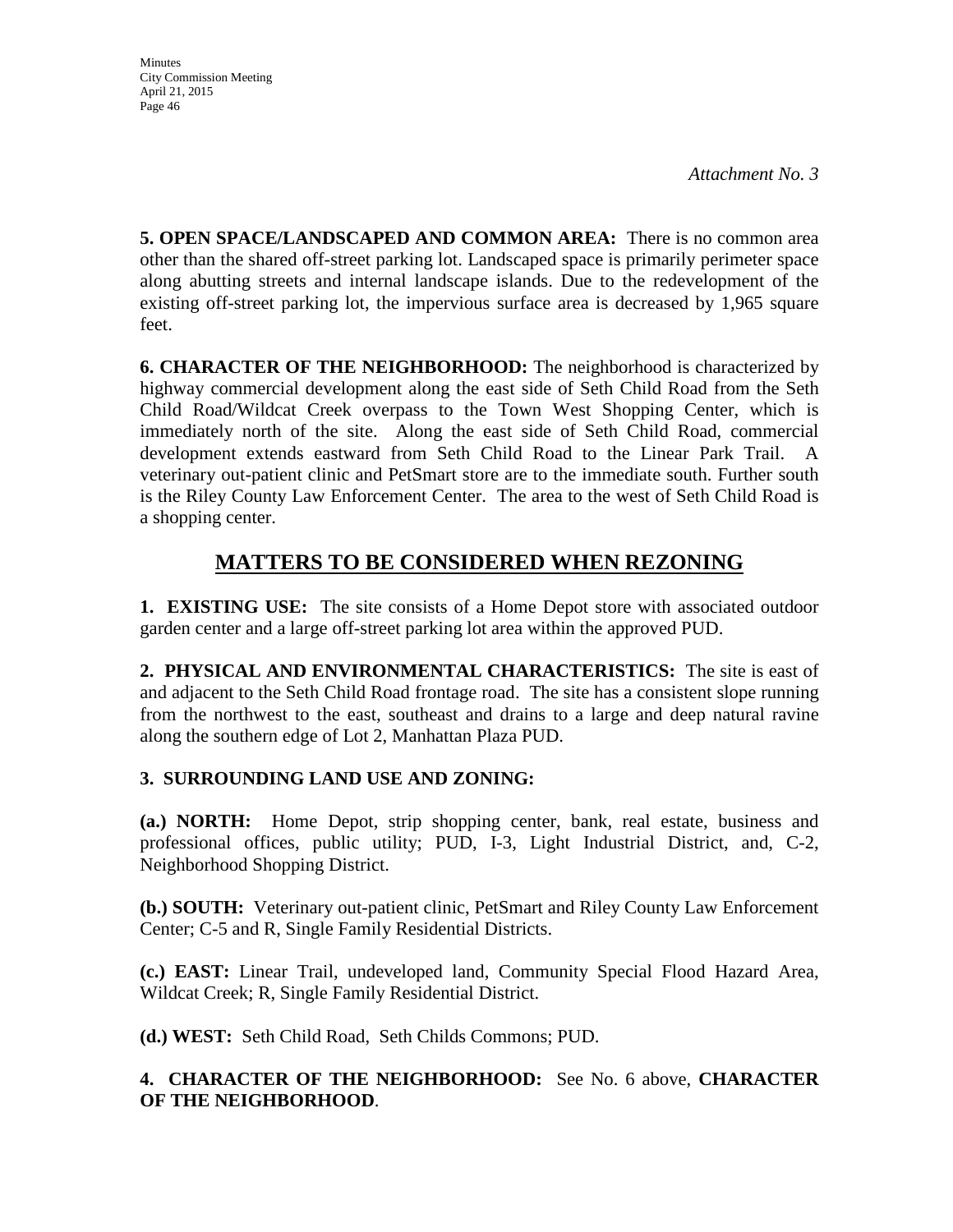**5. OPEN SPACE/LANDSCAPED AND COMMON AREA:** There is no common area other than the shared off-street parking lot. Landscaped space is primarily perimeter space along abutting streets and internal landscape islands. Due to the redevelopment of the existing off-street parking lot, the impervious surface area is decreased by 1,965 square feet.

**6. CHARACTER OF THE NEIGHBORHOOD:** The neighborhood is characterized by highway commercial development along the east side of Seth Child Road from the Seth Child Road/Wildcat Creek overpass to the Town West Shopping Center, which is immediately north of the site. Along the east side of Seth Child Road, commercial development extends eastward from Seth Child Road to the Linear Park Trail. A veterinary out-patient clinic and PetSmart store are to the immediate south. Further south is the Riley County Law Enforcement Center. The area to the west of Seth Child Road is a shopping center.

# **MATTERS TO BE CONSIDERED WHEN REZONING**

**1. EXISTING USE:** The site consists of a Home Depot store with associated outdoor garden center and a large off-street parking lot area within the approved PUD.

**2. PHYSICAL AND ENVIRONMENTAL CHARACTERISTICS:** The site is east of and adjacent to the Seth Child Road frontage road. The site has a consistent slope running from the northwest to the east, southeast and drains to a large and deep natural ravine along the southern edge of Lot 2, Manhattan Plaza PUD.

# **3. SURROUNDING LAND USE AND ZONING:**

**(a.) NORTH:** Home Depot, strip shopping center, bank, real estate, business and professional offices, public utility; PUD, I-3, Light Industrial District, and, C-2, Neighborhood Shopping District.

**(b.) SOUTH:** Veterinary out-patient clinic, PetSmart and Riley County Law Enforcement Center; C-5 and R, Single Family Residential Districts.

**(c.) EAST:** Linear Trail, undeveloped land, Community Special Flood Hazard Area, Wildcat Creek; R, Single Family Residential District.

**(d.) WEST:** Seth Child Road, Seth Childs Commons; PUD.

# **4. CHARACTER OF THE NEIGHBORHOOD:** See No. 6 above, **CHARACTER OF THE NEIGHBORHOOD**.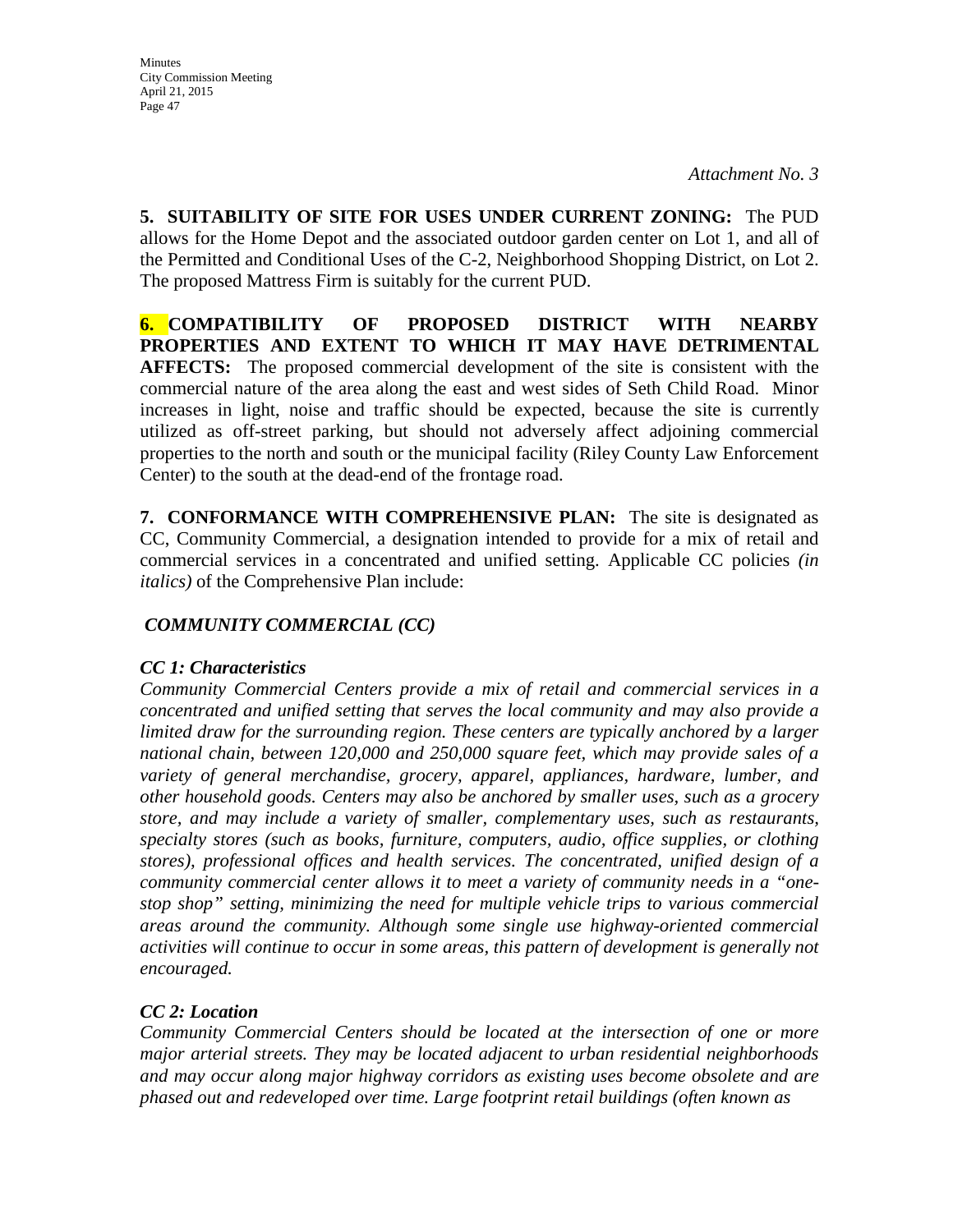**5. SUITABILITY OF SITE FOR USES UNDER CURRENT ZONING:** The PUD allows for the Home Depot and the associated outdoor garden center on Lot 1, and all of the Permitted and Conditional Uses of the C-2, Neighborhood Shopping District, on Lot 2. The proposed Mattress Firm is suitably for the current PUD.

**6. COMPATIBILITY OF PROPOSED DISTRICT WITH NEARBY PROPERTIES AND EXTENT TO WHICH IT MAY HAVE DETRIMENTAL AFFECTS:** The proposed commercial development of the site is consistent with the commercial nature of the area along the east and west sides of Seth Child Road. Minor increases in light, noise and traffic should be expected, because the site is currently utilized as off-street parking, but should not adversely affect adjoining commercial properties to the north and south or the municipal facility (Riley County Law Enforcement Center) to the south at the dead-end of the frontage road.

**7. CONFORMANCE WITH COMPREHENSIVE PLAN:** The site is designated as CC, Community Commercial, a designation intended to provide for a mix of retail and commercial services in a concentrated and unified setting. Applicable CC policies *(in italics)* of the Comprehensive Plan include:

# *COMMUNITY COMMERCIAL (CC)*

## *CC 1: Characteristics*

*Community Commercial Centers provide a mix of retail and commercial services in a concentrated and unified setting that serves the local community and may also provide a limited draw for the surrounding region. These centers are typically anchored by a larger national chain, between 120,000 and 250,000 square feet, which may provide sales of a variety of general merchandise, grocery, apparel, appliances, hardware, lumber, and other household goods. Centers may also be anchored by smaller uses, such as a grocery store, and may include a variety of smaller, complementary uses, such as restaurants, specialty stores (such as books, furniture, computers, audio, office supplies, or clothing stores), professional offices and health services. The concentrated, unified design of a community commercial center allows it to meet a variety of community needs in a "onestop shop" setting, minimizing the need for multiple vehicle trips to various commercial areas around the community. Although some single use highway-oriented commercial activities will continue to occur in some areas, this pattern of development is generally not encouraged.* 

## *CC 2: Location*

*Community Commercial Centers should be located at the intersection of one or more major arterial streets. They may be located adjacent to urban residential neighborhoods and may occur along major highway corridors as existing uses become obsolete and are phased out and redeveloped over time. Large footprint retail buildings (often known as*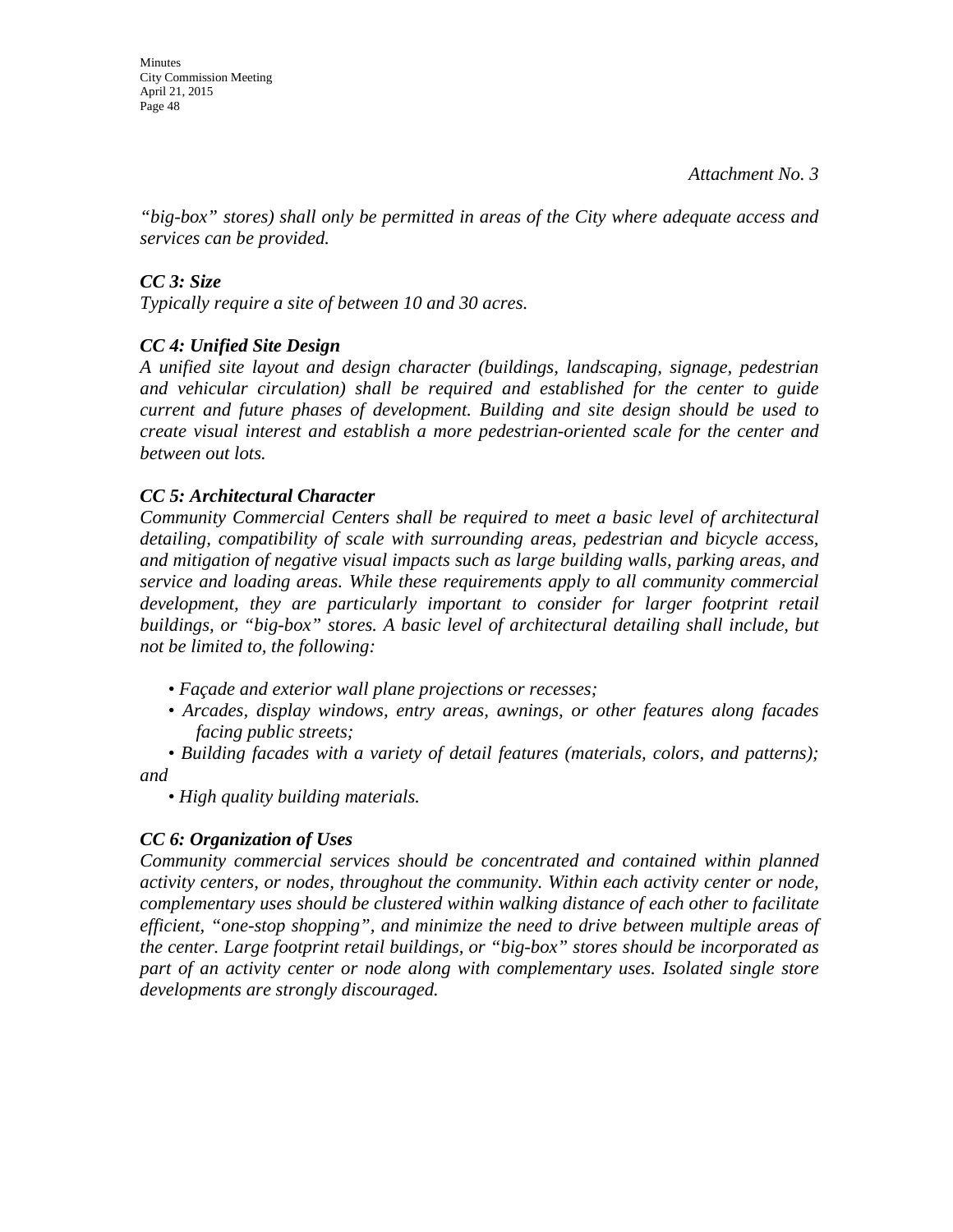Minutes City Commission Meeting April 21, 2015 Page 48

*"big-box" stores) shall only be permitted in areas of the City where adequate access and services can be provided.* 

## *CC 3: Size*

*Typically require a site of between 10 and 30 acres.* 

## *CC 4: Unified Site Design*

*A unified site layout and design character (buildings, landscaping, signage, pedestrian and vehicular circulation) shall be required and established for the center to guide current and future phases of development. Building and site design should be used to create visual interest and establish a more pedestrian-oriented scale for the center and between out lots.* 

### *CC 5: Architectural Character*

*Community Commercial Centers shall be required to meet a basic level of architectural detailing, compatibility of scale with surrounding areas, pedestrian and bicycle access, and mitigation of negative visual impacts such as large building walls, parking areas, and service and loading areas. While these requirements apply to all community commercial*  development, they are particularly important to consider for larger footprint retail *buildings, or "big-box" stores. A basic level of architectural detailing shall include, but not be limited to, the following:* 

- *Façade and exterior wall plane projections or recesses;*
- *Arcades, display windows, entry areas, awnings, or other features along facades facing public streets;*
- *Building facades with a variety of detail features (materials, colors, and patterns); and*

*• High quality building materials.* 

## *CC 6: Organization of Uses*

*Community commercial services should be concentrated and contained within planned activity centers, or nodes, throughout the community. Within each activity center or node, complementary uses should be clustered within walking distance of each other to facilitate efficient, "one-stop shopping", and minimize the need to drive between multiple areas of the center. Large footprint retail buildings, or "big-box" stores should be incorporated as part of an activity center or node along with complementary uses. Isolated single store developments are strongly discouraged.*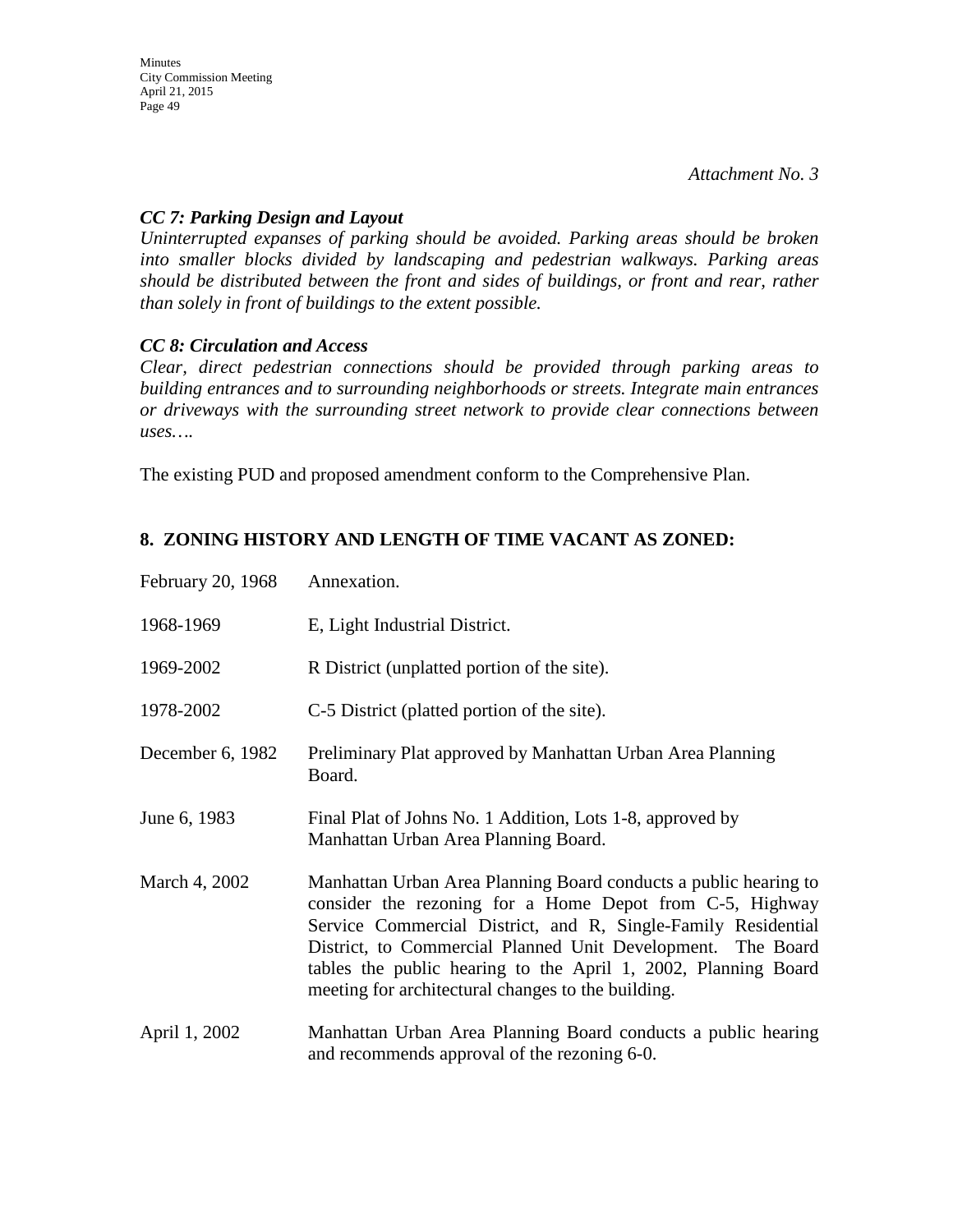*Attachment No. 3*

### *CC 7: Parking Design and Layout*

*Uninterrupted expanses of parking should be avoided. Parking areas should be broken into smaller blocks divided by landscaping and pedestrian walkways. Parking areas should be distributed between the front and sides of buildings, or front and rear, rather than solely in front of buildings to the extent possible.* 

### *CC 8: Circulation and Access*

*Clear, direct pedestrian connections should be provided through parking areas to building entrances and to surrounding neighborhoods or streets. Integrate main entrances or driveways with the surrounding street network to provide clear connections between uses….*

The existing PUD and proposed amendment conform to the Comprehensive Plan.

# **8. ZONING HISTORY AND LENGTH OF TIME VACANT AS ZONED:**

| February 20, 1968 | Annexation.                                                                                                                                                                                                                                                                                                                                                                          |
|-------------------|--------------------------------------------------------------------------------------------------------------------------------------------------------------------------------------------------------------------------------------------------------------------------------------------------------------------------------------------------------------------------------------|
| 1968-1969         | E, Light Industrial District.                                                                                                                                                                                                                                                                                                                                                        |
| 1969-2002         | R District (unplatted portion of the site).                                                                                                                                                                                                                                                                                                                                          |
| 1978-2002         | C-5 District (platted portion of the site).                                                                                                                                                                                                                                                                                                                                          |
| December 6, 1982  | Preliminary Plat approved by Manhattan Urban Area Planning<br>Board.                                                                                                                                                                                                                                                                                                                 |
| June 6, 1983      | Final Plat of Johns No. 1 Addition, Lots 1-8, approved by<br>Manhattan Urban Area Planning Board.                                                                                                                                                                                                                                                                                    |
| March 4, 2002     | Manhattan Urban Area Planning Board conducts a public hearing to<br>consider the rezoning for a Home Depot from C-5, Highway<br>Service Commercial District, and R, Single-Family Residential<br>District, to Commercial Planned Unit Development. The Board<br>tables the public hearing to the April 1, 2002, Planning Board<br>meeting for architectural changes to the building. |
| April 1, 2002     | Manhattan Urban Area Planning Board conducts a public hearing<br>and recommends approval of the rezoning 6-0.                                                                                                                                                                                                                                                                        |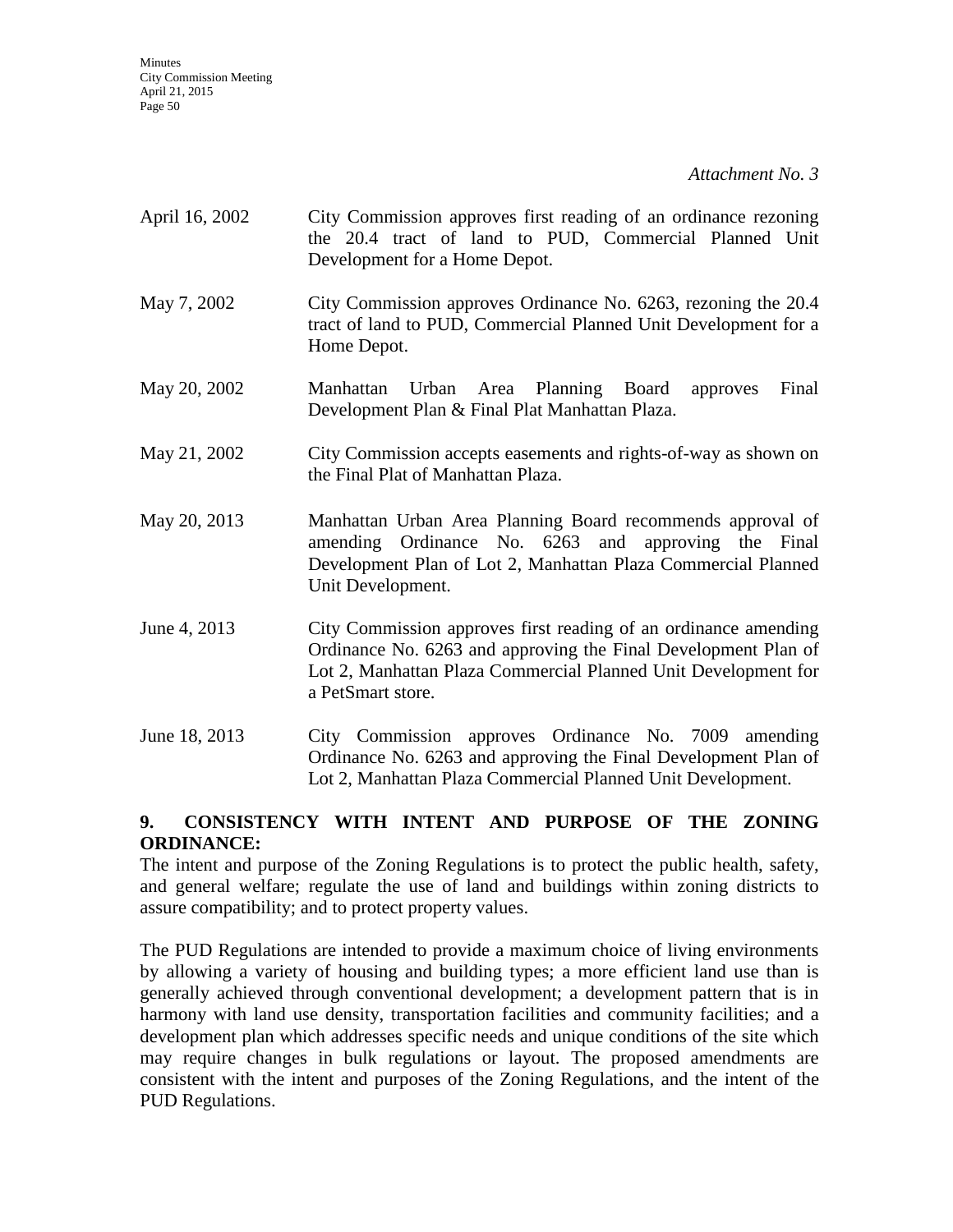| April 16, 2002 | City Commission approves first reading of an ordinance rezoning<br>the 20.4 tract of land to PUD, Commercial Planned Unit<br>Development for a Home Depot.                                                               |
|----------------|--------------------------------------------------------------------------------------------------------------------------------------------------------------------------------------------------------------------------|
| May 7, 2002    | City Commission approves Ordinance No. 6263, rezoning the 20.4<br>tract of land to PUD, Commercial Planned Unit Development for a<br>Home Depot.                                                                         |
| May 20, 2002   | Urban Area Planning Board<br>Final<br>Manhattan<br>approves<br>Development Plan & Final Plat Manhattan Plaza.                                                                                                            |
| May 21, 2002   | City Commission accepts easements and rights-of-way as shown on<br>the Final Plat of Manhattan Plaza.                                                                                                                    |
| May 20, 2013   | Manhattan Urban Area Planning Board recommends approval of<br>amending Ordinance No. 6263 and approving the Final<br>Development Plan of Lot 2, Manhattan Plaza Commercial Planned<br>Unit Development.                  |
| June 4, 2013   | City Commission approves first reading of an ordinance amending<br>Ordinance No. 6263 and approving the Final Development Plan of<br>Lot 2, Manhattan Plaza Commercial Planned Unit Development for<br>a PetSmart store. |
| June 18, 2013  | City Commission approves Ordinance No. 7009 amending<br>Ordinance No. 6263 and approving the Final Development Plan of<br>Lot 2, Manhattan Plaza Commercial Planned Unit Development.                                    |

# **9. CONSISTENCY WITH INTENT AND PURPOSE OF THE ZONING ORDINANCE:**

The intent and purpose of the Zoning Regulations is to protect the public health, safety, and general welfare; regulate the use of land and buildings within zoning districts to assure compatibility; and to protect property values.

The PUD Regulations are intended to provide a maximum choice of living environments by allowing a variety of housing and building types; a more efficient land use than is generally achieved through conventional development; a development pattern that is in harmony with land use density, transportation facilities and community facilities; and a development plan which addresses specific needs and unique conditions of the site which may require changes in bulk regulations or layout. The proposed amendments are consistent with the intent and purposes of the Zoning Regulations, and the intent of the PUD Regulations.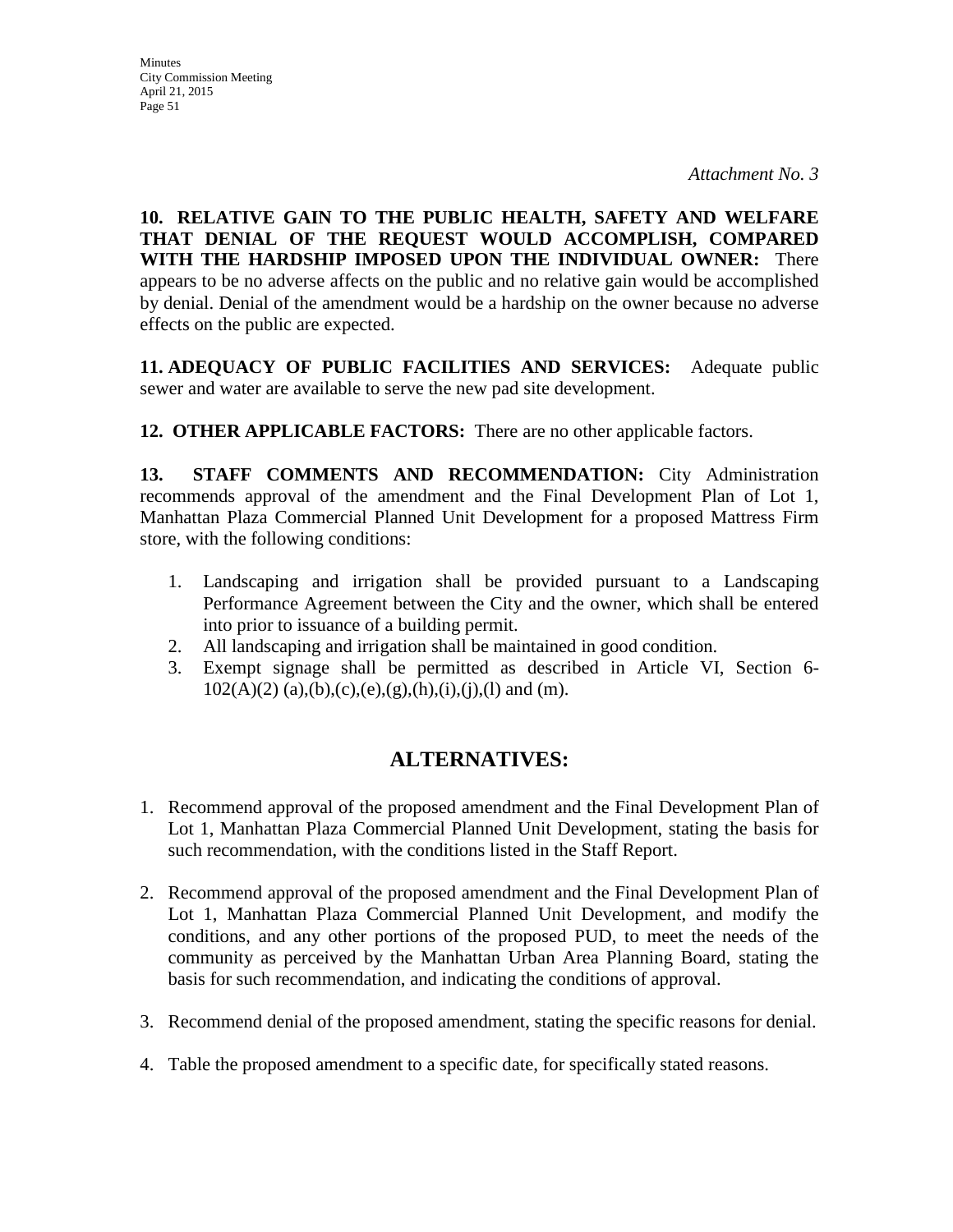**Minutes** City Commission Meeting April 21, 2015 Page 51

**10. RELATIVE GAIN TO THE PUBLIC HEALTH, SAFETY AND WELFARE THAT DENIAL OF THE REQUEST WOULD ACCOMPLISH, COMPARED WITH THE HARDSHIP IMPOSED UPON THE INDIVIDUAL OWNER:** There appears to be no adverse affects on the public and no relative gain would be accomplished by denial. Denial of the amendment would be a hardship on the owner because no adverse effects on the public are expected.

**11. ADEQUACY OF PUBLIC FACILITIES AND SERVICES:** Adequate public sewer and water are available to serve the new pad site development.

**12. OTHER APPLICABLE FACTORS:** There are no other applicable factors.

**13. STAFF COMMENTS AND RECOMMENDATION:** City Administration recommends approval of the amendment and the Final Development Plan of Lot 1, Manhattan Plaza Commercial Planned Unit Development for a proposed Mattress Firm store, with the following conditions:

- 1. Landscaping and irrigation shall be provided pursuant to a Landscaping Performance Agreement between the City and the owner, which shall be entered into prior to issuance of a building permit.
- 2. All landscaping and irrigation shall be maintained in good condition.
- 3. Exempt signage shall be permitted as described in Article VI, Section 6-  $102(A)(2)$  (a),(b),(c),(e),(g),(h),(i),(j),(l) and (m).

# **ALTERNATIVES:**

- 1. Recommend approval of the proposed amendment and the Final Development Plan of Lot 1, Manhattan Plaza Commercial Planned Unit Development, stating the basis for such recommendation, with the conditions listed in the Staff Report.
- 2. Recommend approval of the proposed amendment and the Final Development Plan of Lot 1, Manhattan Plaza Commercial Planned Unit Development, and modify the conditions, and any other portions of the proposed PUD, to meet the needs of the community as perceived by the Manhattan Urban Area Planning Board, stating the basis for such recommendation, and indicating the conditions of approval.
- 3. Recommend denial of the proposed amendment, stating the specific reasons for denial.
- 4. Table the proposed amendment to a specific date, for specifically stated reasons.